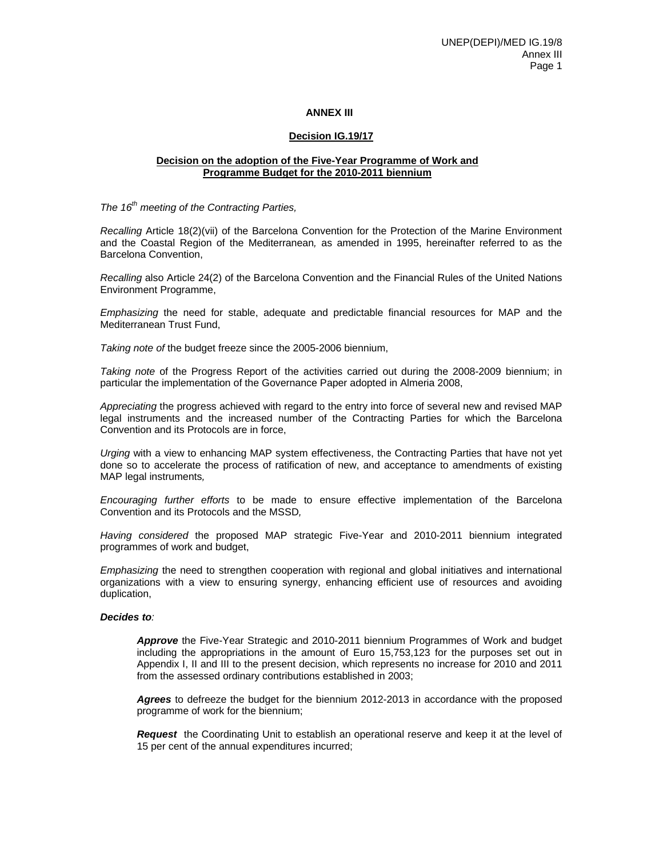### **ANNEX III**

## **Decision IG.19/17**

## **Decision on the adoption of the Five-Year Programme of Work and Programme Budget for the 2010-2011 biennium**

*The 16th meeting of the Contracting Parties,* 

*Recalling* Article 18(2)(vii) of the Barcelona Convention for the Protection of the Marine Environment and the Coastal Region of the Mediterranean*,* as amended in 1995, hereinafter referred to as the Barcelona Convention,

*Recalling* also Article 24(2) of the Barcelona Convention and the Financial Rules of the United Nations Environment Programme,

*Emphasizing* the need for stable, adequate and predictable financial resources for MAP and the Mediterranean Trust Fund,

*Taking note of* the budget freeze since the 2005-2006 biennium,

*Taking note* of the Progress Report of the activities carried out during the 2008-2009 biennium; in particular the implementation of the Governance Paper adopted in Almeria 2008,

*Appreciating* the progress achieved with regard to the entry into force of several new and revised MAP legal instruments and the increased number of the Contracting Parties for which the Barcelona Convention and its Protocols are in force,

*Urging* with a view to enhancing MAP system effectiveness, the Contracting Parties that have not yet done so to accelerate the process of ratification of new, and acceptance to amendments of existing MAP legal instruments*,* 

*Encouraging further efforts* to be made to ensure effective implementation of the Barcelona Convention and its Protocols and the MSSD*,* 

*Having considered* the proposed MAP strategic Five-Year and 2010-2011 biennium integrated programmes of work and budget,

*Emphasizing* the need to strengthen cooperation with regional and global initiatives and international organizations with a view to ensuring synergy, enhancing efficient use of resources and avoiding duplication,

#### *Decides to:*

*Approve* the Five-Year Strategic and 2010-2011 biennium Programmes of Work and budget including the appropriations in the amount of Euro 15,753,123 for the purposes set out in Appendix I, II and III to the present decision, which represents no increase for 2010 and 2011 from the assessed ordinary contributions established in 2003;

*Agrees* to defreeze the budget for the biennium 2012-2013 in accordance with the proposed programme of work for the biennium;

*Request* the Coordinating Unit to establish an operational reserve and keep it at the level of 15 per cent of the annual expenditures incurred;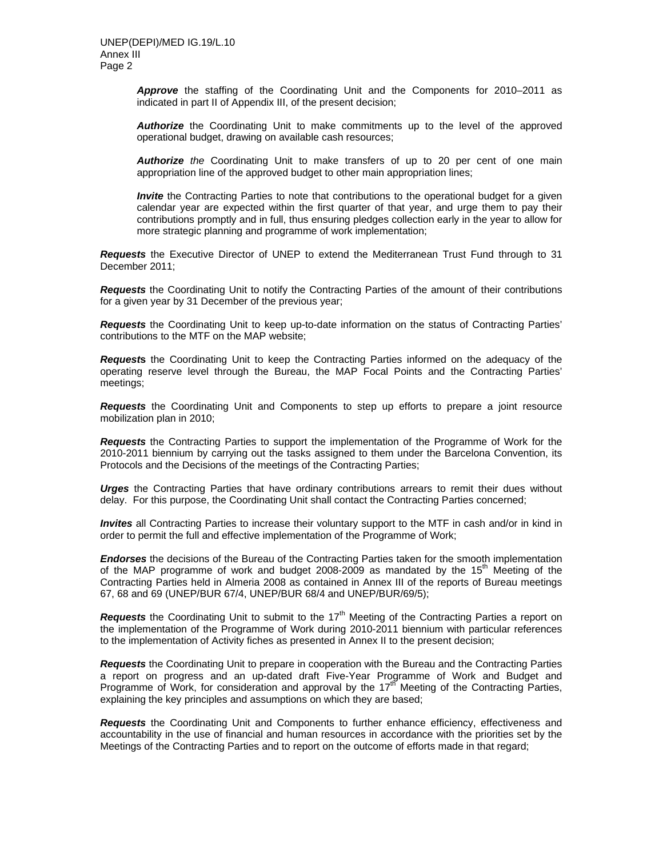*Approve* the staffing of the Coordinating Unit and the Components for 2010–2011 as indicated in part II of Appendix III, of the present decision;

*Authorize* the Coordinating Unit to make commitments up to the level of the approved operational budget, drawing on available cash resources;

*Authorize the* Coordinating Unit to make transfers of up to 20 per cent of one main appropriation line of the approved budget to other main appropriation lines;

*Invite* the Contracting Parties to note that contributions to the operational budget for a given calendar year are expected within the first quarter of that year, and urge them to pay their contributions promptly and in full, thus ensuring pledges collection early in the year to allow for more strategic planning and programme of work implementation;

*Requests* the Executive Director of UNEP to extend the Mediterranean Trust Fund through to 31 December 2011;

*Requests* the Coordinating Unit to notify the Contracting Parties of the amount of their contributions for a given year by 31 December of the previous year;

*Requests* the Coordinating Unit to keep up-to-date information on the status of Contracting Parties' contributions to the MTF on the MAP website;

*Request***s** the Coordinating Unit to keep the Contracting Parties informed on the adequacy of the operating reserve level through the Bureau, the MAP Focal Points and the Contracting Parties' meetings;

*Requests* the Coordinating Unit and Components to step up efforts to prepare a joint resource mobilization plan in 2010;

*Requests* the Contracting Parties to support the implementation of the Programme of Work for the 2010-2011 biennium by carrying out the tasks assigned to them under the Barcelona Convention, its Protocols and the Decisions of the meetings of the Contracting Parties;

*Urges* the Contracting Parties that have ordinary contributions arrears to remit their dues without delay. For this purpose, the Coordinating Unit shall contact the Contracting Parties concerned;

*Invites* all Contracting Parties to increase their voluntary support to the MTF in cash and/or in kind in order to permit the full and effective implementation of the Programme of Work;

*Endorses* the decisions of the Bureau of the Contracting Parties taken for the smooth implementation of the MAP programme of work and budget 2008-2009 as mandated by the  $15<sup>th</sup>$  Meeting of the Contracting Parties held in Almeria 2008 as contained in Annex III of the reports of Bureau meetings 67, 68 and 69 (UNEP/BUR 67/4, UNEP/BUR 68/4 and UNEP/BUR/69/5);

**Requests** the Coordinating Unit to submit to the 17<sup>th</sup> Meeting of the Contracting Parties a report on the implementation of the Programme of Work during 2010-2011 biennium with particular references to the implementation of Activity fiches as presented in Annex II to the present decision;

*Requests* the Coordinating Unit to prepare in cooperation with the Bureau and the Contracting Parties a report on progress and an up-dated draft Five-Year Programme of Work and Budget and Programme of Work, for consideration and approval by the 17<sup>th</sup> Meeting of the Contracting Parties, explaining the key principles and assumptions on which they are based;

*Requests* the Coordinating Unit and Components to further enhance efficiency, effectiveness and accountability in the use of financial and human resources in accordance with the priorities set by the Meetings of the Contracting Parties and to report on the outcome of efforts made in that regard;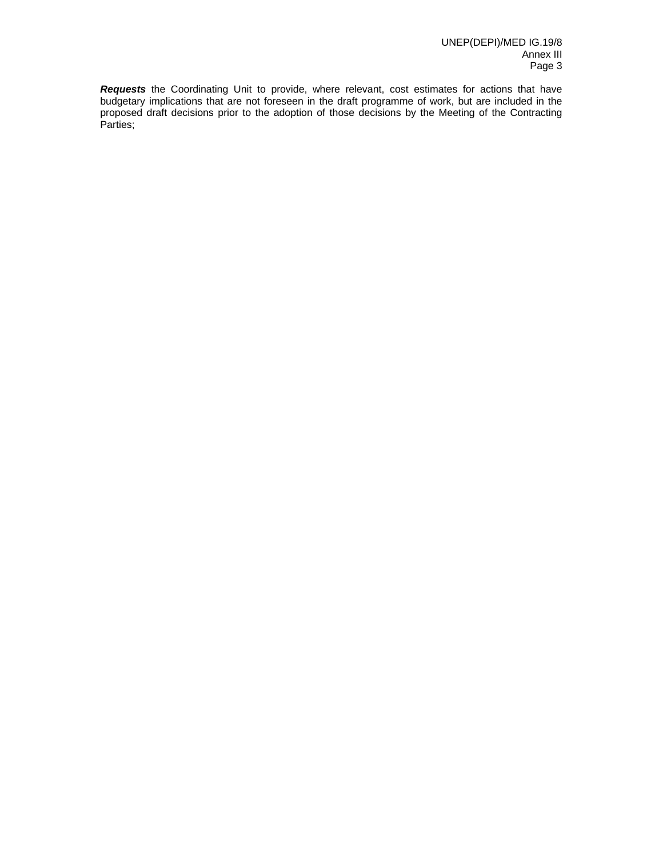*Requests* the Coordinating Unit to provide, where relevant, cost estimates for actions that have budgetary implications that are not foreseen in the draft programme of work, but are included in the proposed draft decisions prior to the adoption of those decisions by the Meeting of the Contracting Parties;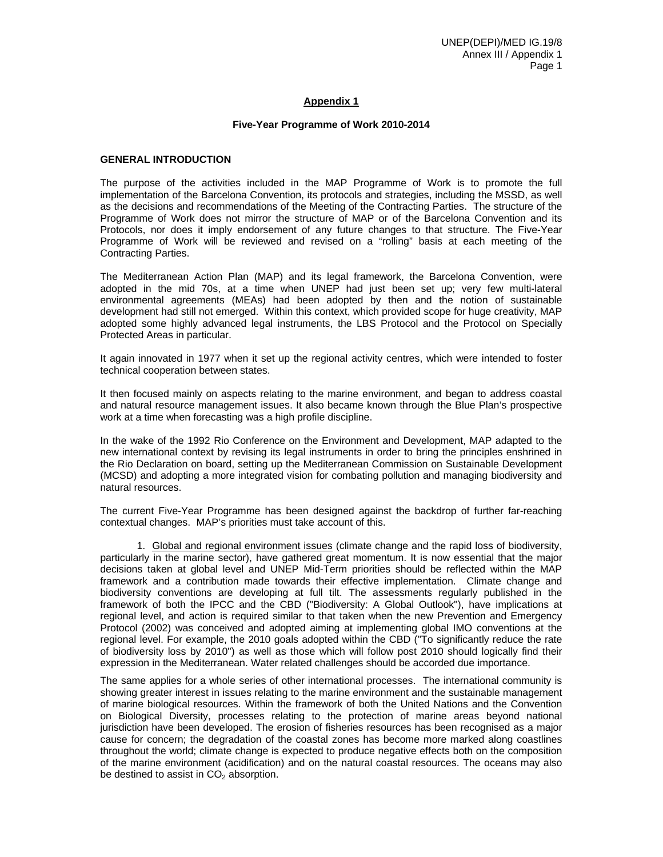# **Appendix 1**

#### **Five-Year Programme of Work 2010-2014**

#### **GENERAL INTRODUCTION**

The purpose of the activities included in the MAP Programme of Work is to promote the full implementation of the Barcelona Convention, its protocols and strategies, including the MSSD, as well as the decisions and recommendations of the Meeting of the Contracting Parties. The structure of the Programme of Work does not mirror the structure of MAP or of the Barcelona Convention and its Protocols, nor does it imply endorsement of any future changes to that structure. The Five-Year Programme of Work will be reviewed and revised on a "rolling" basis at each meeting of the Contracting Parties.

The Mediterranean Action Plan (MAP) and its legal framework, the Barcelona Convention, were adopted in the mid 70s, at a time when UNEP had just been set up; very few multi-lateral environmental agreements (MEAs) had been adopted by then and the notion of sustainable development had still not emerged. Within this context, which provided scope for huge creativity, MAP adopted some highly advanced legal instruments, the LBS Protocol and the Protocol on Specially Protected Areas in particular.

It again innovated in 1977 when it set up the regional activity centres, which were intended to foster technical cooperation between states.

It then focused mainly on aspects relating to the marine environment, and began to address coastal and natural resource management issues. It also became known through the Blue Plan's prospective work at a time when forecasting was a high profile discipline.

In the wake of the 1992 Rio Conference on the Environment and Development, MAP adapted to the new international context by revising its legal instruments in order to bring the principles enshrined in the Rio Declaration on board, setting up the Mediterranean Commission on Sustainable Development (MCSD) and adopting a more integrated vision for combating pollution and managing biodiversity and natural resources.

The current Five-Year Programme has been designed against the backdrop of further far-reaching contextual changes. MAP's priorities must take account of this.

 1. Global and regional environment issues (climate change and the rapid loss of biodiversity, particularly in the marine sector), have gathered great momentum. It is now essential that the major decisions taken at global level and UNEP Mid-Term priorities should be reflected within the MAP framework and a contribution made towards their effective implementation. Climate change and biodiversity conventions are developing at full tilt. The assessments regularly published in the framework of both the IPCC and the CBD ("Biodiversity: A Global Outlook"), have implications at regional level, and action is required similar to that taken when the new Prevention and Emergency Protocol (2002) was conceived and adopted aiming at implementing global IMO conventions at the regional level. For example, the 2010 goals adopted within the CBD ("To significantly reduce the rate of biodiversity loss by 2010") as well as those which will follow post 2010 should logically find their expression in the Mediterranean. Water related challenges should be accorded due importance.

The same applies for a whole series of other international processes. The international community is showing greater interest in issues relating to the marine environment and the sustainable management of marine biological resources. Within the framework of both the United Nations and the Convention on Biological Diversity, processes relating to the protection of marine areas beyond national jurisdiction have been developed. The erosion of fisheries resources has been recognised as a major cause for concern; the degradation of the coastal zones has become more marked along coastlines throughout the world; climate change is expected to produce negative effects both on the composition of the marine environment (acidification) and on the natural coastal resources. The oceans may also be destined to assist in  $CO<sub>2</sub>$  absorption.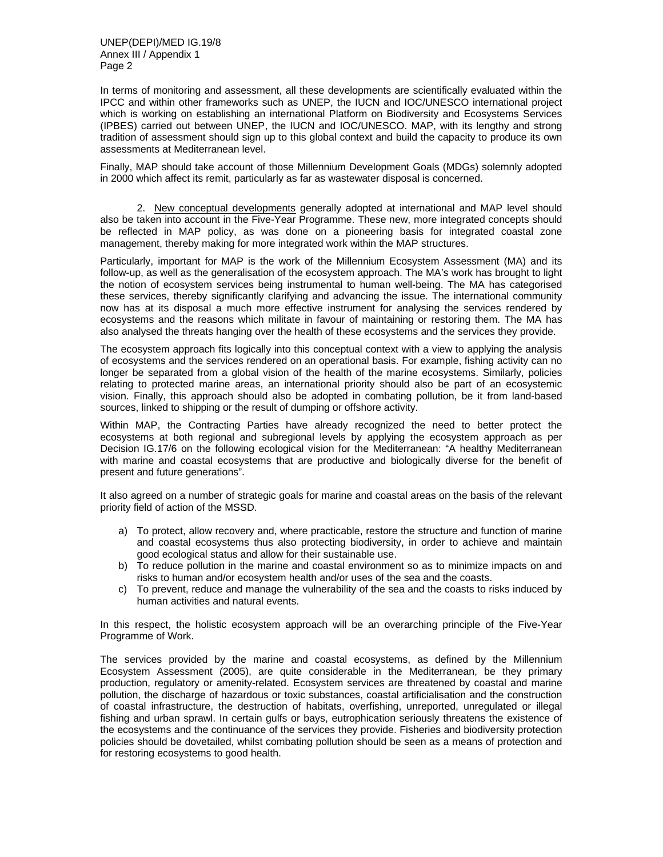In terms of monitoring and assessment, all these developments are scientifically evaluated within the IPCC and within other frameworks such as UNEP, the IUCN and IOC/UNESCO international project which is working on establishing an international Platform on Biodiversity and Ecosystems Services (IPBES) carried out between UNEP, the IUCN and IOC/UNESCO. MAP, with its lengthy and strong tradition of assessment should sign up to this global context and build the capacity to produce its own assessments at Mediterranean level.

Finally, MAP should take account of those Millennium Development Goals (MDGs) solemnly adopted in 2000 which affect its remit, particularly as far as wastewater disposal is concerned.

 2. New conceptual developments generally adopted at international and MAP level should also be taken into account in the Five-Year Programme. These new, more integrated concepts should be reflected in MAP policy, as was done on a pioneering basis for integrated coastal zone management, thereby making for more integrated work within the MAP structures.

Particularly, important for MAP is the work of the Millennium Ecosystem Assessment (MA) and its follow-up, as well as the generalisation of the ecosystem approach. The MA's work has brought to light the notion of ecosystem services being instrumental to human well-being. The MA has categorised these services, thereby significantly clarifying and advancing the issue. The international community now has at its disposal a much more effective instrument for analysing the services rendered by ecosystems and the reasons which militate in favour of maintaining or restoring them. The MA has also analysed the threats hanging over the health of these ecosystems and the services they provide.

The ecosystem approach fits logically into this conceptual context with a view to applying the analysis of ecosystems and the services rendered on an operational basis. For example, fishing activity can no longer be separated from a global vision of the health of the marine ecosystems. Similarly, policies relating to protected marine areas, an international priority should also be part of an ecosystemic vision. Finally, this approach should also be adopted in combating pollution, be it from land-based sources, linked to shipping or the result of dumping or offshore activity.

Within MAP, the Contracting Parties have already recognized the need to better protect the ecosystems at both regional and subregional levels by applying the ecosystem approach as per Decision IG.17/6 on the following ecological vision for the Mediterranean: "A healthy Mediterranean with marine and coastal ecosystems that are productive and biologically diverse for the benefit of present and future generations".

It also agreed on a number of strategic goals for marine and coastal areas on the basis of the relevant priority field of action of the MSSD.

- a) To protect, allow recovery and, where practicable, restore the structure and function of marine and coastal ecosystems thus also protecting biodiversity, in order to achieve and maintain good ecological status and allow for their sustainable use.
- b) To reduce pollution in the marine and coastal environment so as to minimize impacts on and risks to human and/or ecosystem health and/or uses of the sea and the coasts.
- c) To prevent, reduce and manage the vulnerability of the sea and the coasts to risks induced by human activities and natural events.

In this respect, the holistic ecosystem approach will be an overarching principle of the Five-Year Programme of Work.

The services provided by the marine and coastal ecosystems, as defined by the Millennium Ecosystem Assessment (2005), are quite considerable in the Mediterranean, be they primary production, regulatory or amenity-related. Ecosystem services are threatened by coastal and marine pollution, the discharge of hazardous or toxic substances, coastal artificialisation and the construction of coastal infrastructure, the destruction of habitats, overfishing, unreported, unregulated or illegal fishing and urban sprawl. In certain gulfs or bays, eutrophication seriously threatens the existence of the ecosystems and the continuance of the services they provide. Fisheries and biodiversity protection policies should be dovetailed, whilst combating pollution should be seen as a means of protection and for restoring ecosystems to good health.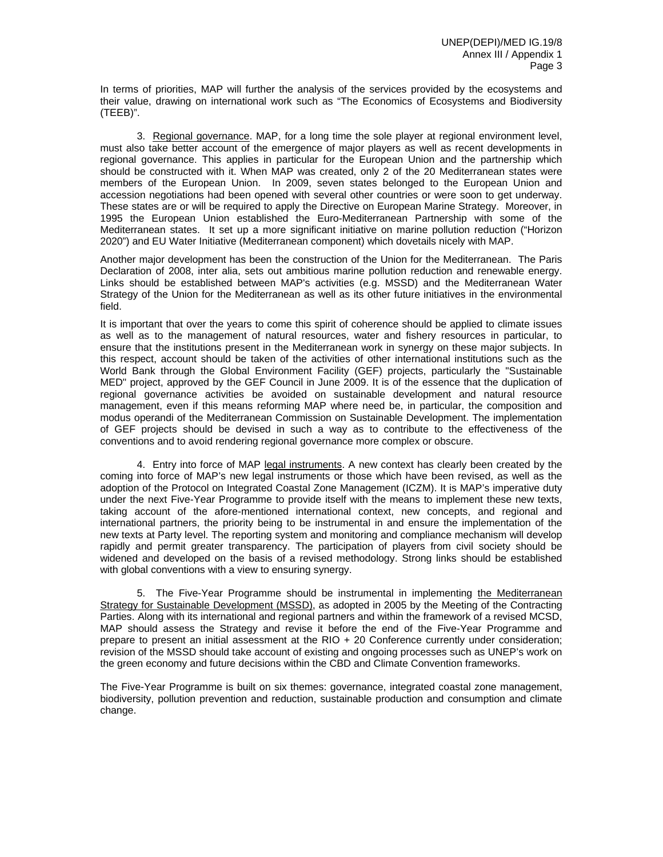In terms of priorities, MAP will further the analysis of the services provided by the ecosystems and their value, drawing on international work such as "The Economics of Ecosystems and Biodiversity (TEEB)".

 3. Regional governance. MAP, for a long time the sole player at regional environment level, must also take better account of the emergence of major players as well as recent developments in regional governance. This applies in particular for the European Union and the partnership which should be constructed with it. When MAP was created, only 2 of the 20 Mediterranean states were members of the European Union. In 2009, seven states belonged to the European Union and accession negotiations had been opened with several other countries or were soon to get underway. These states are or will be required to apply the Directive on European Marine Strategy. Moreover, in 1995 the European Union established the Euro-Mediterranean Partnership with some of the Mediterranean states. It set up a more significant initiative on marine pollution reduction ("Horizon 2020") and EU Water Initiative (Mediterranean component) which dovetails nicely with MAP.

Another major development has been the construction of the Union for the Mediterranean. The Paris Declaration of 2008, inter alia, sets out ambitious marine pollution reduction and renewable energy. Links should be established between MAP's activities (e.g. MSSD) and the Mediterranean Water Strategy of the Union for the Mediterranean as well as its other future initiatives in the environmental field.

It is important that over the years to come this spirit of coherence should be applied to climate issues as well as to the management of natural resources, water and fishery resources in particular, to ensure that the institutions present in the Mediterranean work in synergy on these major subjects. In this respect, account should be taken of the activities of other international institutions such as the World Bank through the Global Environment Facility (GEF) projects, particularly the "Sustainable MED" project, approved by the GEF Council in June 2009. It is of the essence that the duplication of regional governance activities be avoided on sustainable development and natural resource management, even if this means reforming MAP where need be, in particular, the composition and modus operandi of the Mediterranean Commission on Sustainable Development. The implementation of GEF projects should be devised in such a way as to contribute to the effectiveness of the conventions and to avoid rendering regional governance more complex or obscure.

4. Entry into force of MAP legal instruments. A new context has clearly been created by the coming into force of MAP's new legal instruments or those which have been revised, as well as the adoption of the Protocol on Integrated Coastal Zone Management (ICZM). It is MAP's imperative duty under the next Five-Year Programme to provide itself with the means to implement these new texts, taking account of the afore-mentioned international context, new concepts, and regional and international partners, the priority being to be instrumental in and ensure the implementation of the new texts at Party level. The reporting system and monitoring and compliance mechanism will develop rapidly and permit greater transparency. The participation of players from civil society should be widened and developed on the basis of a revised methodology. Strong links should be established with global conventions with a view to ensuring synergy.

5. The Five-Year Programme should be instrumental in implementing the Mediterranean Strategy for Sustainable Development (MSSD), as adopted in 2005 by the Meeting of the Contracting Parties. Along with its international and regional partners and within the framework of a revised MCSD, MAP should assess the Strategy and revise it before the end of the Five-Year Programme and prepare to present an initial assessment at the RIO + 20 Conference currently under consideration; revision of the MSSD should take account of existing and ongoing processes such as UNEP's work on the green economy and future decisions within the CBD and Climate Convention frameworks.

The Five-Year Programme is built on six themes: governance, integrated coastal zone management, biodiversity, pollution prevention and reduction, sustainable production and consumption and climate change.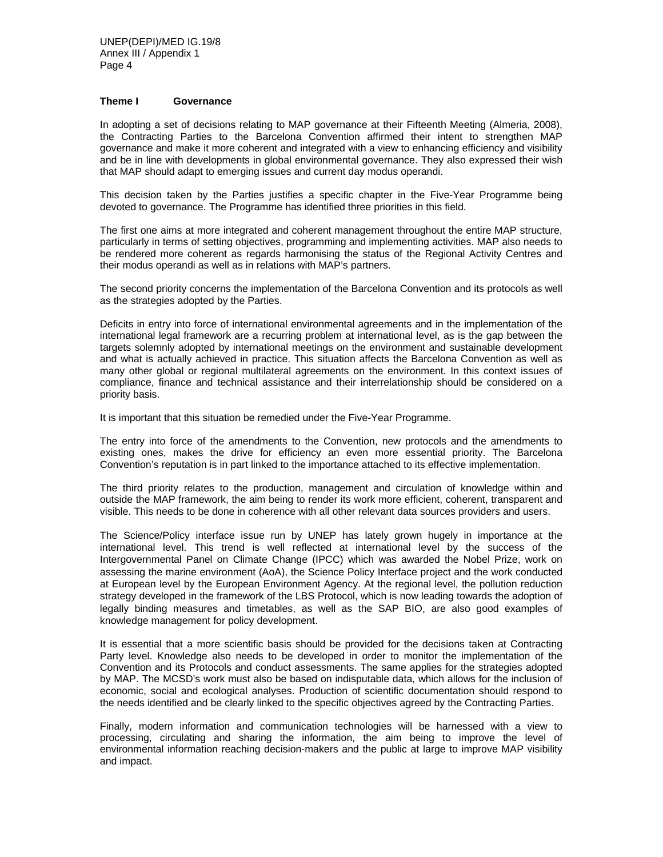## **Theme I Governance**

In adopting a set of decisions relating to MAP governance at their Fifteenth Meeting (Almeria, 2008), the Contracting Parties to the Barcelona Convention affirmed their intent to strengthen MAP governance and make it more coherent and integrated with a view to enhancing efficiency and visibility and be in line with developments in global environmental governance. They also expressed their wish that MAP should adapt to emerging issues and current day modus operandi.

This decision taken by the Parties justifies a specific chapter in the Five-Year Programme being devoted to governance. The Programme has identified three priorities in this field.

The first one aims at more integrated and coherent management throughout the entire MAP structure, particularly in terms of setting objectives, programming and implementing activities. MAP also needs to be rendered more coherent as regards harmonising the status of the Regional Activity Centres and their modus operandi as well as in relations with MAP's partners.

The second priority concerns the implementation of the Barcelona Convention and its protocols as well as the strategies adopted by the Parties.

Deficits in entry into force of international environmental agreements and in the implementation of the international legal framework are a recurring problem at international level, as is the gap between the targets solemnly adopted by international meetings on the environment and sustainable development and what is actually achieved in practice. This situation affects the Barcelona Convention as well as many other global or regional multilateral agreements on the environment. In this context issues of compliance, finance and technical assistance and their interrelationship should be considered on a priority basis.

It is important that this situation be remedied under the Five-Year Programme.

The entry into force of the amendments to the Convention, new protocols and the amendments to existing ones, makes the drive for efficiency an even more essential priority. The Barcelona Convention's reputation is in part linked to the importance attached to its effective implementation.

The third priority relates to the production, management and circulation of knowledge within and outside the MAP framework, the aim being to render its work more efficient, coherent, transparent and visible. This needs to be done in coherence with all other relevant data sources providers and users.

The Science/Policy interface issue run by UNEP has lately grown hugely in importance at the international level. This trend is well reflected at international level by the success of the Intergovernmental Panel on Climate Change (IPCC) which was awarded the Nobel Prize, work on assessing the marine environment (AoA), the Science Policy Interface project and the work conducted at European level by the European Environment Agency. At the regional level, the pollution reduction strategy developed in the framework of the LBS Protocol, which is now leading towards the adoption of legally binding measures and timetables, as well as the SAP BIO, are also good examples of knowledge management for policy development.

It is essential that a more scientific basis should be provided for the decisions taken at Contracting Party level. Knowledge also needs to be developed in order to monitor the implementation of the Convention and its Protocols and conduct assessments. The same applies for the strategies adopted by MAP. The MCSD's work must also be based on indisputable data, which allows for the inclusion of economic, social and ecological analyses. Production of scientific documentation should respond to the needs identified and be clearly linked to the specific objectives agreed by the Contracting Parties.

Finally, modern information and communication technologies will be harnessed with a view to processing, circulating and sharing the information, the aim being to improve the level of environmental information reaching decision-makers and the public at large to improve MAP visibility and impact.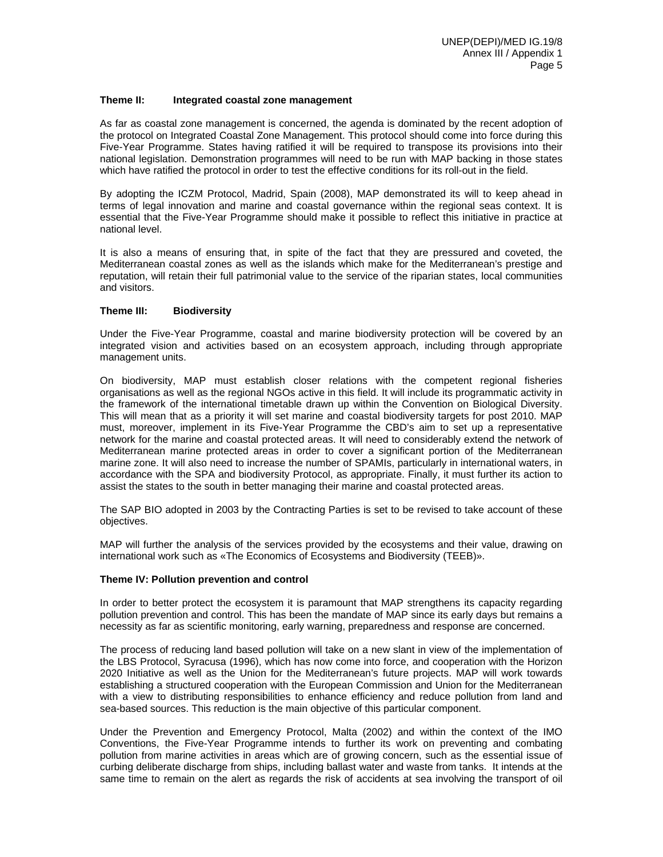#### **Theme II: Integrated coastal zone management**

As far as coastal zone management is concerned, the agenda is dominated by the recent adoption of the protocol on Integrated Coastal Zone Management. This protocol should come into force during this Five-Year Programme. States having ratified it will be required to transpose its provisions into their national legislation. Demonstration programmes will need to be run with MAP backing in those states which have ratified the protocol in order to test the effective conditions for its roll-out in the field.

By adopting the ICZM Protocol, Madrid, Spain (2008), MAP demonstrated its will to keep ahead in terms of legal innovation and marine and coastal governance within the regional seas context. It is essential that the Five-Year Programme should make it possible to reflect this initiative in practice at national level.

It is also a means of ensuring that, in spite of the fact that they are pressured and coveted, the Mediterranean coastal zones as well as the islands which make for the Mediterranean's prestige and reputation, will retain their full patrimonial value to the service of the riparian states, local communities and visitors.

#### **Theme III: Biodiversity**

Under the Five-Year Programme, coastal and marine biodiversity protection will be covered by an integrated vision and activities based on an ecosystem approach, including through appropriate management units.

On biodiversity, MAP must establish closer relations with the competent regional fisheries organisations as well as the regional NGOs active in this field. It will include its programmatic activity in the framework of the international timetable drawn up within the Convention on Biological Diversity. This will mean that as a priority it will set marine and coastal biodiversity targets for post 2010. MAP must, moreover, implement in its Five-Year Programme the CBD's aim to set up a representative network for the marine and coastal protected areas. It will need to considerably extend the network of Mediterranean marine protected areas in order to cover a significant portion of the Mediterranean marine zone. It will also need to increase the number of SPAMIs, particularly in international waters, in accordance with the SPA and biodiversity Protocol, as appropriate. Finally, it must further its action to assist the states to the south in better managing their marine and coastal protected areas.

The SAP BIO adopted in 2003 by the Contracting Parties is set to be revised to take account of these objectives.

MAP will further the analysis of the services provided by the ecosystems and their value, drawing on international work such as «The Economics of Ecosystems and Biodiversity (TEEB)».

#### **Theme IV: Pollution prevention and control**

In order to better protect the ecosystem it is paramount that MAP strengthens its capacity regarding pollution prevention and control. This has been the mandate of MAP since its early days but remains a necessity as far as scientific monitoring, early warning, preparedness and response are concerned.

The process of reducing land based pollution will take on a new slant in view of the implementation of the LBS Protocol, Syracusa (1996), which has now come into force, and cooperation with the Horizon 2020 Initiative as well as the Union for the Mediterranean's future projects. MAP will work towards establishing a structured cooperation with the European Commission and Union for the Mediterranean with a view to distributing responsibilities to enhance efficiency and reduce pollution from land and sea-based sources. This reduction is the main objective of this particular component.

Under the Prevention and Emergency Protocol, Malta (2002) and within the context of the IMO Conventions, the Five-Year Programme intends to further its work on preventing and combating pollution from marine activities in areas which are of growing concern, such as the essential issue of curbing deliberate discharge from ships, including ballast water and waste from tanks. It intends at the same time to remain on the alert as regards the risk of accidents at sea involving the transport of oil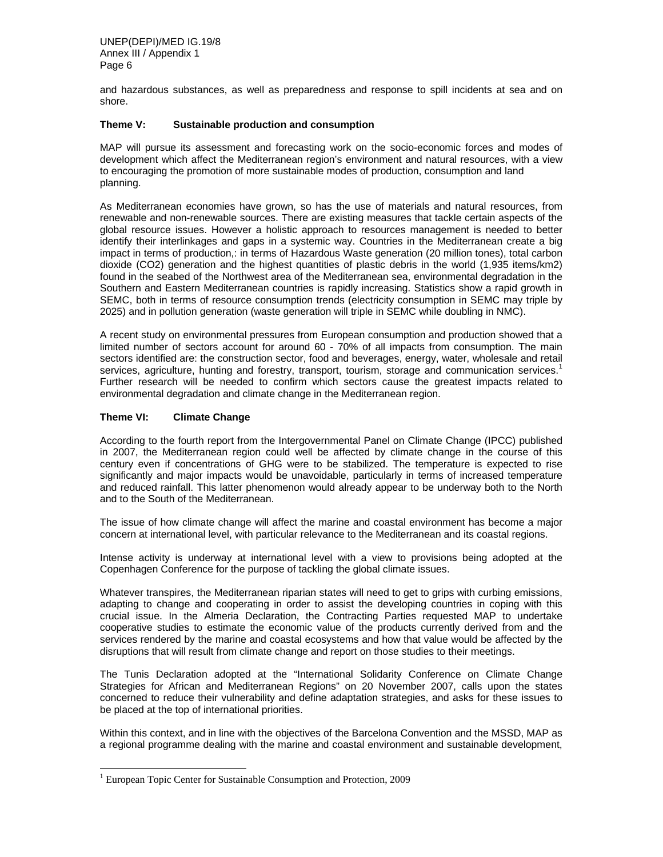and hazardous substances, as well as preparedness and response to spill incidents at sea and on shore.

### **Theme V: Sustainable production and consumption**

MAP will pursue its assessment and forecasting work on the socio-economic forces and modes of development which affect the Mediterranean region's environment and natural resources, with a view to encouraging the promotion of more sustainable modes of production, consumption and land planning.

As Mediterranean economies have grown, so has the use of materials and natural resources, from renewable and non-renewable sources. There are existing measures that tackle certain aspects of the global resource issues. However a holistic approach to resources management is needed to better identify their interlinkages and gaps in a systemic way. Countries in the Mediterranean create a big impact in terms of production,: in terms of Hazardous Waste generation (20 million tones), total carbon dioxide (CO2) generation and the highest quantities of plastic debris in the world (1,935 items/km2) found in the seabed of the Northwest area of the Mediterranean sea, environmental degradation in the Southern and Eastern Mediterranean countries is rapidly increasing. Statistics show a rapid growth in SEMC, both in terms of resource consumption trends (electricity consumption in SEMC may triple by 2025) and in pollution generation (waste generation will triple in SEMC while doubling in NMC).

A recent study on environmental pressures from European consumption and production showed that a limited number of sectors account for around 60 - 70% of all impacts from consumption. The main sectors identified are: the construction sector, food and beverages, energy, water, wholesale and retail services, agriculture, hunting and forestry, transport, tourism, storage and communication services.<sup>1</sup> Further research will be needed to confirm which sectors cause the greatest impacts related to environmental degradation and climate change in the Mediterranean region.

## **Theme VI: Climate Change**

l

According to the fourth report from the Intergovernmental Panel on Climate Change (IPCC) published in 2007, the Mediterranean region could well be affected by climate change in the course of this century even if concentrations of GHG were to be stabilized. The temperature is expected to rise significantly and major impacts would be unavoidable, particularly in terms of increased temperature and reduced rainfall. This latter phenomenon would already appear to be underway both to the North and to the South of the Mediterranean.

The issue of how climate change will affect the marine and coastal environment has become a major concern at international level, with particular relevance to the Mediterranean and its coastal regions.

Intense activity is underway at international level with a view to provisions being adopted at the Copenhagen Conference for the purpose of tackling the global climate issues.

Whatever transpires, the Mediterranean riparian states will need to get to grips with curbing emissions, adapting to change and cooperating in order to assist the developing countries in coping with this crucial issue. In the Almeria Declaration, the Contracting Parties requested MAP to undertake cooperative studies to estimate the economic value of the products currently derived from and the services rendered by the marine and coastal ecosystems and how that value would be affected by the disruptions that will result from climate change and report on those studies to their meetings.

The Tunis Declaration adopted at the "International Solidarity Conference on Climate Change Strategies for African and Mediterranean Regions" on 20 November 2007, calls upon the states concerned to reduce their vulnerability and define adaptation strategies, and asks for these issues to be placed at the top of international priorities.

Within this context, and in line with the objectives of the Barcelona Convention and the MSSD, MAP as a regional programme dealing with the marine and coastal environment and sustainable development,

<sup>&</sup>lt;sup>1</sup> European Topic Center for Sustainable Consumption and Protection, 2009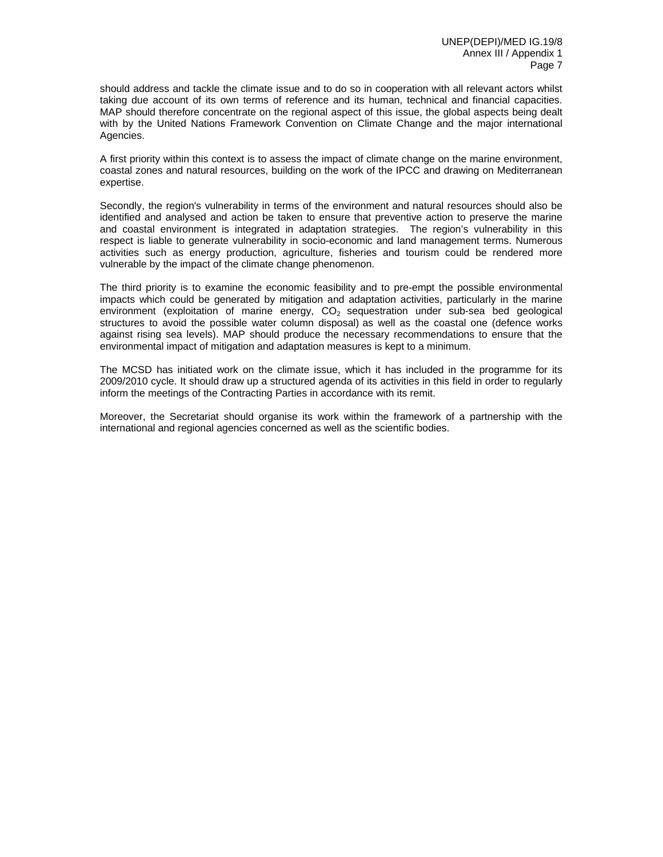should address and tackle the climate issue and to do so in cooperation with all relevant actors whilst taking due account of its own terms of reference and its human, technical and financial capacities. MAP should therefore concentrate on the regional aspect of this issue, the global aspects being dealt with by the United Nations Framework Convention on Climate Change and the major international Agencies.

A first priority within this context is to assess the impact of climate change on the marine environment, coastal zones and natural resources, building on the work of the IPCC and drawing on Mediterranean expertise.

Secondly, the region's vulnerability in terms of the environment and natural resources should also be identified and analysed and action be taken to ensure that preventive action to preserve the marine and coastal environment is integrated in adaptation strategies. The region's vulnerability in this respect is liable to generate vulnerability in socio-economic and land management terms. Numerous activities such as energy production, agriculture, fisheries and tourism could be rendered more vulnerable by the impact of the climate change phenomenon.

The third priority is to examine the economic feasibility and to pre-empt the possible environmental impacts which could be generated by mitigation and adaptation activities, particularly in the marine environment (exploitation of marine energy,  $CO<sub>2</sub>$  sequestration under sub-sea bed geological structures to avoid the possible water column disposal) as well as the coastal one (defence works against rising sea levels). MAP should produce the necessary recommendations to ensure that the environmental impact of mitigation and adaptation measures is kept to a minimum.

The MCSD has initiated work on the climate issue, which it has included in the programme for its 2009/2010 cycle. It should draw up a structured agenda of its activities in this field in order to regularly inform the meetings of the Contracting Parties in accordance with its remit.

Moreover, the Secretariat should organise its work within the framework of a partnership with the international and regional agencies concerned as well as the scientific bodies.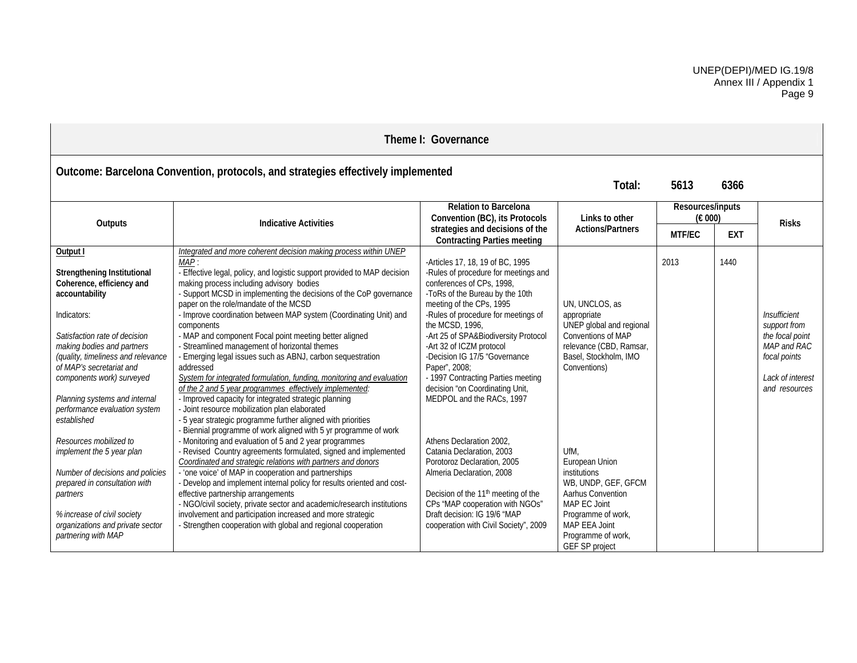|                                                                                                                                                                                                                                                                                                                                                      | Theme I: Governance                                                                                                                                                                                                                                                                                                                                                                                                                                                                                                                                                                                                                                                                                                                                                                                                                                                                                    |                                                                                                                                                                                                                                                                                                                                                                                                                                                            |                                                                                                                                                                                   |                             |            |                                                                                                                     |  |              |  |
|------------------------------------------------------------------------------------------------------------------------------------------------------------------------------------------------------------------------------------------------------------------------------------------------------------------------------------------------------|--------------------------------------------------------------------------------------------------------------------------------------------------------------------------------------------------------------------------------------------------------------------------------------------------------------------------------------------------------------------------------------------------------------------------------------------------------------------------------------------------------------------------------------------------------------------------------------------------------------------------------------------------------------------------------------------------------------------------------------------------------------------------------------------------------------------------------------------------------------------------------------------------------|------------------------------------------------------------------------------------------------------------------------------------------------------------------------------------------------------------------------------------------------------------------------------------------------------------------------------------------------------------------------------------------------------------------------------------------------------------|-----------------------------------------------------------------------------------------------------------------------------------------------------------------------------------|-----------------------------|------------|---------------------------------------------------------------------------------------------------------------------|--|--------------|--|
| Outcome: Barcelona Convention, protocols, and strategies effectively implemented<br>6366<br>5613<br>Total:                                                                                                                                                                                                                                           |                                                                                                                                                                                                                                                                                                                                                                                                                                                                                                                                                                                                                                                                                                                                                                                                                                                                                                        |                                                                                                                                                                                                                                                                                                                                                                                                                                                            |                                                                                                                                                                                   |                             |            |                                                                                                                     |  |              |  |
| <b>Indicative Activities</b><br>Outputs                                                                                                                                                                                                                                                                                                              |                                                                                                                                                                                                                                                                                                                                                                                                                                                                                                                                                                                                                                                                                                                                                                                                                                                                                                        | <b>Relation to Barcelona</b><br>Convention (BC), its Protocols                                                                                                                                                                                                                                                                                                                                                                                             | Links to other                                                                                                                                                                    | Resources/inputs<br>(E 000) |            |                                                                                                                     |  | <b>Risks</b> |  |
|                                                                                                                                                                                                                                                                                                                                                      |                                                                                                                                                                                                                                                                                                                                                                                                                                                                                                                                                                                                                                                                                                                                                                                                                                                                                                        | strategies and decisions of the<br><b>Contracting Parties meeting</b>                                                                                                                                                                                                                                                                                                                                                                                      | <b>Actions/Partners</b>                                                                                                                                                           | MTF/EC                      | <b>EXT</b> |                                                                                                                     |  |              |  |
| Output I<br>Strengthening Institutional<br>Coherence, efficiency and<br>accountability<br>Indicators:<br>Satisfaction rate of decision<br>making bodies and partners<br>(quality, timeliness and relevance<br>of MAP's secretariat and<br>components work) surveyed<br>Planning systems and internal<br>performance evaluation system<br>established | Integrated and more coherent decision making process within UNEP<br>MAP:<br>- Effective legal, policy, and logistic support provided to MAP decision<br>making process including advisory bodies<br>- Support MCSD in implementing the decisions of the CoP governance<br>paper on the role/mandate of the MCSD<br>- Improve coordination between MAP system (Coordinating Unit) and<br>components<br>- MAP and component Focal point meeting better aligned<br>- Streamlined management of horizontal themes<br>- Emerging legal issues such as ABNJ, carbon sequestration<br>addressed<br>System for integrated formulation, funding, monitoring and evaluation<br>of the 2 and 5 year programmes effectively implemented:<br>- Improved capacity for integrated strategic planning<br>- Joint resource mobilization plan elaborated<br>- 5 year strategic programme further aligned with priorities | -Articles 17, 18, 19 of BC, 1995<br>-Rules of procedure for meetings and<br>conferences of CPs, 1998,<br>-ToRs of the Bureau by the 10th<br>meeting of the CPs, 1995<br>-Rules of procedure for meetings of<br>the MCSD, 1996.<br>-Art 25 of SPA&Biodiversity Protocol<br>-Art 32 of ICZM protocol<br>-Decision IG 17/5 "Governance<br>Paper", 2008;<br>- 1997 Contracting Parties meeting<br>decision "on Coordinating Unit,<br>MEDPOL and the RACs, 1997 | UN, UNCLOS, as<br>appropriate<br>UNEP global and regional<br>Conventions of MAP<br>relevance (CBD, Ramsar,<br>Basel, Stockholm, IMO<br>Conventions)                               | 2013                        | 1440       | Insufficient<br>support from<br>the focal point<br>MAP and RAC<br>focal points<br>Lack of interest<br>and resources |  |              |  |
| Resources mobilized to<br>implement the 5 year plan<br>Number of decisions and policies<br>prepared in consultation with<br>partners<br>% increase of civil society<br>organizations and private sector<br>partnering with MAP                                                                                                                       | Biennial programme of work aligned with 5 yr programme of work<br>- Monitoring and evaluation of 5 and 2 year programmes<br>Revised Country agreements formulated, signed and implemented<br>Coordinated and strategic relations with partners and donors<br>'one voice' of MAP in cooperation and partnerships<br>Develop and implement internal policy for results oriented and cost-<br>effective partnership arrangements<br>- NGO/civil society, private sector and academic/research institutions<br>involvement and participation increased and more strategic<br>- Strengthen cooperation with global and regional cooperation                                                                                                                                                                                                                                                                 | Athens Declaration 2002.<br>Catania Declaration, 2003<br>Porotoroz Declaration, 2005<br>Almeria Declaration, 2008<br>Decision of the 11 <sup>th</sup> meeting of the<br>CPs "MAP cooperation with NGOs"<br>Draft decision: IG 19/6 "MAP<br>cooperation with Civil Society", 2009                                                                                                                                                                           | UfM.<br>European Union<br>institutions<br>WB, UNDP, GEF, GFCM<br>Aarhus Convention<br>MAP EC Joint<br>Programme of work,<br>MAP EEA Joint<br>Programme of work,<br>GEF SP project |                             |            |                                                                                                                     |  |              |  |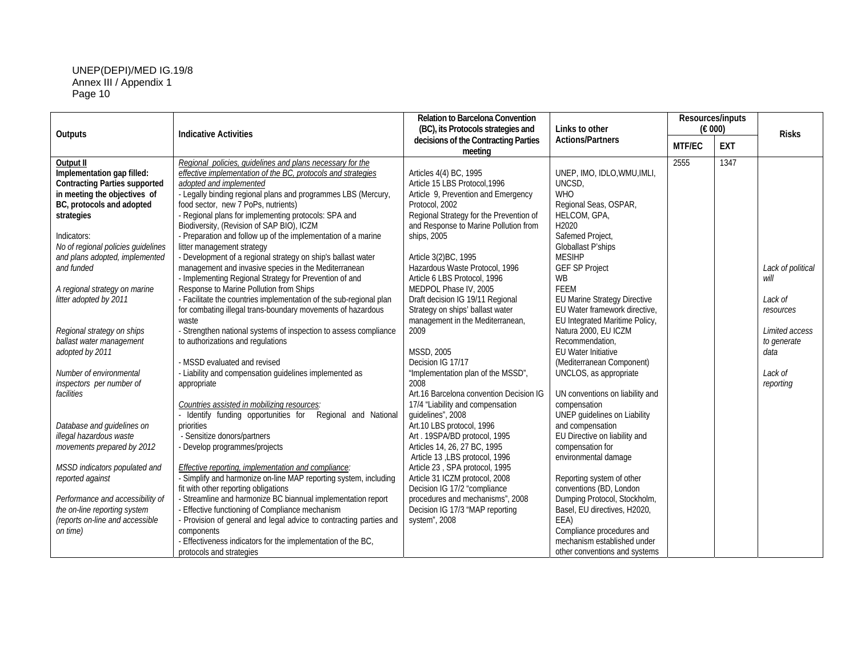| Outputs                              | <b>Indicative Activities</b>                                       | <b>Relation to Barcelona Convention</b><br>(BC), its Protocols strategies and | Links to other                  | Resources/inputs<br>$(\epsilon 000)$ |            | <b>Risks</b>      |
|--------------------------------------|--------------------------------------------------------------------|-------------------------------------------------------------------------------|---------------------------------|--------------------------------------|------------|-------------------|
|                                      |                                                                    | decisions of the Contracting Parties<br>meeting                               | <b>Actions/Partners</b>         | <b>MTF/EC</b>                        | <b>EXT</b> |                   |
| Output II                            | Regional policies, guidelines and plans necessary for the          |                                                                               |                                 | 2555                                 | 1347       |                   |
| Implementation gap filled:           | effective implementation of the BC, protocols and strategies       | Articles 4(4) BC, 1995                                                        | UNEP, IMO, IDLO, WMU, IMLI,     |                                      |            |                   |
| <b>Contracting Parties supported</b> | adopted and implemented                                            | Article 15 LBS Protocol, 1996                                                 | UNCSD,                          |                                      |            |                   |
| in meeting the objectives of         | - Legally binding regional plans and programmes LBS (Mercury,      | Article 9, Prevention and Emergency                                           | <b>WHO</b>                      |                                      |            |                   |
| BC, protocols and adopted            | food sector, new 7 PoPs, nutrients)                                | Protocol, 2002                                                                | Regional Seas, OSPAR,           |                                      |            |                   |
| strategies                           | - Regional plans for implementing protocols: SPA and               | Regional Strategy for the Prevention of                                       | HELCOM, GPA,                    |                                      |            |                   |
|                                      | Biodiversity, (Revision of SAP BIO), ICZM                          | and Response to Marine Pollution from                                         | H2020                           |                                      |            |                   |
| Indicators:                          | - Preparation and follow up of the implementation of a marine      | ships, 2005                                                                   | Safemed Project,                |                                      |            |                   |
| No of regional policies guidelines   | litter management strategy                                         |                                                                               | Globallast P'ships              |                                      |            |                   |
| and plans adopted, implemented       | - Development of a regional strategy on ship's ballast water       | Article 3(2)BC, 1995                                                          | <b>MESIHP</b>                   |                                      |            |                   |
| and funded                           | management and invasive species in the Mediterranean               | Hazardous Waste Protocol, 1996                                                | <b>GEF SP Project</b>           |                                      |            | Lack of political |
|                                      | - Implementing Regional Strategy for Prevention of and             | Article 6 LBS Protocol, 1996                                                  | <b>WB</b>                       |                                      |            | will              |
| A regional strategy on marine        | Response to Marine Pollution from Ships                            | MEDPOL Phase IV, 2005                                                         | <b>FEEM</b>                     |                                      |            |                   |
| litter adopted by 2011               | - Facilitate the countries implementation of the sub-regional plan | Draft decision IG 19/11 Regional                                              | EU Marine Strategy Directive    |                                      |            | Lack of           |
|                                      | for combating illegal trans-boundary movements of hazardous        | Strategy on ships' ballast water                                              | EU Water framework directive,   |                                      |            | resources         |
|                                      | waste                                                              | management in the Mediterranean,                                              | EU Integrated Maritime Policy,  |                                      |            |                   |
| Regional strategy on ships           | - Strengthen national systems of inspection to assess compliance   | 2009                                                                          | Natura 2000, EU ICZM            |                                      |            | Limited access    |
| ballast water management             | to authorizations and regulations                                  |                                                                               | Recommendation,                 |                                      |            | to generate       |
| adopted by 2011                      |                                                                    | <b>MSSD, 2005</b>                                                             | <b>EU Water Initiative</b>      |                                      |            | data              |
|                                      | - MSSD evaluated and revised                                       | Decision IG 17/17                                                             | (Mediterranean Component)       |                                      |            |                   |
| Number of environmental              | - Liability and compensation guidelines implemented as             | "Implementation plan of the MSSD",                                            | UNCLOS, as appropriate          |                                      |            | Lack of           |
| inspectors per number of             | appropriate                                                        | 2008                                                                          |                                 |                                      |            | reporting         |
| facilities                           |                                                                    | Art.16 Barcelona convention Decision IG                                       | UN conventions on liability and |                                      |            |                   |
|                                      | Countries assisted in mobilizing resources:                        | 17/4 "Liability and compensation                                              | compensation                    |                                      |            |                   |
|                                      | Identify funding opportunities for Regional and National           | guidelines", 2008                                                             | UNEP guidelines on Liability    |                                      |            |                   |
| Database and guidelines on           | priorities                                                         | Art.10 LBS protocol, 1996                                                     | and compensation                |                                      |            |                   |
| illegal hazardous waste              | - Sensitize donors/partners                                        | Art. 19SPA/BD protocol, 1995                                                  | EU Directive on liability and   |                                      |            |                   |
| movements prepared by 2012           | - Develop programmes/projects                                      | Articles 14, 26, 27 BC, 1995                                                  | compensation for                |                                      |            |                   |
|                                      |                                                                    | Article 13 , LBS protocol, 1996                                               | environmental damage            |                                      |            |                   |
| MSSD indicators populated and        | Effective reporting, implementation and compliance:                | Article 23, SPA protocol, 1995                                                |                                 |                                      |            |                   |
| reported against                     | - Simplify and harmonize on-line MAP reporting system, including   | Article 31 ICZM protocol, 2008                                                | Reporting system of other       |                                      |            |                   |
|                                      | fit with other reporting obligations                               | Decision IG 17/2 "compliance                                                  | conventions (BD, London         |                                      |            |                   |
| Performance and accessibility of     | - Streamline and harmonize BC biannual implementation report       | procedures and mechanisms", 2008                                              | Dumping Protocol, Stockholm,    |                                      |            |                   |
| the on-line reporting system         | - Effective functioning of Compliance mechanism                    | Decision IG 17/3 "MAP reporting                                               | Basel, EU directives, H2020,    |                                      |            |                   |
| (reports on-line and accessible      | - Provision of general and legal advice to contracting parties and | system", 2008                                                                 | EEA)                            |                                      |            |                   |
| on time)                             | components                                                         |                                                                               | Compliance procedures and       |                                      |            |                   |
|                                      | - Effectiveness indicators for the implementation of the BC,       |                                                                               | mechanism established under     |                                      |            |                   |
|                                      | protocols and strategies                                           |                                                                               | other conventions and systems   |                                      |            |                   |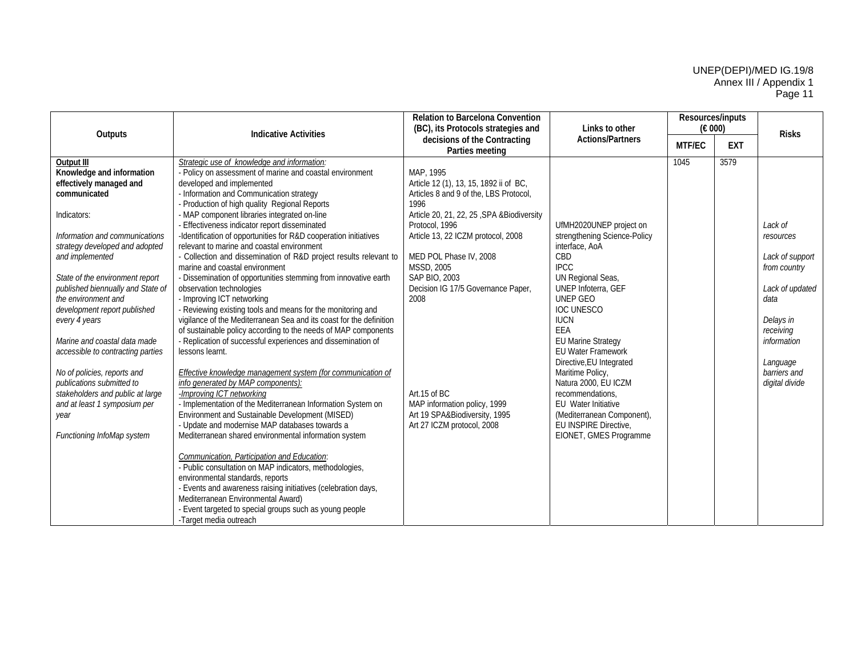| Outputs                                                                                                                                                                                                                                                                                                                                                                                                                                                                                                                                                                             | <b>Indicative Activities</b>                                                                                                                                                                                                                                                                                                                                                                                                                                                                                                                                                                                                                                                                                                                                                                                                                                                                                                                                                                                                                                                                                                                                                                                                                                                                                                                                                                                                                                                                                                                                                                                                                                                                    | <b>Relation to Barcelona Convention</b><br>(BC), its Protocols strategies and                                                                                                                                                                                                                                                                                                                                                           | Links to other                                                                                                                                                                                                                                                                                                                                                                                                                                                          | Resources/inputs<br>(E 000) |            | <b>Risks</b>                                                                                                                                                              |
|-------------------------------------------------------------------------------------------------------------------------------------------------------------------------------------------------------------------------------------------------------------------------------------------------------------------------------------------------------------------------------------------------------------------------------------------------------------------------------------------------------------------------------------------------------------------------------------|-------------------------------------------------------------------------------------------------------------------------------------------------------------------------------------------------------------------------------------------------------------------------------------------------------------------------------------------------------------------------------------------------------------------------------------------------------------------------------------------------------------------------------------------------------------------------------------------------------------------------------------------------------------------------------------------------------------------------------------------------------------------------------------------------------------------------------------------------------------------------------------------------------------------------------------------------------------------------------------------------------------------------------------------------------------------------------------------------------------------------------------------------------------------------------------------------------------------------------------------------------------------------------------------------------------------------------------------------------------------------------------------------------------------------------------------------------------------------------------------------------------------------------------------------------------------------------------------------------------------------------------------------------------------------------------------------|-----------------------------------------------------------------------------------------------------------------------------------------------------------------------------------------------------------------------------------------------------------------------------------------------------------------------------------------------------------------------------------------------------------------------------------------|-------------------------------------------------------------------------------------------------------------------------------------------------------------------------------------------------------------------------------------------------------------------------------------------------------------------------------------------------------------------------------------------------------------------------------------------------------------------------|-----------------------------|------------|---------------------------------------------------------------------------------------------------------------------------------------------------------------------------|
|                                                                                                                                                                                                                                                                                                                                                                                                                                                                                                                                                                                     |                                                                                                                                                                                                                                                                                                                                                                                                                                                                                                                                                                                                                                                                                                                                                                                                                                                                                                                                                                                                                                                                                                                                                                                                                                                                                                                                                                                                                                                                                                                                                                                                                                                                                                 | decisions of the Contracting<br>Parties meeting                                                                                                                                                                                                                                                                                                                                                                                         | <b>Actions/Partners</b>                                                                                                                                                                                                                                                                                                                                                                                                                                                 | <b>MTF/EC</b>               | <b>EXT</b> |                                                                                                                                                                           |
| Output III<br>Knowledge and information<br>effectively managed and<br>communicated<br>Indicators:<br>Information and communications<br>strategy developed and adopted<br>and implemented<br>State of the environment report<br>published biennually and State of<br>the environment and<br>development report published<br>every 4 years<br>Marine and coastal data made<br>accessible to contracting parties<br>No of policies, reports and<br>publications submitted to<br>stakeholders and public at large<br>and at least 1 symposium per<br>year<br>Functioning InfoMap system | Strategic use of knowledge and information:<br>- Policy on assessment of marine and coastal environment<br>developed and implemented<br>- Information and Communication strategy<br>Production of high quality Regional Reports<br>MAP component libraries integrated on-line<br>- Effectiveness indicator report disseminated<br>-Identification of opportunities for R&D cooperation initiatives<br>relevant to marine and coastal environment<br>- Collection and dissemination of R&D project results relevant to<br>marine and coastal environment<br>- Dissemination of opportunities stemming from innovative earth<br>observation technologies<br>- Improving ICT networking<br>- Reviewing existing tools and means for the monitoring and<br>vigilance of the Mediterranean Sea and its coast for the definition<br>of sustainable policy according to the needs of MAP components<br>- Replication of successful experiences and dissemination of<br>lessons learnt.<br><b>Effective knowledge management system (for communication of</b><br>info generated by MAP components):<br>-Improving ICT networking<br>- Implementation of the Mediterranean Information System on<br>Environment and Sustainable Development (MISED)<br>- Update and modernise MAP databases towards a<br>Mediterranean shared environmental information system<br>Communication, Participation and Education.<br>- Public consultation on MAP indicators, methodologies,<br>environmental standards, reports<br>- Events and awareness raising initiatives (celebration days,<br>Mediterranean Environmental Award)<br>- Event targeted to special groups such as young people<br>-Target media outreach | MAP, 1995<br>Article 12 (1), 13, 15, 1892 ii of BC,<br>Articles 8 and 9 of the, LBS Protocol,<br>1996<br>Article 20, 21, 22, 25, SPA &Biodiversity<br>Protocol, 1996<br>Article 13, 22 ICZM protocol, 2008<br>MED POL Phase IV, 2008<br><b>MSSD, 2005</b><br>SAP BIO, 2003<br>Decision IG 17/5 Governance Paper,<br>2008<br>Art.15 of BC<br>MAP information policy, 1999<br>Art 19 SPA&Biodiversity, 1995<br>Art 27 ICZM protocol, 2008 | UfMH2020UNEP project on<br>strengthening Science-Policy<br>interface, AoA<br>CBD<br><b>IPCC</b><br>UN Regional Seas,<br>UNEP Infoterra, GEF<br>UNEP GEO<br><b>IOC UNESCO</b><br><b>IUCN</b><br>EEA<br><b>EU Marine Strategy</b><br><b>EU Water Framework</b><br>Directive, EU Integrated<br>Maritime Policy,<br>Natura 2000, EU ICZM<br>recommendations.<br><b>EU</b> Water Initiative<br>(Mediterranean Component),<br>EU INSPIRE Directive.<br>EIONET, GMES Programme | 1045                        | 3579       | Lack of<br>resources<br>Lack of support<br>from country<br>Lack of updated<br>data<br>Delays in<br>receiving<br>information<br>Language<br>barriers and<br>digital divide |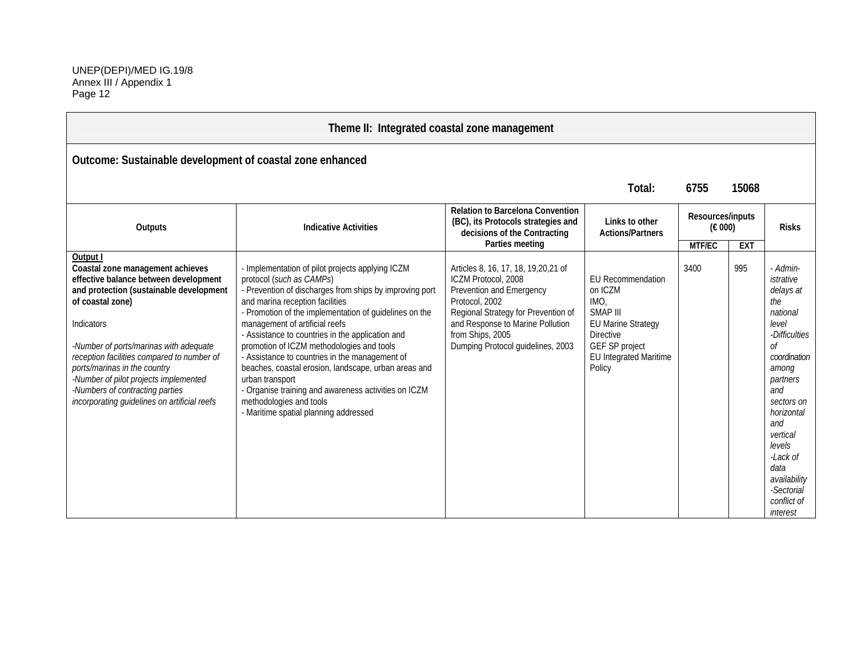$\sim$ 

| Theme II: Integrated coastal zone management                                                                                                                                                                                                                                                                                                                                                                           |                                                                                                                                                                                                                                                                                                                                                                                                                                                                                                                                                                                                                                  |                                                                                                                                                                                                                                                |                                                                                                                                                                       |                                                |            |                                                                                                                                                                                                                                                                         |  |  |
|------------------------------------------------------------------------------------------------------------------------------------------------------------------------------------------------------------------------------------------------------------------------------------------------------------------------------------------------------------------------------------------------------------------------|----------------------------------------------------------------------------------------------------------------------------------------------------------------------------------------------------------------------------------------------------------------------------------------------------------------------------------------------------------------------------------------------------------------------------------------------------------------------------------------------------------------------------------------------------------------------------------------------------------------------------------|------------------------------------------------------------------------------------------------------------------------------------------------------------------------------------------------------------------------------------------------|-----------------------------------------------------------------------------------------------------------------------------------------------------------------------|------------------------------------------------|------------|-------------------------------------------------------------------------------------------------------------------------------------------------------------------------------------------------------------------------------------------------------------------------|--|--|
| Outcome: Sustainable development of coastal zone enhanced                                                                                                                                                                                                                                                                                                                                                              |                                                                                                                                                                                                                                                                                                                                                                                                                                                                                                                                                                                                                                  |                                                                                                                                                                                                                                                |                                                                                                                                                                       |                                                |            |                                                                                                                                                                                                                                                                         |  |  |
|                                                                                                                                                                                                                                                                                                                                                                                                                        |                                                                                                                                                                                                                                                                                                                                                                                                                                                                                                                                                                                                                                  |                                                                                                                                                                                                                                                | Total:                                                                                                                                                                | 6755                                           | 15068      |                                                                                                                                                                                                                                                                         |  |  |
| Outputs                                                                                                                                                                                                                                                                                                                                                                                                                | <b>Relation to Barcelona Convention</b><br>(BC), its Protocols strategies and<br>Links to other<br><b>Indicative Activities</b><br>decisions of the Contracting<br><b>Actions/Partners</b><br>Parties meeting                                                                                                                                                                                                                                                                                                                                                                                                                    |                                                                                                                                                                                                                                                |                                                                                                                                                                       | Resources/inputs<br>$(\epsilon 000)$<br>MTF/EC | <b>EXT</b> | <b>Risks</b>                                                                                                                                                                                                                                                            |  |  |
| Output I<br>Coastal zone management achieves<br>effective balance between development<br>and protection (sustainable development<br>of coastal zone)<br>Indicators<br>-Number of ports/marinas with adequate<br>reception facilities compared to number of<br>ports/marinas in the country<br>-Number of pilot projects implemented<br>-Numbers of contracting parties<br>incorporating guidelines on artificial reefs | - Implementation of pilot projects applying ICZM<br>protocol (such as CAMPs)<br>- Prevention of discharges from ships by improving port<br>and marina reception facilities<br>- Promotion of the implementation of guidelines on the<br>management of artificial reefs<br>- Assistance to countries in the application and<br>promotion of ICZM methodologies and tools<br>- Assistance to countries in the management of<br>beaches, coastal erosion, landscape, urban areas and<br>urban transport<br>- Organise training and awareness activities on ICZM<br>methodologies and tools<br>- Maritime spatial planning addressed | Articles 8, 16, 17, 18, 19, 20, 21 of<br>ICZM Protocol, 2008<br>Prevention and Emergency<br>Protocol, 2002<br>Regional Strategy for Prevention of<br>and Response to Marine Pollution<br>from Ships, 2005<br>Dumping Protocol guidelines, 2003 | <b>EU Recommendation</b><br>on ICZM<br>IMO.<br>SMAP III<br><b>EU Marine Strategy</b><br><b>Directive</b><br>GEF SP project<br><b>EU Integrated Maritime</b><br>Policy | 3400                                           | 995        | - Admin-<br>istrative<br>delays at<br>the<br>national<br>level<br>-Difficulties<br>0f<br>coordination<br>among<br>partners<br>and<br>sectors on<br>horizontal<br>and<br>vertical<br>levels<br>-Lack of<br>data<br>availability<br>-Sectorial<br>conflict of<br>interest |  |  |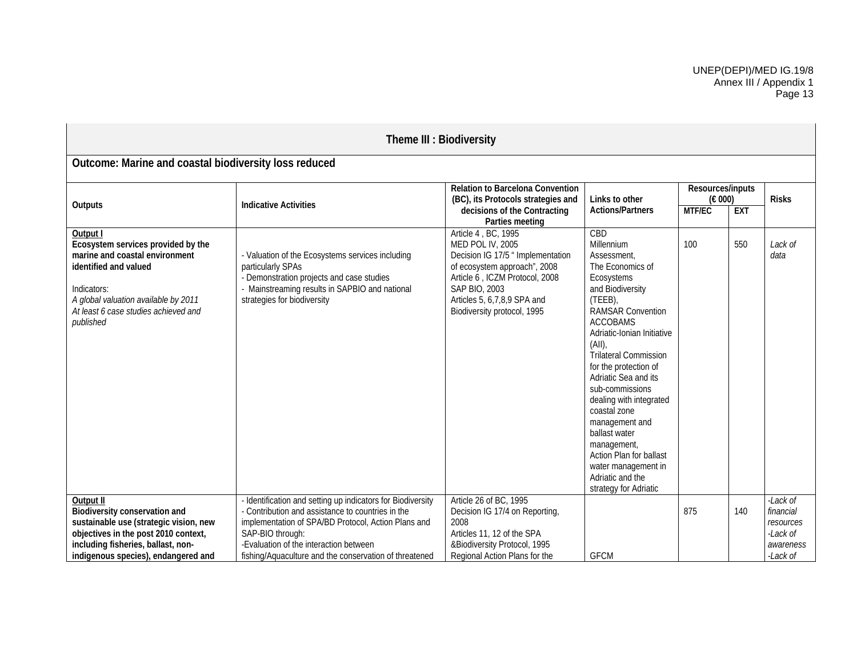| Theme III : Biodiversity                                                                                                                                                                                              |                                                                                                                                                                                                                                                                                                 |                                                                                                                                                                                                                                                |                                                                                                                                                                                                                                                                                                                                                                                                                                                                                         |     |                 |                                                                         |                                                     |  |              |
|-----------------------------------------------------------------------------------------------------------------------------------------------------------------------------------------------------------------------|-------------------------------------------------------------------------------------------------------------------------------------------------------------------------------------------------------------------------------------------------------------------------------------------------|------------------------------------------------------------------------------------------------------------------------------------------------------------------------------------------------------------------------------------------------|-----------------------------------------------------------------------------------------------------------------------------------------------------------------------------------------------------------------------------------------------------------------------------------------------------------------------------------------------------------------------------------------------------------------------------------------------------------------------------------------|-----|-----------------|-------------------------------------------------------------------------|-----------------------------------------------------|--|--------------|
| Outcome: Marine and coastal biodiversity loss reduced                                                                                                                                                                 |                                                                                                                                                                                                                                                                                                 |                                                                                                                                                                                                                                                |                                                                                                                                                                                                                                                                                                                                                                                                                                                                                         |     |                 |                                                                         |                                                     |  |              |
| Outputs                                                                                                                                                                                                               | <b>Indicative Activities</b>                                                                                                                                                                                                                                                                    | Relation to Barcelona Convention<br>(BC), its Protocols strategies and<br>Links to other<br>decisions of the Contracting<br><b>Actions/Partners</b>                                                                                            |                                                                                                                                                                                                                                                                                                                                                                                                                                                                                         |     | Parties meeting |                                                                         | Resources/inputs<br>(€ 000)<br>MTF/EC<br><b>EXT</b> |  | <b>Risks</b> |
| Output I<br>Ecosystem services provided by the<br>marine and coastal environment<br>identified and valued<br>Indicators:<br>A global valuation available by 2011<br>At least 6 case studies achieved and<br>published | - Valuation of the Ecosystems services including<br>particularly SPAs<br>- Demonstration projects and case studies<br>- Mainstreaming results in SAPBIO and national<br>strategies for biodiversity                                                                                             | Article 4, BC, 1995<br><b>MED POL IV, 2005</b><br>Decision IG 17/5 " Implementation<br>of ecosystem approach", 2008<br>Article 6, ICZM Protocol, 2008<br><b>SAP BIO, 2003</b><br>Articles 5, 6, 7, 8, 9 SPA and<br>Biodiversity protocol, 1995 | CBD<br>Millennium<br>Assessment.<br>The Economics of<br>Ecosystems<br>and Biodiversity<br>(TEEB),<br><b>RAMSAR Convention</b><br><b>ACCOBAMS</b><br>Adriatic-Ionian Initiative<br>(AII)<br><b>Trilateral Commission</b><br>for the protection of<br>Adriatic Sea and its<br>sub-commissions<br>dealing with integrated<br>coastal zone<br>management and<br>ballast water<br>management,<br>Action Plan for ballast<br>water management in<br>Adriatic and the<br>strategy for Adriatic | 100 | 550             | Lack of<br>data                                                         |                                                     |  |              |
| Output II<br>Biodiversity conservation and<br>sustainable use (strategic vision, new<br>objectives in the post 2010 context,<br>including fisheries, ballast, non-<br>indigenous species), endangered and             | - Identification and setting up indicators for Biodiversity<br>- Contribution and assistance to countries in the<br>implementation of SPA/BD Protocol, Action Plans and<br>SAP-BIO through:<br>-Evaluation of the interaction between<br>fishing/Aquaculture and the conservation of threatened | Article 26 of BC, 1995<br>Decision IG 17/4 on Reporting,<br>2008<br>Articles 11, 12 of the SPA<br>&Biodiversity Protocol, 1995<br>Regional Action Plans for the                                                                                | <b>GFCM</b>                                                                                                                                                                                                                                                                                                                                                                                                                                                                             | 875 | 140             | -Lack of<br>financial<br>resources<br>-Lack of<br>awareness<br>-Lack of |                                                     |  |              |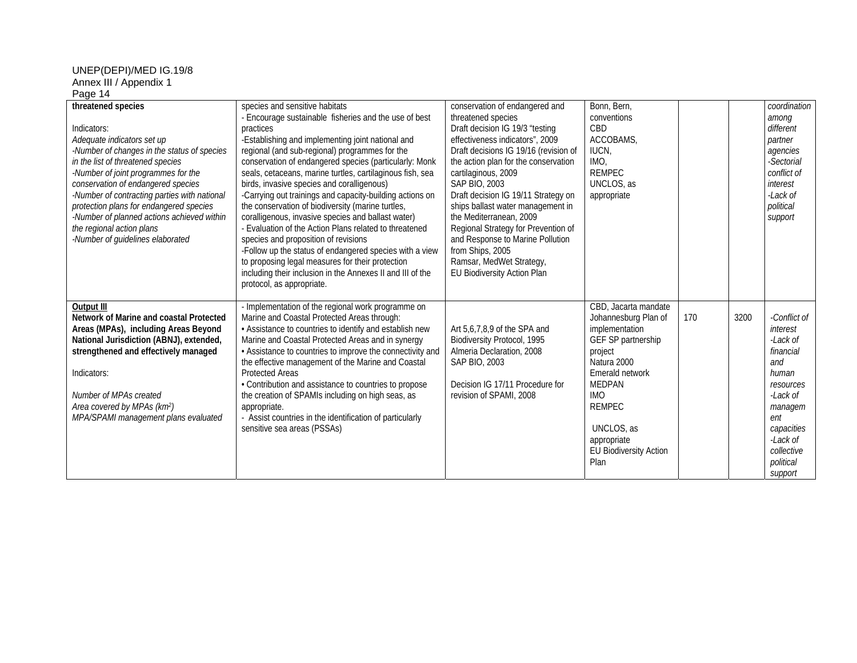| threatened species<br>Indicators:<br>Adequate indicators set up<br>-Number of changes in the status of species<br>in the list of threatened species<br>-Number of joint programmes for the<br>conservation of endangered species<br>-Number of contracting parties with national<br>protection plans for endangered species<br>-Number of planned actions achieved within<br>the regional action plans<br>-Number of guidelines elaborated | species and sensitive habitats<br>- Encourage sustainable fisheries and the use of best<br>practices<br>-Establishing and implementing joint national and<br>regional (and sub-regional) programmes for the<br>conservation of endangered species (particularly: Monk<br>seals, cetaceans, marine turtles, cartilaginous fish, sea<br>birds, invasive species and coralligenous)<br>-Carrying out trainings and capacity-building actions on<br>the conservation of biodiversity (marine turtles,<br>coralligenous, invasive species and ballast water)<br>- Evaluation of the Action Plans related to threatened<br>species and proposition of revisions<br>-Follow up the status of endangered species with a view<br>to proposing legal measures for their protection<br>including their inclusion in the Annexes II and III of the | conservation of endangered and<br>threatened species<br>Draft decision IG 19/3 "testing<br>effectiveness indicators", 2009<br>Draft decisions IG 19/16 (revision of<br>the action plan for the conservation<br>cartilaginous, 2009<br>SAP BIO, 2003<br>Draft decision IG 19/11 Strategy on<br>ships ballast water management in<br>the Mediterranean, 2009<br>Regional Strategy for Prevention of<br>and Response to Marine Pollution<br>from Ships, 2005<br>Ramsar, MedWet Strategy,<br>EU Biodiversity Action Plan | Bonn, Bern,<br>conventions<br>CBD<br>ACCOBAMS.<br>IUCN,<br>IMO.<br><b>REMPEC</b><br>UNCLOS, as<br>appropriate                                                                                                                                           |     |      | coordination<br>among<br>different<br>partner<br>agencies<br>-Sectorial<br>conflict of<br>interest<br>-Lack of<br>political<br>support                                       |
|--------------------------------------------------------------------------------------------------------------------------------------------------------------------------------------------------------------------------------------------------------------------------------------------------------------------------------------------------------------------------------------------------------------------------------------------|----------------------------------------------------------------------------------------------------------------------------------------------------------------------------------------------------------------------------------------------------------------------------------------------------------------------------------------------------------------------------------------------------------------------------------------------------------------------------------------------------------------------------------------------------------------------------------------------------------------------------------------------------------------------------------------------------------------------------------------------------------------------------------------------------------------------------------------|----------------------------------------------------------------------------------------------------------------------------------------------------------------------------------------------------------------------------------------------------------------------------------------------------------------------------------------------------------------------------------------------------------------------------------------------------------------------------------------------------------------------|---------------------------------------------------------------------------------------------------------------------------------------------------------------------------------------------------------------------------------------------------------|-----|------|------------------------------------------------------------------------------------------------------------------------------------------------------------------------------|
| Output III<br>Network of Marine and coastal Protected<br>Areas (MPAs), including Areas Beyond<br>National Jurisdiction (ABNJ), extended,<br>strengthened and effectively managed<br>Indicators:<br>Number of MPAs created<br>Area covered by MPAs (km <sup>2</sup> )<br>MPA/SPAMI management plans evaluated                                                                                                                               | protocol, as appropriate.<br>- Implementation of the regional work programme on<br>Marine and Coastal Protected Areas through:<br>• Assistance to countries to identify and establish new<br>Marine and Coastal Protected Areas and in synergy<br>• Assistance to countries to improve the connectivity and<br>the effective management of the Marine and Coastal<br><b>Protected Areas</b><br>• Contribution and assistance to countries to propose<br>the creation of SPAMIs including on high seas, as<br>appropriate.<br>- Assist countries in the identification of particularly<br>sensitive sea areas (PSSAs)                                                                                                                                                                                                                   | Art 5,6,7,8,9 of the SPA and<br>Biodiversity Protocol, 1995<br>Almeria Declaration, 2008<br>SAP BIO, 2003<br>Decision IG 17/11 Procedure for<br>revision of SPAMI, 2008                                                                                                                                                                                                                                                                                                                                              | CBD, Jacarta mandate<br>Johannesburg Plan of<br>implementation<br>GEF SP partnership<br>project<br>Natura 2000<br>Emerald network<br><b>MEDPAN</b><br><b>IMO</b><br><b>REMPEC</b><br>UNCLOS, as<br>appropriate<br><b>EU Biodiversity Action</b><br>Plan | 170 | 3200 | -Conflict of<br>interest<br>-Lack of<br>financial<br>and<br>human<br>resources<br>-Lack of<br>managem<br>ent<br>capacities<br>-Lack of<br>collective<br>political<br>support |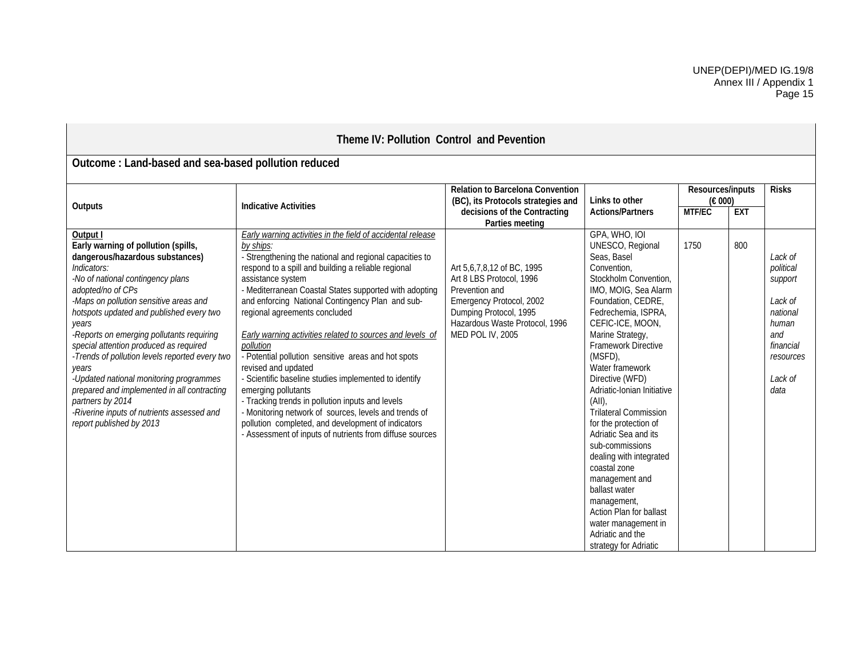| Theme IV: Pollution Control and Pevention                                                                                                                                                                                                                                                                                                                                                                                                                                                                                                                                                            |                                                                                                                                                                                                                                                                                                                                                                                                                                                                                                                                                                                                                                                                                                                                                                                                                                       |                                                                                                                                                                                                                |                                                                                                                                                                                                                                                                                                                                                                                                                                                                                                                                                                                                                      |      |                                           |                                                                                                                     |  |  |
|------------------------------------------------------------------------------------------------------------------------------------------------------------------------------------------------------------------------------------------------------------------------------------------------------------------------------------------------------------------------------------------------------------------------------------------------------------------------------------------------------------------------------------------------------------------------------------------------------|---------------------------------------------------------------------------------------------------------------------------------------------------------------------------------------------------------------------------------------------------------------------------------------------------------------------------------------------------------------------------------------------------------------------------------------------------------------------------------------------------------------------------------------------------------------------------------------------------------------------------------------------------------------------------------------------------------------------------------------------------------------------------------------------------------------------------------------|----------------------------------------------------------------------------------------------------------------------------------------------------------------------------------------------------------------|----------------------------------------------------------------------------------------------------------------------------------------------------------------------------------------------------------------------------------------------------------------------------------------------------------------------------------------------------------------------------------------------------------------------------------------------------------------------------------------------------------------------------------------------------------------------------------------------------------------------|------|-------------------------------------------|---------------------------------------------------------------------------------------------------------------------|--|--|
| Outcome: Land-based and sea-based pollution reduced                                                                                                                                                                                                                                                                                                                                                                                                                                                                                                                                                  |                                                                                                                                                                                                                                                                                                                                                                                                                                                                                                                                                                                                                                                                                                                                                                                                                                       |                                                                                                                                                                                                                |                                                                                                                                                                                                                                                                                                                                                                                                                                                                                                                                                                                                                      |      |                                           |                                                                                                                     |  |  |
| Outputs                                                                                                                                                                                                                                                                                                                                                                                                                                                                                                                                                                                              | Relation to Barcelona Convention<br>Links to other<br>(BC), its Protocols strategies and<br><b>Indicative Activities</b><br><b>Actions/Partners</b><br><b>MTF/EC</b>                                                                                                                                                                                                                                                                                                                                                                                                                                                                                                                                                                                                                                                                  |                                                                                                                                                                                                                | decisions of the Contracting                                                                                                                                                                                                                                                                                                                                                                                                                                                                                                                                                                                         |      | Resources/inputs<br>(€ 000)<br><b>EXT</b> | <b>Risks</b>                                                                                                        |  |  |
| Output I<br>Early warning of pollution (spills,<br>dangerous/hazardous substances)<br>Indicators:<br>-No of national contingency plans<br>adopted/no of CPs<br>-Maps on pollution sensitive areas and<br>hotspots updated and published every two<br>years<br>-Reports on emerging pollutants requiring<br>special attention produced as required<br>-Trends of pollution levels reported every two<br>years<br>-Updated national monitoring programmes<br>prepared and implemented in all contracting<br>partners by 2014<br>-Riverine inputs of nutrients assessed and<br>report published by 2013 | Early warning activities in the field of accidental release<br>by ships:<br>- Strengthening the national and regional capacities to<br>respond to a spill and building a reliable regional<br>assistance system<br>- Mediterranean Coastal States supported with adopting<br>and enforcing National Contingency Plan and sub-<br>regional agreements concluded<br>Early warning activities related to sources and levels of<br>pollution<br>- Potential pollution sensitive areas and hot spots<br>revised and updated<br>- Scientific baseline studies implemented to identify<br>emerging pollutants<br>- Tracking trends in pollution inputs and levels<br>- Monitoring network of sources, levels and trends of<br>pollution completed, and development of indicators<br>- Assessment of inputs of nutrients from diffuse sources | Parties meeting<br>Art 5,6,7,8,12 of BC, 1995<br>Art 8 LBS Protocol, 1996<br>Prevention and<br>Emergency Protocol, 2002<br>Dumping Protocol, 1995<br>Hazardous Waste Protocol, 1996<br><b>MED POL IV, 2005</b> | GPA, WHO, IOI<br>UNESCO, Regional<br>Seas, Basel<br>Convention.<br>Stockholm Convention,<br>IMO, MOIG, Sea Alarm<br>Foundation, CEDRE,<br>Fedrechemia, ISPRA,<br>CEFIC-ICE, MOON,<br>Marine Strategy,<br>Framework Directive<br>(MSFD),<br>Water framework<br>Directive (WFD)<br>Adriatic-Ionian Initiative<br>(AII)<br><b>Trilateral Commission</b><br>for the protection of<br>Adriatic Sea and its<br>sub-commissions<br>dealing with integrated<br>coastal zone<br>management and<br>ballast water<br>management,<br>Action Plan for ballast<br>water management in<br>Adriatic and the<br>strategy for Adriatic | 1750 | 800                                       | Lack of<br>political<br>support<br>Lack of<br>national<br>human<br>and<br>financial<br>resources<br>Lack of<br>data |  |  |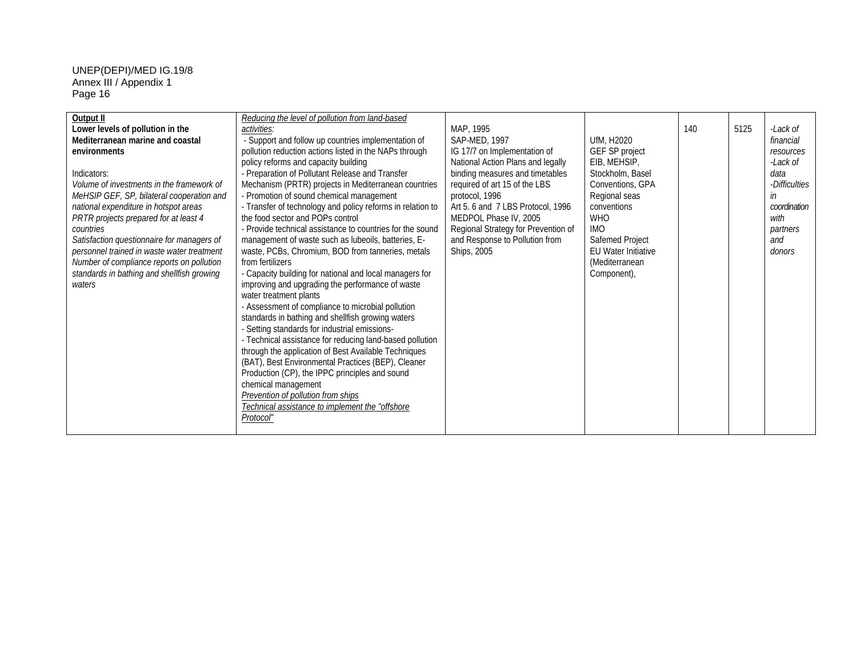| Output II                                            | Reducing the level of pollution from land-based                                                             |                                     |                               |     |      |               |
|------------------------------------------------------|-------------------------------------------------------------------------------------------------------------|-------------------------------------|-------------------------------|-----|------|---------------|
| Lower levels of pollution in the                     | activities:                                                                                                 | MAP, 1995                           |                               | 140 | 5125 | -Lack of      |
| Mediterranean marine and coastal                     | - Support and follow up countries implementation of                                                         | SAP-MED, 1997                       | UfM, H2020                    |     |      | financial     |
| environments                                         | pollution reduction actions listed in the NAPs through                                                      | IG 17/7 on Implementation of        | GEF SP project                |     |      | resources     |
|                                                      | policy reforms and capacity building                                                                        | National Action Plans and legally   | EIB, MEHSIP,                  |     |      | -Lack of      |
| Indicators:                                          | - Preparation of Pollutant Release and Transfer                                                             | binding measures and timetables     | Stockholm, Basel              |     |      | data          |
| Volume of investments in the framework of            | Mechanism (PRTR) projects in Mediterranean countries                                                        | required of art 15 of the LBS       | Conventions, GPA              |     |      | -Difficulties |
| MeHSIP GEF, SP, bilateral cooperation and            | - Promotion of sound chemical management                                                                    | protocol, 1996                      | Regional seas                 |     |      | in            |
| national expenditure in hotspot areas                | - Transfer of technology and policy reforms in relation to                                                  | Art 5.6 and 7 LBS Protocol, 1996    | conventions                   |     |      | coordination  |
| PRTR projects prepared for at least 4                | the food sector and POPs control                                                                            | MEDPOL Phase IV, 2005               | <b>WHO</b>                    |     |      | with          |
| countries                                            | - Provide technical assistance to countries for the sound                                                   | Regional Strategy for Prevention of | <b>IMO</b>                    |     |      | partners      |
| Satisfaction questionnaire for managers of           | management of waste such as lubeoils, batteries, E-                                                         | and Response to Pollution from      | Safemed Project               |     |      | and           |
| personnel trained in waste water treatment           | waste, PCBs, Chromium, BOD from tanneries, metals<br>from fertilizers                                       | Ships, 2005                         | <b>EU Water Initiative</b>    |     |      | donors        |
| Number of compliance reports on pollution            |                                                                                                             |                                     | (Mediterranean<br>Component), |     |      |               |
| standards in bathing and shellfish growing<br>waters | - Capacity building for national and local managers for<br>improving and upgrading the performance of waste |                                     |                               |     |      |               |
|                                                      | water treatment plants                                                                                      |                                     |                               |     |      |               |
|                                                      | - Assessment of compliance to microbial pollution                                                           |                                     |                               |     |      |               |
|                                                      | standards in bathing and shellfish growing waters                                                           |                                     |                               |     |      |               |
|                                                      | - Setting standards for industrial emissions-                                                               |                                     |                               |     |      |               |
|                                                      | - Technical assistance for reducing land-based pollution                                                    |                                     |                               |     |      |               |
|                                                      | through the application of Best Available Techniques                                                        |                                     |                               |     |      |               |
|                                                      | (BAT), Best Environmental Practices (BEP), Cleaner                                                          |                                     |                               |     |      |               |
|                                                      | Production (CP), the IPPC principles and sound                                                              |                                     |                               |     |      |               |
|                                                      | chemical management                                                                                         |                                     |                               |     |      |               |
|                                                      | Prevention of pollution from ships                                                                          |                                     |                               |     |      |               |
|                                                      | Technical assistance to implement the "offshore"                                                            |                                     |                               |     |      |               |
|                                                      | <b>Protocol</b>                                                                                             |                                     |                               |     |      |               |
|                                                      |                                                                                                             |                                     |                               |     |      |               |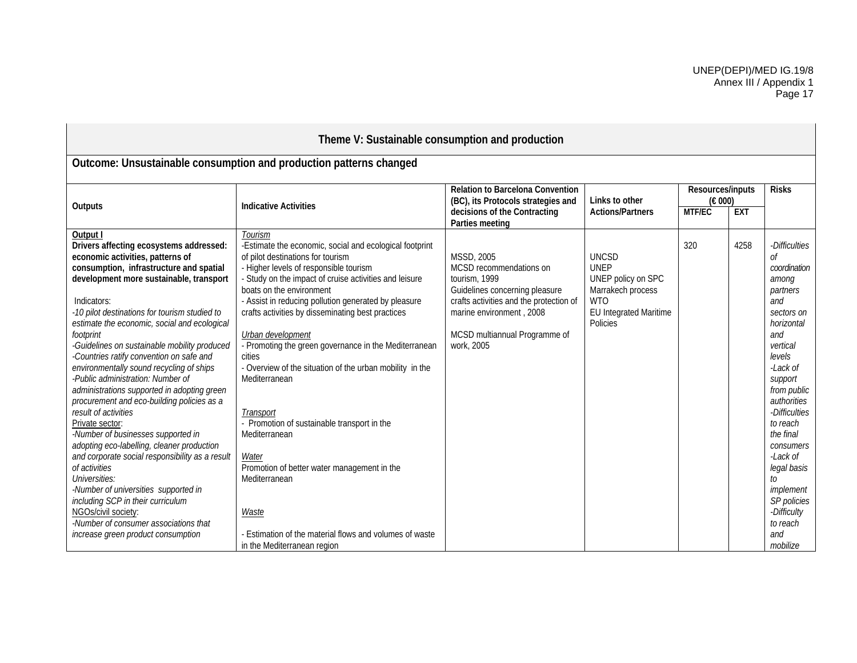| Theme V: Sustainable consumption and production                                                                                                                                                                                                                                                                                                                                                                                                                                                                                                                                     |                                                                                                                                                                                                                                                                                                                                                                                                                                                                                                                           |                                                                                                                                                                                                                       |                                                                                                                            |                             |            |                                                                                                                                                                               |  |  |
|-------------------------------------------------------------------------------------------------------------------------------------------------------------------------------------------------------------------------------------------------------------------------------------------------------------------------------------------------------------------------------------------------------------------------------------------------------------------------------------------------------------------------------------------------------------------------------------|---------------------------------------------------------------------------------------------------------------------------------------------------------------------------------------------------------------------------------------------------------------------------------------------------------------------------------------------------------------------------------------------------------------------------------------------------------------------------------------------------------------------------|-----------------------------------------------------------------------------------------------------------------------------------------------------------------------------------------------------------------------|----------------------------------------------------------------------------------------------------------------------------|-----------------------------|------------|-------------------------------------------------------------------------------------------------------------------------------------------------------------------------------|--|--|
|                                                                                                                                                                                                                                                                                                                                                                                                                                                                                                                                                                                     | Outcome: Unsustainable consumption and production patterns changed                                                                                                                                                                                                                                                                                                                                                                                                                                                        |                                                                                                                                                                                                                       |                                                                                                                            |                             |            |                                                                                                                                                                               |  |  |
| Outputs                                                                                                                                                                                                                                                                                                                                                                                                                                                                                                                                                                             | <b>Indicative Activities</b>                                                                                                                                                                                                                                                                                                                                                                                                                                                                                              | <b>Relation to Barcelona Convention</b><br>(BC), its Protocols strategies and                                                                                                                                         | Links to other                                                                                                             | Resources/inputs<br>(E 000) |            | <b>Risks</b>                                                                                                                                                                  |  |  |
|                                                                                                                                                                                                                                                                                                                                                                                                                                                                                                                                                                                     |                                                                                                                                                                                                                                                                                                                                                                                                                                                                                                                           | decisions of the Contracting<br>Parties meeting                                                                                                                                                                       | <b>Actions/Partners</b>                                                                                                    | MTF/EC                      | <b>EXT</b> |                                                                                                                                                                               |  |  |
| Output I<br>Drivers affecting ecosystems addressed:<br>economic activities, patterns of<br>consumption, infrastructure and spatial<br>development more sustainable, transport<br>Indicators:<br>-10 pilot destinations for tourism studied to<br>estimate the economic, social and ecological<br>footprint<br>Guidelines on sustainable mobility produced<br>-Countries ratify convention on safe and<br>environmentally sound recycling of ships<br>-Public administration: Number of<br>administrations supported in adopting green<br>procurement and eco-building policies as a | Tourism<br>-Estimate the economic, social and ecological footprint<br>of pilot destinations for tourism<br>- Higher levels of responsible tourism<br>- Study on the impact of cruise activities and leisure<br>boats on the environment<br>- Assist in reducing pollution generated by pleasure<br>crafts activities by disseminating best practices<br>Urban development<br>- Promoting the green governance in the Mediterranean<br>cities<br>- Overview of the situation of the urban mobility in the<br>Mediterranean | <b>MSSD, 2005</b><br>MCSD recommendations on<br>tourism, 1999<br>Guidelines concerning pleasure<br>crafts activities and the protection of<br>marine environment, 2008<br>MCSD multiannual Programme of<br>work, 2005 | <b>UNCSD</b><br><b>UNEP</b><br>UNEP policy on SPC<br>Marrakech process<br><b>WTO</b><br>EU Integrated Maritime<br>Policies | 320                         | 4258       | -Difficulties<br>Οf<br>coordination<br>among<br>partners<br>and<br>sectors on<br>horizontal<br>and<br>vertical<br>levels<br>-Lack of<br>support<br>from public<br>authorities |  |  |
| result of activities<br>Private sector:<br>-Number of businesses supported in<br>adopting eco-labelling, cleaner production<br>and corporate social responsibility as a result<br>of activities<br>Universities:<br>-Number of universities supported in<br>including SCP in their curriculum<br>NGOs/civil society:<br>-Number of consumer associations that<br>increase green product consumption                                                                                                                                                                                 | Transport<br>- Promotion of sustainable transport in the<br>Mediterranean<br>Water<br>Promotion of better water management in the<br>Mediterranean<br><b>Waste</b><br>- Estimation of the material flows and volumes of waste<br>in the Mediterranean region                                                                                                                                                                                                                                                              |                                                                                                                                                                                                                       |                                                                                                                            |                             |            | -Difficulties<br>to reach<br>the final<br>consumers<br>$-Lack$ of<br>legal basis<br>to<br>implement<br>SP policies<br>-Difficulty<br>to reach<br>and<br>mobilize              |  |  |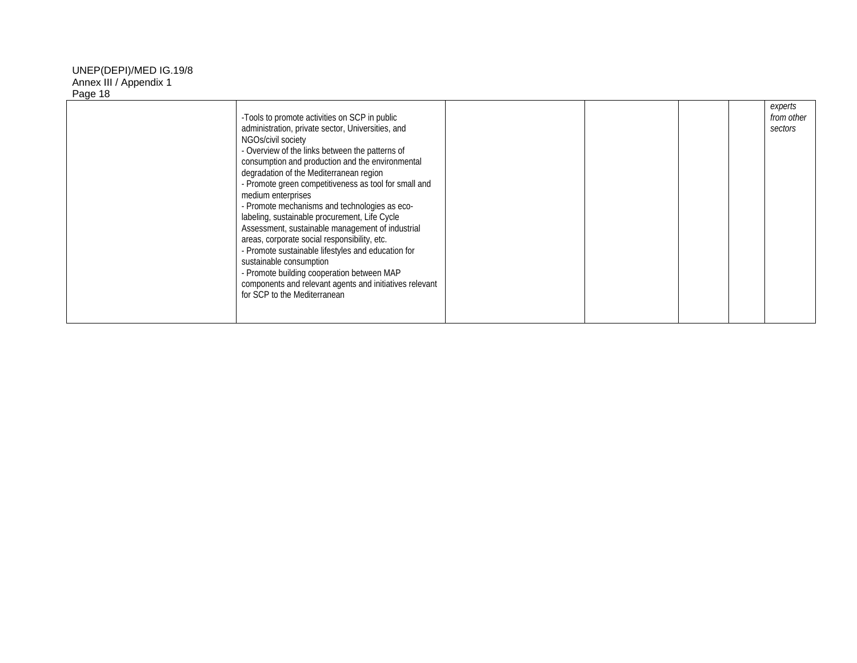| -Tools to promote activities on SCP in public<br>administration, private sector, Universities, and<br>NGOs/civil society<br>- Overview of the links between the patterns of<br>consumption and production and the environmental<br>degradation of the Mediterranean region<br>- Promote green competitiveness as tool for small and<br>medium enterprises<br>- Promote mechanisms and technologies as eco-<br>labeling, sustainable procurement, Life Cycle<br>Assessment, sustainable management of industrial<br>areas, corporate social responsibility, etc.<br>- Promote sustainable lifestyles and education for<br>sustainable consumption<br>- Promote building cooperation between MAP<br>components and relevant agents and initiatives relevant<br>for SCP to the Mediterranean |  |  | experts<br>from other<br>sectors |
|-------------------------------------------------------------------------------------------------------------------------------------------------------------------------------------------------------------------------------------------------------------------------------------------------------------------------------------------------------------------------------------------------------------------------------------------------------------------------------------------------------------------------------------------------------------------------------------------------------------------------------------------------------------------------------------------------------------------------------------------------------------------------------------------|--|--|----------------------------------|
|                                                                                                                                                                                                                                                                                                                                                                                                                                                                                                                                                                                                                                                                                                                                                                                           |  |  |                                  |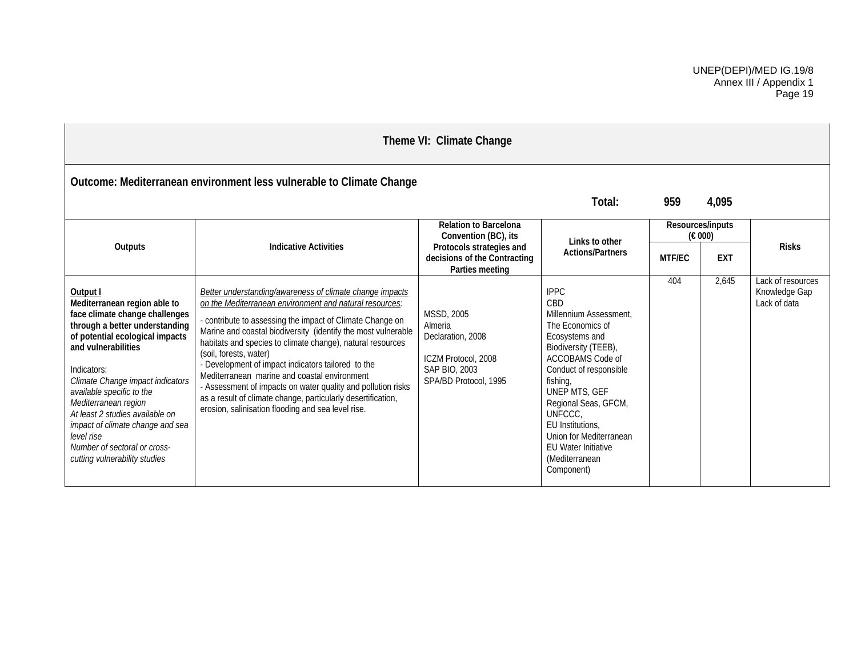| Theme VI: Climate Change                                                                                                                                                                                                                                                                                                                                                                                                             |                                                                                                                                                                                                                                                                                                                                                                                                                                                                                                                                                                                                                                              |                                                                                                             |                                                                                                                                                                                                                                                                                                                                       |                             |            |                                                    |  |  |
|--------------------------------------------------------------------------------------------------------------------------------------------------------------------------------------------------------------------------------------------------------------------------------------------------------------------------------------------------------------------------------------------------------------------------------------|----------------------------------------------------------------------------------------------------------------------------------------------------------------------------------------------------------------------------------------------------------------------------------------------------------------------------------------------------------------------------------------------------------------------------------------------------------------------------------------------------------------------------------------------------------------------------------------------------------------------------------------------|-------------------------------------------------------------------------------------------------------------|---------------------------------------------------------------------------------------------------------------------------------------------------------------------------------------------------------------------------------------------------------------------------------------------------------------------------------------|-----------------------------|------------|----------------------------------------------------|--|--|
|                                                                                                                                                                                                                                                                                                                                                                                                                                      | Outcome: Mediterranean environment less vulnerable to Climate Change                                                                                                                                                                                                                                                                                                                                                                                                                                                                                                                                                                         |                                                                                                             | Total:                                                                                                                                                                                                                                                                                                                                | 959                         | 4,095      |                                                    |  |  |
| Outputs                                                                                                                                                                                                                                                                                                                                                                                                                              | <b>Indicative Activities</b>                                                                                                                                                                                                                                                                                                                                                                                                                                                                                                                                                                                                                 | <b>Relation to Barcelona</b><br>Convention (BC), its<br>Protocols strategies and                            | Links to other<br><b>Actions/Partners</b>                                                                                                                                                                                                                                                                                             | Resources/inputs<br>(E 000) |            | <b>Risks</b>                                       |  |  |
|                                                                                                                                                                                                                                                                                                                                                                                                                                      |                                                                                                                                                                                                                                                                                                                                                                                                                                                                                                                                                                                                                                              | decisions of the Contracting<br>Parties meeting                                                             |                                                                                                                                                                                                                                                                                                                                       | <b>MTF/EC</b>               | <b>EXT</b> |                                                    |  |  |
| Output I<br>Mediterranean region able to<br>face climate change challenges<br>through a better understanding<br>of potential ecological impacts<br>and vulnerabilities<br>Indicators:<br>Climate Change impact indicators<br>available specific to the<br>Mediterranean region<br>At least 2 studies available on<br>impact of climate change and sea<br>level rise<br>Number of sectoral or cross-<br>cutting vulnerability studies | <b>Better understanding/awareness of climate change impacts</b><br>on the Mediterranean environment and natural resources:<br>- contribute to assessing the impact of Climate Change on<br>Marine and coastal biodiversity (identify the most vulnerable<br>habitats and species to climate change), natural resources<br>(soil, forests, water)<br>- Development of impact indicators tailored to the<br>Mediterranean marine and coastal environment<br>- Assessment of impacts on water quality and pollution risks<br>as a result of climate change, particularly desertification,<br>erosion, salinisation flooding and sea level rise. | MSSD, 2005<br>Almeria<br>Declaration, 2008<br>ICZM Protocol, 2008<br>SAP BIO, 2003<br>SPA/BD Protocol, 1995 | <b>IPPC</b><br>CBD<br>Millennium Assessment.<br>The Economics of<br>Ecosystems and<br>Biodiversity (TEEB),<br>ACCOBAMS Code of<br>Conduct of responsible<br>fishing,<br>UNEP MTS, GEF<br>Regional Seas, GFCM,<br>UNFCCC,<br>EU Institutions,<br>Union for Mediterranean<br><b>EU Water Initiative</b><br>(Mediterranean<br>Component) | 404                         | 2,645      | Lack of resources<br>Knowledge Gap<br>Lack of data |  |  |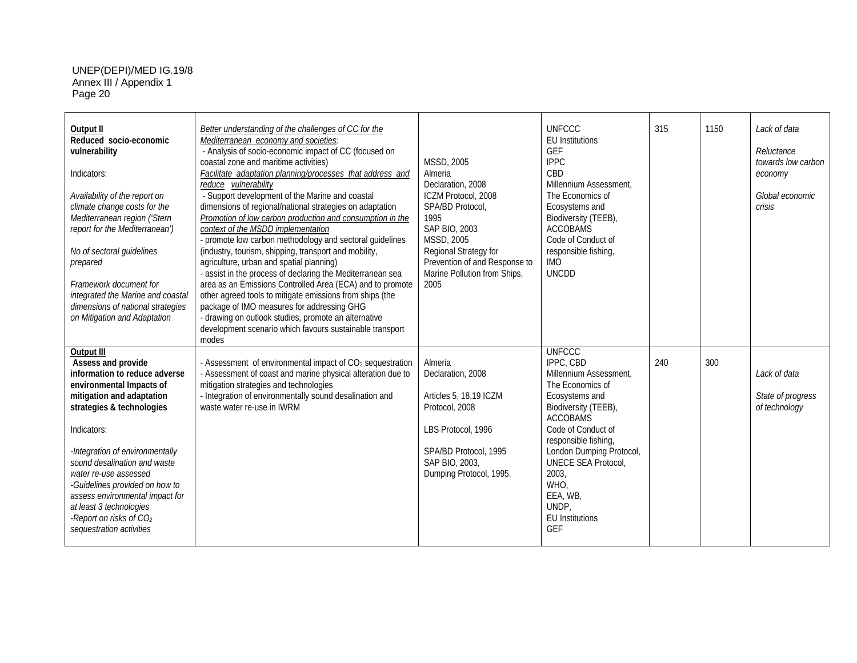| Output II<br>Reduced socio-economic<br>vulnerability<br>Indicators:<br>Availability of the report on<br>climate change costs for the<br>Mediterranean region ('Stern<br>report for the Mediterranean')<br>No of sectoral guidelines<br>prepared<br>Framework document for<br>integrated the Marine and coastal<br>dimensions of national strategies<br>on Mitigation and Adaptation                                                   | Better understanding of the challenges of CC for the<br>Mediterranean economy and societies:<br>- Analysis of socio-economic impact of CC (focused on<br>coastal zone and maritime activities)<br>Facilitate adaptation planning/processes that address and<br>reduce vulnerability<br>- Support development of the Marine and coastal<br>dimensions of regional/national strategies on adaptation<br>Promotion of low carbon production and consumption in the<br>context of the MSDD implementation<br>- promote low carbon methodology and sectoral guidelines<br>(industry, tourism, shipping, transport and mobility,<br>agriculture, urban and spatial planning)<br>- assist in the process of declaring the Mediterranean sea<br>area as an Emissions Controlled Area (ECA) and to promote<br>other agreed tools to mitigate emissions from ships (the<br>package of IMO measures for addressing GHG<br>- drawing on outlook studies, promote an alternative<br>development scenario which favours sustainable transport<br>modes | <b>MSSD, 2005</b><br>Almeria<br>Declaration, 2008<br>ICZM Protocol, 2008<br>SPA/BD Protocol.<br>1995<br>SAP BIO, 2003<br>MSSD, 2005<br>Regional Strategy for<br>Prevention of and Response to<br>Marine Pollution from Ships,<br>2005 | <b>UNFCCC</b><br><b>EU</b> Institutions<br>GEF<br><b>IPPC</b><br>CBD<br>Millennium Assessment.<br>The Economics of<br>Ecosystems and<br>Biodiversity (TEEB),<br><b>ACCOBAMS</b><br>Code of Conduct of<br>responsible fishing,<br><b>IMO</b><br><b>UNCDD</b>                                                                | 315 | 1150 | Lack of data<br>Reluctance<br>towards low carbon<br>economy<br>Global economic<br>crisis |
|---------------------------------------------------------------------------------------------------------------------------------------------------------------------------------------------------------------------------------------------------------------------------------------------------------------------------------------------------------------------------------------------------------------------------------------|------------------------------------------------------------------------------------------------------------------------------------------------------------------------------------------------------------------------------------------------------------------------------------------------------------------------------------------------------------------------------------------------------------------------------------------------------------------------------------------------------------------------------------------------------------------------------------------------------------------------------------------------------------------------------------------------------------------------------------------------------------------------------------------------------------------------------------------------------------------------------------------------------------------------------------------------------------------------------------------------------------------------------------------|---------------------------------------------------------------------------------------------------------------------------------------------------------------------------------------------------------------------------------------|----------------------------------------------------------------------------------------------------------------------------------------------------------------------------------------------------------------------------------------------------------------------------------------------------------------------------|-----|------|------------------------------------------------------------------------------------------|
| Output III<br>Assess and provide<br>information to reduce adverse<br>environmental Impacts of<br>mitigation and adaptation<br>strategies & technologies<br>Indicators:<br>-Integration of environmentally<br>sound desalination and waste<br>water re-use assessed<br>-Guidelines provided on how to<br>assess environmental impact for<br>at least 3 technologies<br>-Report on risks of CO <sub>2</sub><br>sequestration activities | - Assessment of environmental impact of CO <sub>2</sub> sequestration<br>- Assessment of coast and marine physical alteration due to<br>mitigation strategies and technologies<br>- Integration of environmentally sound desalination and<br>waste water re-use in IWRM                                                                                                                                                                                                                                                                                                                                                                                                                                                                                                                                                                                                                                                                                                                                                                  | Almeria<br>Declaration, 2008<br>Articles 5, 18,19 ICZM<br>Protocol, 2008<br>LBS Protocol, 1996<br>SPA/BD Protocol, 1995<br>SAP BIO, 2003,<br>Dumping Protocol, 1995.                                                                  | <b>UNFCCC</b><br>IPPC, CBD<br>Millennium Assessment,<br>The Economics of<br>Ecosystems and<br>Biodiversity (TEEB),<br><b>ACCOBAMS</b><br>Code of Conduct of<br>responsible fishing,<br>London Dumping Protocol,<br><b>UNECE SEA Protocol</b><br>2003.<br>WHO,<br>EEA, WB,<br>UNDP.<br><b>EU Institutions</b><br><b>GEF</b> | 240 | 300  | Lack of data<br>State of progress<br>of technology                                       |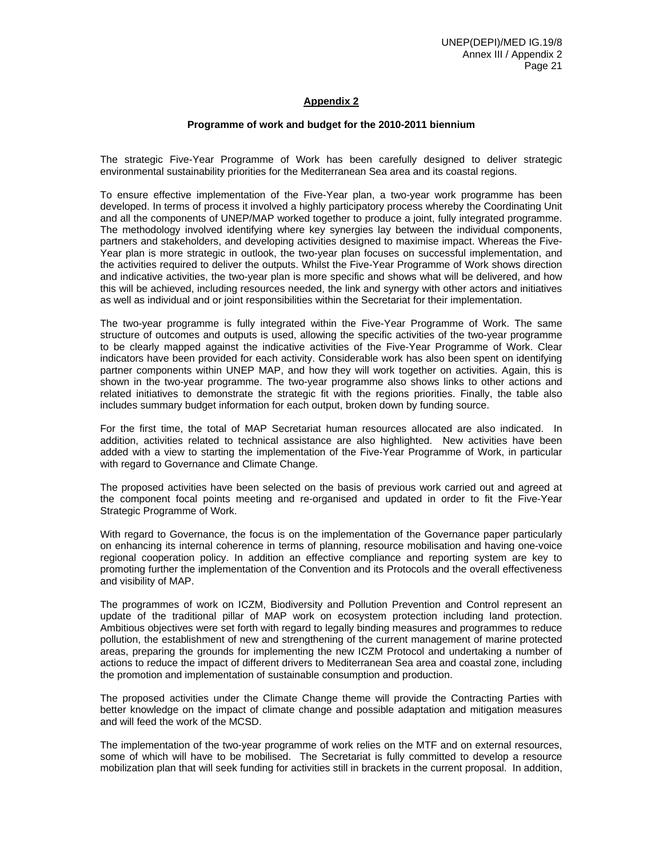# **Appendix 2**

#### **Programme of work and budget for the 2010-2011 biennium**

The strategic Five-Year Programme of Work has been carefully designed to deliver strategic environmental sustainability priorities for the Mediterranean Sea area and its coastal regions.

To ensure effective implementation of the Five-Year plan, a two-year work programme has been developed. In terms of process it involved a highly participatory process whereby the Coordinating Unit and all the components of UNEP/MAP worked together to produce a joint, fully integrated programme. The methodology involved identifying where key synergies lay between the individual components, partners and stakeholders, and developing activities designed to maximise impact. Whereas the Five-Year plan is more strategic in outlook, the two-year plan focuses on successful implementation, and the activities required to deliver the outputs. Whilst the Five-Year Programme of Work shows direction and indicative activities, the two-year plan is more specific and shows what will be delivered, and how this will be achieved, including resources needed, the link and synergy with other actors and initiatives as well as individual and or joint responsibilities within the Secretariat for their implementation.

The two-year programme is fully integrated within the Five-Year Programme of Work. The same structure of outcomes and outputs is used, allowing the specific activities of the two-year programme to be clearly mapped against the indicative activities of the Five-Year Programme of Work. Clear indicators have been provided for each activity. Considerable work has also been spent on identifying partner components within UNEP MAP, and how they will work together on activities. Again, this is shown in the two-year programme. The two-year programme also shows links to other actions and related initiatives to demonstrate the strategic fit with the regions priorities. Finally, the table also includes summary budget information for each output, broken down by funding source.

For the first time, the total of MAP Secretariat human resources allocated are also indicated. In addition, activities related to technical assistance are also highlighted. New activities have been added with a view to starting the implementation of the Five-Year Programme of Work, in particular with regard to Governance and Climate Change.

The proposed activities have been selected on the basis of previous work carried out and agreed at the component focal points meeting and re-organised and updated in order to fit the Five-Year Strategic Programme of Work.

With regard to Governance, the focus is on the implementation of the Governance paper particularly on enhancing its internal coherence in terms of planning, resource mobilisation and having one-voice regional cooperation policy. In addition an effective compliance and reporting system are key to promoting further the implementation of the Convention and its Protocols and the overall effectiveness and visibility of MAP.

The programmes of work on ICZM, Biodiversity and Pollution Prevention and Control represent an update of the traditional pillar of MAP work on ecosystem protection including land protection. Ambitious objectives were set forth with regard to legally binding measures and programmes to reduce pollution, the establishment of new and strengthening of the current management of marine protected areas, preparing the grounds for implementing the new ICZM Protocol and undertaking a number of actions to reduce the impact of different drivers to Mediterranean Sea area and coastal zone, including the promotion and implementation of sustainable consumption and production.

The proposed activities under the Climate Change theme will provide the Contracting Parties with better knowledge on the impact of climate change and possible adaptation and mitigation measures and will feed the work of the MCSD.

The implementation of the two-year programme of work relies on the MTF and on external resources, some of which will have to be mobilised. The Secretariat is fully committed to develop a resource mobilization plan that will seek funding for activities still in brackets in the current proposal. In addition,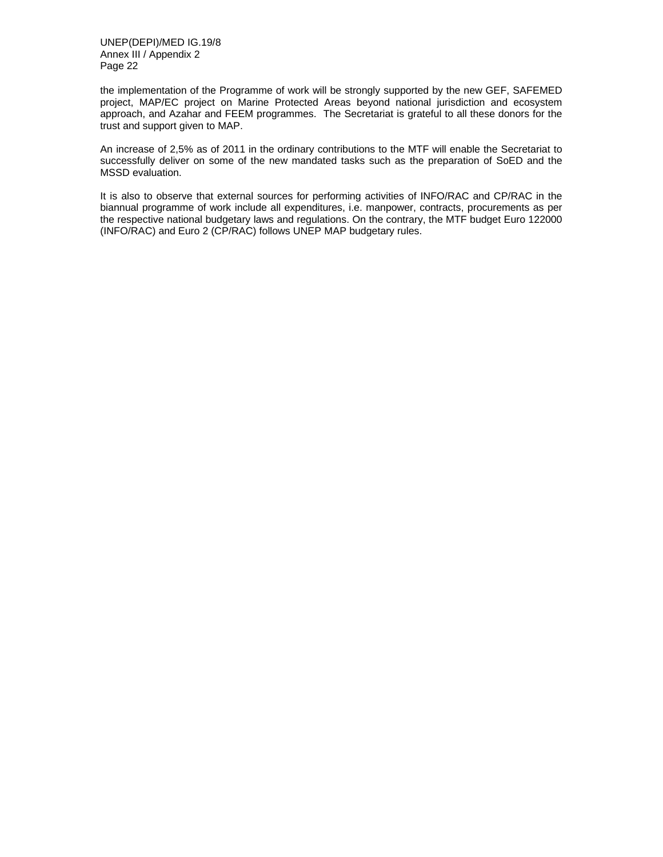the implementation of the Programme of work will be strongly supported by the new GEF, SAFEMED project, MAP/EC project on Marine Protected Areas beyond national jurisdiction and ecosystem approach, and Azahar and FEEM programmes. The Secretariat is grateful to all these donors for the trust and support given to MAP.

An increase of 2,5% as of 2011 in the ordinary contributions to the MTF will enable the Secretariat to successfully deliver on some of the new mandated tasks such as the preparation of SoED and the MSSD evaluation.

It is also to observe that external sources for performing activities of INFO/RAC and CP/RAC in the biannual programme of work include all expenditures, i.e. manpower, contracts, procurements as per the respective national budgetary laws and regulations. On the contrary, the MTF budget Euro 122000 (INFO/RAC) and Euro 2 (CP/RAC) follows UNEP MAP budgetary rules.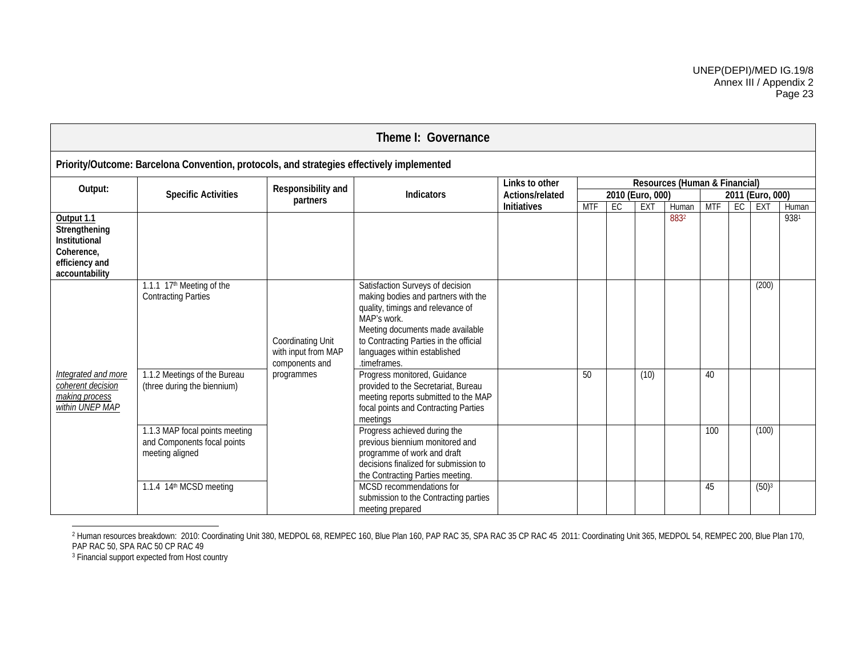| Theme I: Governance                                                                            |                                                                                           |                                                            |                                                                                                                                                                                                                                                           |                    |            |    |                  |                               |            |    |                   |       |  |
|------------------------------------------------------------------------------------------------|-------------------------------------------------------------------------------------------|------------------------------------------------------------|-----------------------------------------------------------------------------------------------------------------------------------------------------------------------------------------------------------------------------------------------------------|--------------------|------------|----|------------------|-------------------------------|------------|----|-------------------|-------|--|
|                                                                                                | Priority/Outcome: Barcelona Convention, protocols, and strategies effectively implemented |                                                            |                                                                                                                                                                                                                                                           |                    |            |    |                  |                               |            |    |                   |       |  |
| Output:                                                                                        |                                                                                           | Responsibility and                                         |                                                                                                                                                                                                                                                           | Links to other     |            |    |                  | Resources (Human & Financial) |            |    |                   |       |  |
|                                                                                                | <b>Specific Activities</b>                                                                | partners                                                   | <b>Indicators</b>                                                                                                                                                                                                                                         | Actions/related    |            |    | 2010 (Euro, 000) |                               |            |    | 2011 (Euro, 000)  |       |  |
|                                                                                                |                                                                                           |                                                            |                                                                                                                                                                                                                                                           | <b>Initiatives</b> | <b>MTF</b> | EC | <b>EXT</b>       | Human                         | <b>MTF</b> | EC | EXT               | Human |  |
| Output 1.1<br>Strengthening<br>Institutional<br>Coherence,<br>efficiency and<br>accountability |                                                                                           |                                                            |                                                                                                                                                                                                                                                           |                    |            |    |                  | 8832                          |            |    |                   | 9381  |  |
|                                                                                                | 1.1.1 17 <sup>th</sup> Meeting of the<br><b>Contracting Parties</b>                       | Coordinating Unit<br>with input from MAP<br>components and | Satisfaction Surveys of decision<br>making bodies and partners with the<br>quality, timings and relevance of<br>MAP's work.<br>Meeting documents made available<br>to Contracting Parties in the official<br>languages within established<br>.timeframes. |                    |            |    |                  |                               |            |    | (200)             |       |  |
| Integrated and more<br>coherent decision<br>making process<br>within UNEP MAP                  | 1.1.2 Meetings of the Bureau<br>(three during the biennium)                               | programmes                                                 | Progress monitored, Guidance<br>provided to the Secretariat, Bureau<br>meeting reports submitted to the MAP<br>focal points and Contracting Parties<br>meetings                                                                                           |                    | 50         |    | (10)             |                               | 40         |    |                   |       |  |
|                                                                                                | 1.1.3 MAP focal points meeting<br>and Components focal points<br>meeting aligned          |                                                            | Progress achieved during the<br>previous biennium monitored and<br>programme of work and draft<br>decisions finalized for submission to<br>the Contracting Parties meeting.                                                                               |                    |            |    |                  |                               | 100        |    | (100)             |       |  |
|                                                                                                | 1.1.4 14th MCSD meeting                                                                   |                                                            | MCSD recommendations for<br>submission to the Contracting parties<br>meeting prepared                                                                                                                                                                     |                    |            |    |                  |                               | 45         |    | (50) <sup>3</sup> |       |  |

<sup>&</sup>lt;sup>2</sup> Human resources breakdown: 2010: Coordinating Unit 380, MEDPOL 68, REMPEC 160, Blue Plan 160, PAP RAC 35, SPA RAC 35 CP RAC 45 2011: Coordinating Unit 365, MEDPOL 54, REMPEC 200, Blue Plan 170, PAP RAC 50, SPA RAC 50 CP RAC 49

<sup>3</sup> Financial support expected from Host country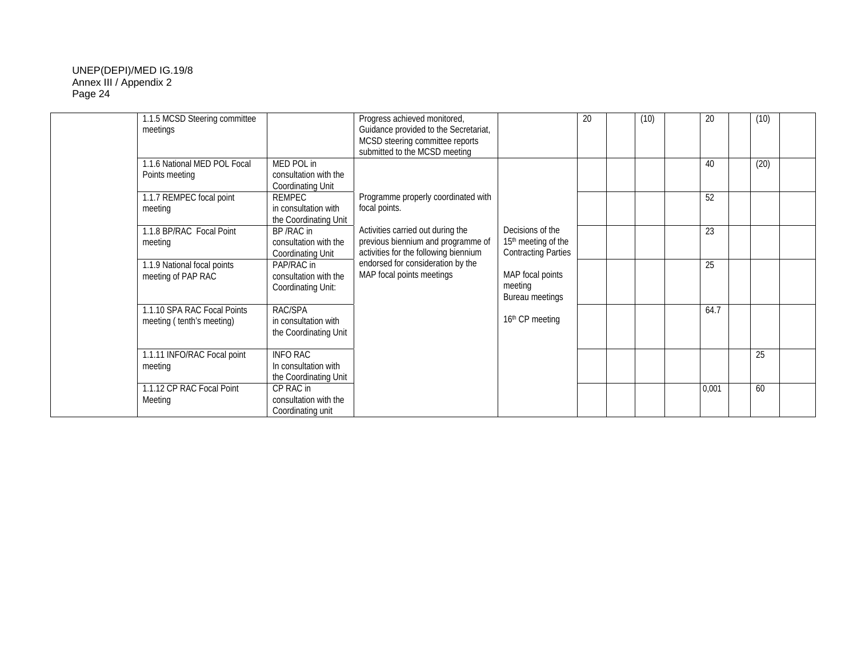| 1.1.5 MCSD Steering committee<br>meetings                                  |                                                                                                          | Progress achieved monitored,<br>Guidance provided to the Secretariat,<br>MCSD steering committee reports<br>submitted to the MCSD meeting |                                                                                   | 20 | (10) | 20       | (10) |  |
|----------------------------------------------------------------------------|----------------------------------------------------------------------------------------------------------|-------------------------------------------------------------------------------------------------------------------------------------------|-----------------------------------------------------------------------------------|----|------|----------|------|--|
| 1.1.6 National MED POL Focal<br>Points meeting<br>1.1.7 REMPEC focal point | MED POL in<br>consultation with the<br><b>Coordinating Unit</b><br>REMPEC                                | Programme properly coordinated with                                                                                                       |                                                                                   |    |      | 40<br>52 | (20) |  |
| meeting<br>1.1.8 BP/RAC Focal Point<br>meeting                             | in consultation with<br>the Coordinating Unit<br>BP/RAC in<br>consultation with the<br>Coordinating Unit | focal points.<br>Activities carried out during the<br>previous biennium and programme of<br>activities for the following biennium         | Decisions of the<br>15 <sup>th</sup> meeting of the<br><b>Contracting Parties</b> |    |      | 23       |      |  |
| 1.1.9 National focal points<br>meeting of PAP RAC                          | PAP/RAC in<br>consultation with the<br>Coordinating Unit:                                                | endorsed for consideration by the<br>MAP focal points meetings                                                                            | MAP focal points<br>meeting<br>Bureau meetings                                    |    |      | 25       |      |  |
| 1.1.10 SPA RAC Focal Points<br>meeting (tenth's meeting)                   | RAC/SPA<br>in consultation with<br>the Coordinating Unit                                                 |                                                                                                                                           | 16th CP meeting                                                                   |    |      | 64.7     |      |  |
| 1.1.11 INFO/RAC Focal point<br>meeting                                     | <b>INFO RAC</b><br>In consultation with<br>the Coordinating Unit                                         |                                                                                                                                           |                                                                                   |    |      |          | 25   |  |
| 1.1.12 CP RAC Focal Point<br>Meeting                                       | CP RAC in<br>consultation with the<br>Coordinating unit                                                  |                                                                                                                                           |                                                                                   |    |      | 0,001    | 60   |  |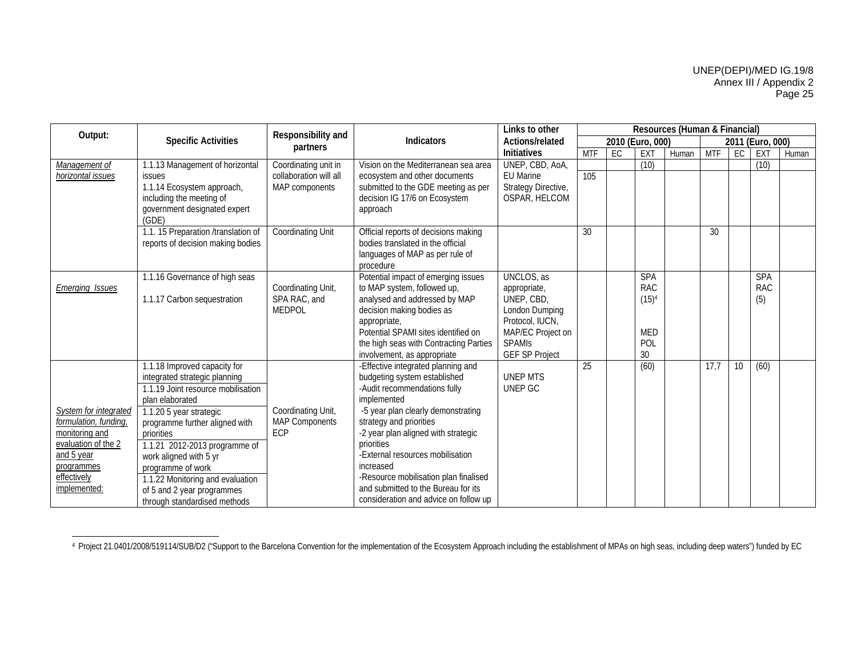|                           |                                     | Responsibility and     | Links to other                                                     | Resources (Human & Financial) |            |    |                  |       |            |                 |                  |       |  |
|---------------------------|-------------------------------------|------------------------|--------------------------------------------------------------------|-------------------------------|------------|----|------------------|-------|------------|-----------------|------------------|-------|--|
| Output:                   | <b>Specific Activities</b>          | partners               | <b>Indicators</b>                                                  | Actions/related               |            |    | 2010 (Euro, 000) |       |            |                 | 2011 (Euro, 000) |       |  |
|                           |                                     |                        |                                                                    | <b>Initiatives</b>            | <b>MTF</b> | EC | EXT              | Human | <b>MTF</b> | EC              | EXT              | Human |  |
| Management of             | 1.1.13 Management of horizontal     | Coordinating unit in   | Vision on the Mediterranean sea area                               | UNEP, CBD, AoA,               |            |    | (10)             |       |            |                 | (10)             |       |  |
| horizontal issues         | <i>issues</i>                       | collaboration will all | ecosystem and other documents                                      | <b>EU Marine</b>              | 105        |    |                  |       |            |                 |                  |       |  |
|                           | 1.1.14 Ecosystem approach,          | MAP components         | submitted to the GDE meeting as per                                | Strategy Directive,           |            |    |                  |       |            |                 |                  |       |  |
|                           | including the meeting of            |                        | decision IG 17/6 on Ecosystem                                      | OSPAR, HELCOM                 |            |    |                  |       |            |                 |                  |       |  |
|                           | government designated expert        |                        | approach                                                           |                               |            |    |                  |       |            |                 |                  |       |  |
|                           | (GDE)                               |                        |                                                                    |                               |            |    |                  |       |            |                 |                  |       |  |
|                           | 1.1. 15 Preparation /translation of | Coordinating Unit      | Official reports of decisions making                               |                               | 30         |    |                  |       | 30         |                 |                  |       |  |
|                           | reports of decision making bodies   |                        | bodies translated in the official                                  |                               |            |    |                  |       |            |                 |                  |       |  |
|                           |                                     |                        | languages of MAP as per rule of                                    |                               |            |    |                  |       |            |                 |                  |       |  |
|                           |                                     |                        | procedure                                                          | <b>UNCLOS</b> , as            |            |    | <b>SPA</b>       |       |            |                 | <b>SPA</b>       |       |  |
|                           | 1.1.16 Governance of high seas      | Coordinating Unit,     | Potential impact of emerging issues<br>to MAP system, followed up, |                               |            |    | <b>RAC</b>       |       |            |                 | <b>RAC</b>       |       |  |
| <u>Emerging Issues</u>    | 1.1.17 Carbon sequestration         | SPA RAC, and           | analysed and addressed by MAP                                      | appropriate,<br>UNEP, CBD,    |            |    | $(15)^4$         |       |            |                 | (5)              |       |  |
|                           |                                     | <b>MEDPOL</b>          | decision making bodies as                                          | London Dumping                |            |    |                  |       |            |                 |                  |       |  |
|                           |                                     |                        | appropriate,                                                       | Protocol, IUCN,               |            |    |                  |       |            |                 |                  |       |  |
|                           |                                     |                        | Potential SPAMI sites identified on                                | MAP/EC Project on             |            |    | <b>MED</b>       |       |            |                 |                  |       |  |
|                           |                                     |                        | the high seas with Contracting Parties                             | <b>SPAMIS</b>                 |            |    | POL              |       |            |                 |                  |       |  |
|                           |                                     |                        | involvement, as appropriate                                        | <b>GEF SP Project</b>         |            |    | 30               |       |            |                 |                  |       |  |
|                           | 1.1.18 Improved capacity for        |                        | -Effective integrated planning and                                 |                               | 25         |    | (60)             |       | 17.7       | 10 <sup>1</sup> | (60)             |       |  |
|                           | integrated strategic planning       |                        | budgeting system established                                       | <b>UNEP MTS</b>               |            |    |                  |       |            |                 |                  |       |  |
|                           | 1.1.19 Joint resource mobilisation  |                        | -Audit recommendations fully                                       | UNEP GC                       |            |    |                  |       |            |                 |                  |       |  |
|                           | plan elaborated                     |                        | implemented                                                        |                               |            |    |                  |       |            |                 |                  |       |  |
| System for integrated     | 1.1.20 5 year strategic             | Coordinating Unit,     | -5 year plan clearly demonstrating                                 |                               |            |    |                  |       |            |                 |                  |       |  |
| formulation, funding,     | programme further aligned with      | <b>MAP Components</b>  | strategy and priorities                                            |                               |            |    |                  |       |            |                 |                  |       |  |
| monitoring and            | priorities                          | ECP                    | -2 year plan aligned with strategic                                |                               |            |    |                  |       |            |                 |                  |       |  |
| evaluation of the 2       | 1.1.21 2012-2013 programme of       |                        | priorities                                                         |                               |            |    |                  |       |            |                 |                  |       |  |
| and 5 year                | work aligned with 5 yr              |                        | -External resources mobilisation<br>increased                      |                               |            |    |                  |       |            |                 |                  |       |  |
| programmes<br>effectively | programme of work                   |                        | -Resource mobilisation plan finalised                              |                               |            |    |                  |       |            |                 |                  |       |  |
| implemented:              | 1.1.22 Monitoring and evaluation    |                        | and submitted to the Bureau for its                                |                               |            |    |                  |       |            |                 |                  |       |  |
|                           | of 5 and 2 year programmes          |                        | consideration and advice on follow up                              |                               |            |    |                  |       |            |                 |                  |       |  |
|                           | through standardised methods        |                        |                                                                    |                               |            |    |                  |       |            |                 |                  |       |  |

<sup>4</sup> Project 21.0401/2008/519114/SUB/D2 ("Support to the Barcelona Convention for the implementation of the Ecosystem Approach including the establishment of MPAs on high seas, including deep waters") funded by EC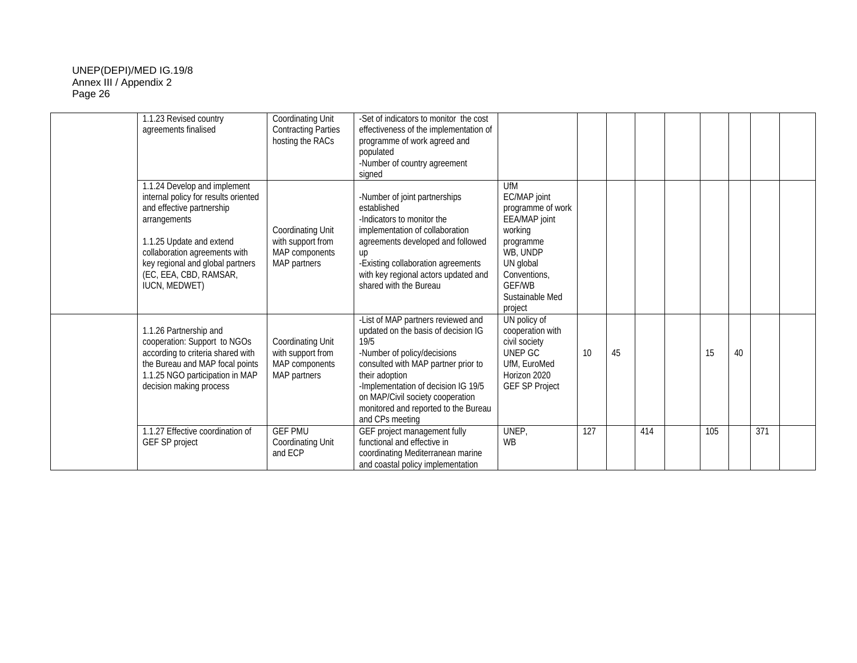| 1.1.23 Revised country<br>agreements finalised                                                                                                                                                                                                                       | Coordinating Unit<br><b>Contracting Parties</b><br>hosting the RACs             | -Set of indicators to monitor the cost<br>effectiveness of the implementation of<br>programme of work agreed and<br>populated<br>-Number of country agreement<br>signed                                                                                                                                         |                                                                                                                                                                           |     |    |     |     |    |     |  |
|----------------------------------------------------------------------------------------------------------------------------------------------------------------------------------------------------------------------------------------------------------------------|---------------------------------------------------------------------------------|-----------------------------------------------------------------------------------------------------------------------------------------------------------------------------------------------------------------------------------------------------------------------------------------------------------------|---------------------------------------------------------------------------------------------------------------------------------------------------------------------------|-----|----|-----|-----|----|-----|--|
| 1.1.24 Develop and implement<br>internal policy for results oriented<br>and effective partnership<br>arrangements<br>1.1.25 Update and extend<br>collaboration agreements with<br>key regional and global partners<br>(EC, EEA, CBD, RAMSAR,<br><b>IUCN, MEDWET)</b> | Coordinating Unit<br>with support from<br>MAP components<br>MAP partners        | -Number of joint partnerships<br>established<br>-Indicators to monitor the<br>implementation of collaboration<br>agreements developed and followed<br>up<br>-Existing collaboration agreements<br>with key regional actors updated and<br>shared with the Bureau                                                | UfM<br>EC/MAP joint<br>programme of work<br>EEA/MAP joint<br>working<br>programme<br>WB, UNDP<br>UN global<br>Conventions,<br><b>GFF/WB</b><br>Sustainable Med<br>project |     |    |     |     |    |     |  |
| 1.1.26 Partnership and<br>cooperation: Support to NGOs<br>according to criteria shared with<br>the Bureau and MAP focal points<br>1.1.25 NGO participation in MAP<br>decision making process                                                                         | Coordinating Unit<br>with support from<br>MAP components<br><b>MAP</b> partners | -List of MAP partners reviewed and<br>updated on the basis of decision IG<br>19/5<br>-Number of policy/decisions<br>consulted with MAP partner prior to<br>their adoption<br>-Implementation of decision IG 19/5<br>on MAP/Civil society cooperation<br>monitored and reported to the Bureau<br>and CPs meeting | UN policy of<br>cooperation with<br>civil society<br>UNEP GC<br>UfM, EuroMed<br>Horizon 2020<br><b>GEF SP Project</b>                                                     | 10  | 45 |     | 15  | 40 |     |  |
| 1.1.27 Effective coordination of<br>GEF SP project                                                                                                                                                                                                                   | <b>GEF PMU</b><br><b>Coordinating Unit</b><br>and ECP                           | GEF project management fully<br>functional and effective in<br>coordinating Mediterranean marine<br>and coastal policy implementation                                                                                                                                                                           | UNEP,<br><b>WB</b>                                                                                                                                                        | 127 |    | 414 | 105 |    | 371 |  |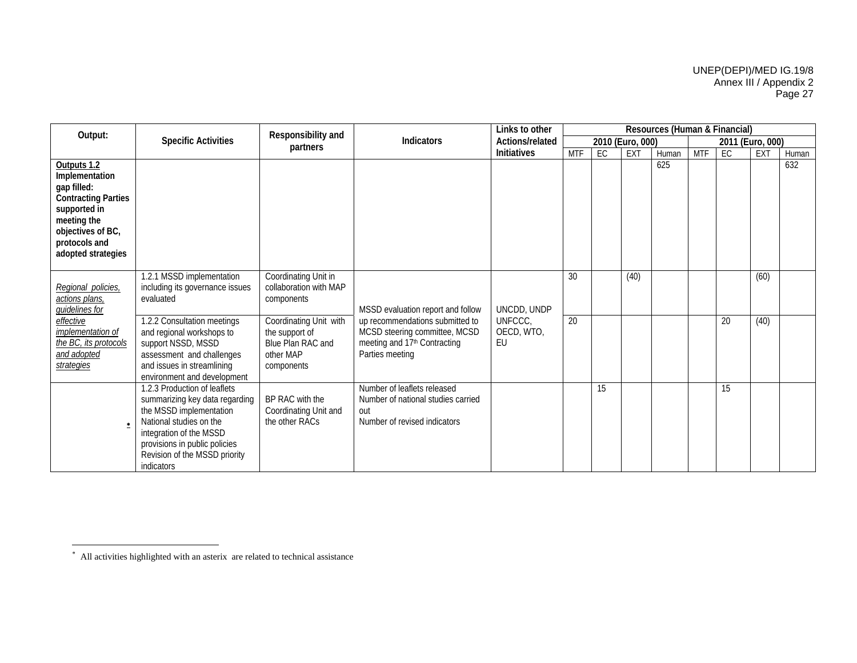| Output:                                                                                                                                                               |                                                                                                                                                                                                                                 | Responsibility and                                                                     | <b>Indicators</b>                                                                                        | Links to other         | Resources (Human & Financial) |    |                  |       |            |                  |              |       |  |
|-----------------------------------------------------------------------------------------------------------------------------------------------------------------------|---------------------------------------------------------------------------------------------------------------------------------------------------------------------------------------------------------------------------------|----------------------------------------------------------------------------------------|----------------------------------------------------------------------------------------------------------|------------------------|-------------------------------|----|------------------|-------|------------|------------------|--------------|-------|--|
|                                                                                                                                                                       | <b>Specific Activities</b>                                                                                                                                                                                                      | partners                                                                               |                                                                                                          | Actions/related        |                               |    | 2010 (Euro, 000) |       |            | 2011 (Euro, 000) |              |       |  |
|                                                                                                                                                                       |                                                                                                                                                                                                                                 |                                                                                        |                                                                                                          | Initiatives            | <b>MTF</b>                    | EC | <b>EXT</b>       | Human | <b>MTF</b> | EC               | EXT          | Human |  |
| Outputs 1.2<br>Implementation<br>gap filled:<br><b>Contracting Parties</b><br>supported in<br>meeting the<br>objectives of BC,<br>protocols and<br>adopted strategies |                                                                                                                                                                                                                                 |                                                                                        |                                                                                                          |                        |                               |    |                  | 625   |            |                  |              | 632   |  |
| Regional policies,<br>actions plans,<br>quidelines for<br>effective                                                                                                   | 1.2.1 MSSD implementation<br>including its governance issues<br>evaluated<br>1.2.2 Consultation meetings                                                                                                                        | Coordinating Unit in<br>collaboration with MAP<br>components<br>Coordinating Unit with | MSSD evaluation report and follow<br>up recommendations submitted to                                     | UNCDD, UNDP<br>UNFCCC. | 30<br>20                      |    | (40)             |       |            | 20               | (60)<br>(40) |       |  |
| implementation of<br>the BC, its protocols<br>and adopted<br>strategies                                                                                               | and regional workshops to<br>support NSSD, MSSD<br>assessment and challenges<br>and issues in streamlining<br>environment and development                                                                                       | the support of<br>Blue Plan RAC and<br>other MAP<br>components                         | MCSD steering committee, MCSD<br>meeting and 17th Contracting<br>Parties meeting                         | OECD, WTO,<br>EU       |                               |    |                  |       |            |                  |              |       |  |
| ۰                                                                                                                                                                     | 1.2.3 Production of leaflets<br>summarizing key data regarding<br>the MSSD implementation<br>National studies on the<br>integration of the MSSD<br>provisions in public policies<br>Revision of the MSSD priority<br>indicators | BP RAC with the<br>Coordinating Unit and<br>the other RACs                             | Number of leaflets released<br>Number of national studies carried<br>out<br>Number of revised indicators |                        |                               | 15 |                  |       |            | 15               |              |       |  |

<sup>∗</sup> All activities highlighted with an asterix are related to technical assistance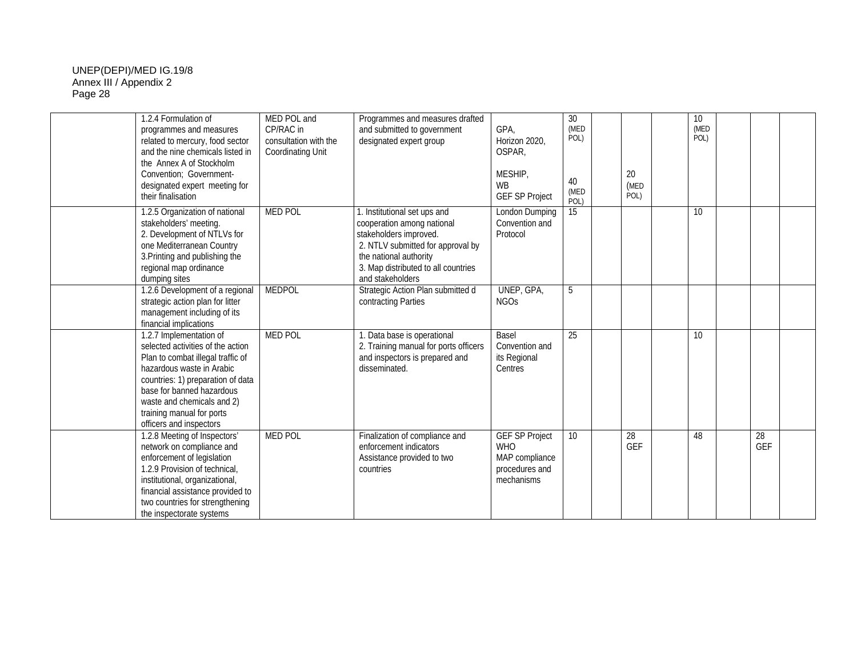| 1.2.4 Formulation of<br>programmes and measures<br>related to mercury, food sector<br>and the nine chemicals listed in<br>the Annex A of Stockholm<br>Convention; Government-<br>designated expert meeting for<br>their finalisation                                                   | MED POL and<br>CP/RAC in<br>consultation with the<br><b>Coordinating Unit</b> | Programmes and measures drafted<br>and submitted to government<br>designated expert group                                                                                                                   | GPA,<br>Horizon 2020,<br>OSPAR,<br>MESHIP,<br><b>WB</b><br><b>GEF SP Project</b>      | 30<br>(MED<br>POL)<br>40<br>(MED<br>POL) | 20<br>(MED<br>POL) | 10<br>(MED<br>POL) |           |  |
|----------------------------------------------------------------------------------------------------------------------------------------------------------------------------------------------------------------------------------------------------------------------------------------|-------------------------------------------------------------------------------|-------------------------------------------------------------------------------------------------------------------------------------------------------------------------------------------------------------|---------------------------------------------------------------------------------------|------------------------------------------|--------------------|--------------------|-----------|--|
| 1.2.5 Organization of national<br>stakeholders' meeting.<br>2. Development of NTLVs for<br>one Mediterranean Country<br>3. Printing and publishing the<br>regional map ordinance<br>dumping sites                                                                                      | <b>MED POL</b>                                                                | Institutional set ups and<br>cooperation among national<br>stakeholders improved.<br>2. NTLV submitted for approval by<br>the national authority<br>3. Map distributed to all countries<br>and stakeholders | London Dumping<br>Convention and<br>Protocol                                          | 15                                       |                    | 10                 |           |  |
| 1.2.6 Development of a regional<br>strategic action plan for litter<br>management including of its<br>financial implications                                                                                                                                                           | <b>MEDPOL</b>                                                                 | Strategic Action Plan submitted d<br>contracting Parties                                                                                                                                                    | UNEP, GPA,<br><b>NGOs</b>                                                             | 5                                        |                    |                    |           |  |
| 1.2.7 Implementation of<br>selected activities of the action<br>Plan to combat illegal traffic of<br>hazardous waste in Arabic<br>countries: 1) preparation of data<br>base for banned hazardous<br>waste and chemicals and 2)<br>training manual for ports<br>officers and inspectors | <b>MED POL</b>                                                                | 1. Data base is operational<br>2. Training manual for ports officers<br>and inspectors is prepared and<br>disseminated.                                                                                     | Basel<br>Convention and<br>its Regional<br>Centres                                    | 25                                       |                    | 10                 |           |  |
| 1.2.8 Meeting of Inspectors'<br>network on compliance and<br>enforcement of legislation<br>1.2.9 Provision of technical,<br>institutional, organizational,<br>financial assistance provided to<br>two countries for strengthening<br>the inspectorate systems                          | <b>MED POL</b>                                                                | Finalization of compliance and<br>enforcement indicators<br>Assistance provided to two<br>countries                                                                                                         | <b>GEF SP Project</b><br><b>WHO</b><br>MAP compliance<br>procedures and<br>mechanisms | 10                                       | 28<br><b>GEF</b>   | 48                 | 28<br>GEF |  |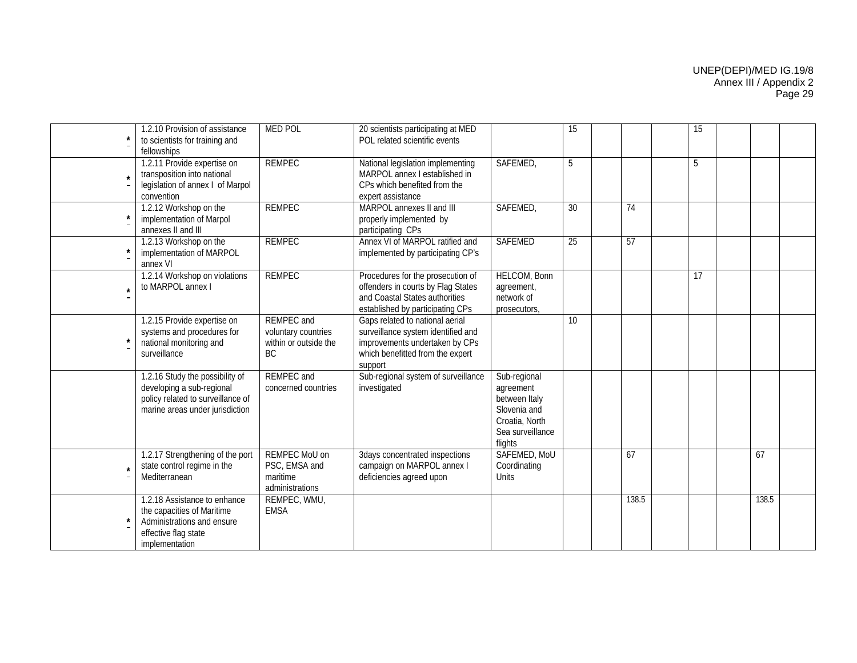|         | 1.2.10 Provision of assistance<br>to scientists for training and<br>fellowships                                                      | <b>MED POL</b>                                                                 | 20 scientists participating at MED<br>POL related scientific events                                                                                    |                                                                                                             | 15              |                 | 15 |       |  |
|---------|--------------------------------------------------------------------------------------------------------------------------------------|--------------------------------------------------------------------------------|--------------------------------------------------------------------------------------------------------------------------------------------------------|-------------------------------------------------------------------------------------------------------------|-----------------|-----------------|----|-------|--|
| $\star$ | 1.2.11 Provide expertise on<br>transposition into national<br>legislation of annex I of Marpol<br>convention                         | <b>REMPEC</b>                                                                  | National legislation implementing<br>MARPOL annex I established in<br>CPs which benefited from the<br>expert assistance                                | SAFEMED,                                                                                                    | 5               |                 | 5  |       |  |
| $\star$ | 1.2.12 Workshop on the<br>implementation of Marpol<br>annexes II and III                                                             | <b>REMPEC</b>                                                                  | MARPOL annexes II and III<br>properly implemented by<br>participating CPs                                                                              | SAFEMED,                                                                                                    | 30              | 74              |    |       |  |
| $\star$ | 1.2.13 Workshop on the<br>implementation of MARPOL<br>annex VI                                                                       | <b>REMPEC</b>                                                                  | Annex VI of MARPOL ratified and<br>implemented by participating CP's                                                                                   | <b>SAFEMED</b>                                                                                              | 25              | $\overline{57}$ |    |       |  |
| $\star$ | 1.2.14 Workshop on violations<br>to MARPOL annex I                                                                                   | <b>REMPEC</b>                                                                  | Procedures for the prosecution of<br>offenders in courts by Flag States<br>and Coastal States authorities<br>established by participating CPs          | <b>HELCOM, Bonn</b><br>agreement,<br>network of<br>prosecutors,                                             |                 |                 | 17 |       |  |
|         | 1.2.15 Provide expertise on<br>systems and procedures for<br>national monitoring and<br>surveillance                                 | <b>REMPEC</b> and<br>voluntary countries<br>within or outside the<br><b>BC</b> | Gaps related to national aerial<br>surveillance system identified and<br>improvements undertaken by CPs<br>which benefitted from the expert<br>support |                                                                                                             | 10 <sup>1</sup> |                 |    |       |  |
|         | 1.2.16 Study the possibility of<br>developing a sub-regional<br>policy related to surveillance of<br>marine areas under jurisdiction | <b>REMPEC</b> and<br>concerned countries                                       | Sub-regional system of surveillance<br>investigated                                                                                                    | Sub-regional<br>agreement<br>between Italy<br>Slovenia and<br>Croatia, North<br>Sea surveillance<br>flights |                 |                 |    |       |  |
| $\star$ | 1.2.17 Strengthening of the port<br>state control regime in the<br>Mediterranean                                                     | REMPEC MoU on<br>PSC, EMSA and<br>maritime<br>administrations                  | 3days concentrated inspections<br>campaign on MARPOL annex I<br>deficiencies agreed upon                                                               | SAFEMED, MoU<br>Coordinating<br>Units                                                                       |                 | 67              |    | 67    |  |
|         | 1.2.18 Assistance to enhance<br>the capacities of Maritime<br>Administrations and ensure<br>effective flag state<br>implementation   | REMPEC, WMU,<br><b>EMSA</b>                                                    |                                                                                                                                                        |                                                                                                             |                 | 138.5           |    | 138.5 |  |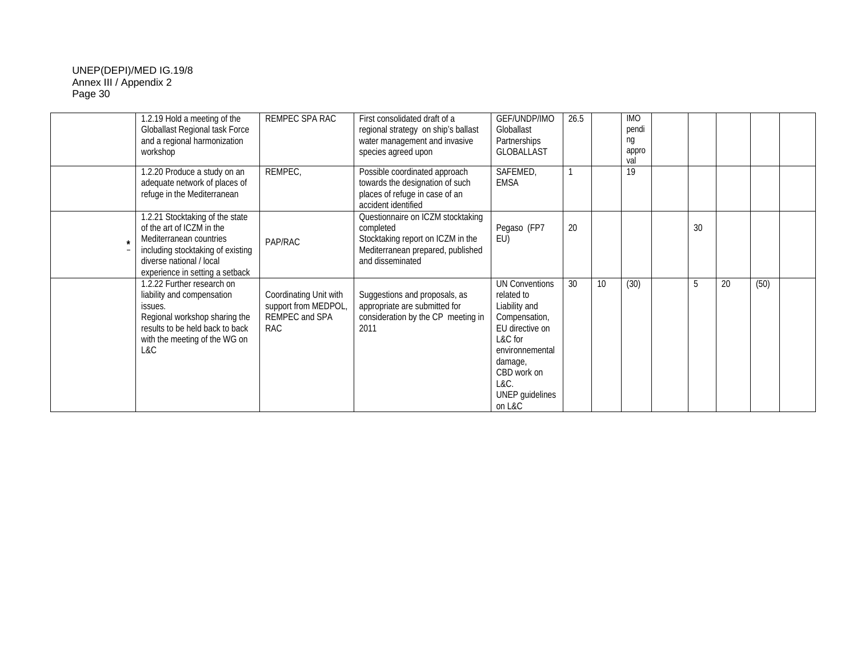| 1.2.19 Hold a meeting of the<br>Globallast Regional task Force<br>and a regional harmonization<br>workshop                                                                                  | REMPEC SPA RAC                                                                 | First consolidated draft of a<br>regional strategy on ship's ballast<br>water management and invasive<br>species agreed upon                 | GEF/UNDP/IMO<br>Globallast<br>Partnerships<br><b>GLOBALLAST</b>                                                                                                                       | 26.5 |    | <b>IMO</b><br>pendi<br>ng<br>appro<br>val |    |    |      |  |
|---------------------------------------------------------------------------------------------------------------------------------------------------------------------------------------------|--------------------------------------------------------------------------------|----------------------------------------------------------------------------------------------------------------------------------------------|---------------------------------------------------------------------------------------------------------------------------------------------------------------------------------------|------|----|-------------------------------------------|----|----|------|--|
| 1.2.20 Produce a study on an<br>adequate network of places of<br>refuge in the Mediterranean                                                                                                | REMPEC,                                                                        | Possible coordinated approach<br>towards the designation of such<br>places of refuge in case of an<br>accident identified                    | SAFEMED,<br><b>EMSA</b>                                                                                                                                                               |      |    | 19                                        |    |    |      |  |
| 1.2.21 Stocktaking of the state<br>of the art of ICZM in the<br>Mediterranean countries<br>including stocktaking of existing<br>diverse national / local<br>experience in setting a setback | PAP/RAC                                                                        | Questionnaire on ICZM stocktaking<br>completed<br>Stocktaking report on ICZM in the<br>Mediterranean prepared, published<br>and disseminated | Pegaso (FP7<br>EU)                                                                                                                                                                    | 20   |    |                                           | 30 |    |      |  |
| 1.2.22 Further research on<br>liability and compensation<br>issues.<br>Regional workshop sharing the<br>results to be held back to back<br>with the meeting of the WG on<br>L&C             | Coordinating Unit with<br>support from MEDPOL,<br>REMPEC and SPA<br><b>RAC</b> | Suggestions and proposals, as<br>appropriate are submitted for<br>consideration by the CP meeting in<br>2011                                 | <b>UN Conventions</b><br>related to<br>Liability and<br>Compensation,<br>EU directive on<br>L&C for<br>environnemental<br>damage,<br>CBD work on<br>L&C.<br>UNEP guidelines<br>on L&C | 30   | 10 | (30)                                      | 5  | 20 | (50) |  |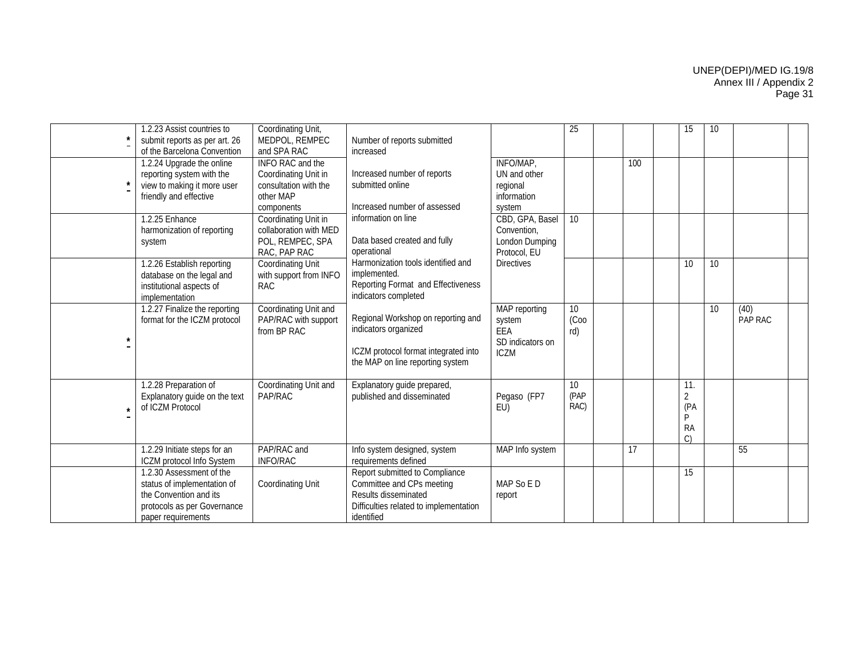| 1.2.23 Assist countries to<br>submit reports as per art. 26<br>of the Barcelona Convention                                             | Coordinating Unit,<br>MEDPOL, REMPEC<br>and SPA RAC                                          | Number of reports submitted<br>increased                                                                                                    |                                                                   | 25                 |     | 15                                            | 10 |                 |  |
|----------------------------------------------------------------------------------------------------------------------------------------|----------------------------------------------------------------------------------------------|---------------------------------------------------------------------------------------------------------------------------------------------|-------------------------------------------------------------------|--------------------|-----|-----------------------------------------------|----|-----------------|--|
| 1.2.24 Upgrade the online<br>reporting system with the<br>view to making it more user<br>friendly and effective                        | INFO RAC and the<br>Coordinating Unit in<br>consultation with the<br>other MAP<br>components | Increased number of reports<br>submitted online<br>Increased number of assessed                                                             | INFO/MAP,<br>UN and other<br>regional<br>information<br>system    |                    | 100 |                                               |    |                 |  |
| 1.2.25 Enhance<br>harmonization of reporting<br>system                                                                                 | Coordinating Unit in<br>collaboration with MED<br>POL, REMPEC, SPA<br>RAC, PAP RAC           | information on line<br>Data based created and fully<br>operational                                                                          | CBD, GPA, Basel<br>Convention,<br>London Dumping<br>Protocol, EU  | 10 <sup>1</sup>    |     |                                               |    |                 |  |
| 1.2.26 Establish reporting<br>database on the legal and<br>institutional aspects of<br>implementation                                  | <b>Coordinating Unit</b><br>with support from INFO<br><b>RAC</b>                             | Harmonization tools identified and<br>implemented.<br>Reporting Format and Effectiveness<br>indicators completed                            | <b>Directives</b>                                                 |                    |     | 10                                            | 10 |                 |  |
| 1.2.27 Finalize the reporting<br>format for the ICZM protocol                                                                          | Coordinating Unit and<br>PAP/RAC with support<br>from BP RAC                                 | Regional Workshop on reporting and<br>indicators organized<br>ICZM protocol format integrated into<br>the MAP on line reporting system      | MAP reporting<br>system<br>EEA<br>SD indicators on<br><b>ICZM</b> | 10<br>(Coo<br>rd)  |     |                                               | 10 | (40)<br>PAP RAC |  |
| 1.2.28 Preparation of<br>Explanatory guide on the text<br>of ICZM Protocol                                                             | Coordinating Unit and<br>PAP/RAC                                                             | Explanatory guide prepared,<br>published and disseminated                                                                                   | Pegaso (FP7<br>EU)                                                | 10<br>(PAP<br>RAC) |     | 11.<br>$\overline{2}$<br>(PA<br>P<br>RA<br>C) |    |                 |  |
| 1.2.29 Initiate steps for an<br>ICZM protocol Info System                                                                              | PAP/RAC and<br><b>INFO/RAC</b>                                                               | Info system designed, system<br>requirements defined                                                                                        | MAP Info system                                                   |                    | 17  |                                               |    | 55              |  |
| 1.2.30 Assessment of the<br>status of implementation of<br>the Convention and its<br>protocols as per Governance<br>paper requirements | <b>Coordinating Unit</b>                                                                     | Report submitted to Compliance<br>Committee and CPs meeting<br>Results disseminated<br>Difficulties related to implementation<br>identified | MAP So E D<br>report                                              |                    |     | 15                                            |    |                 |  |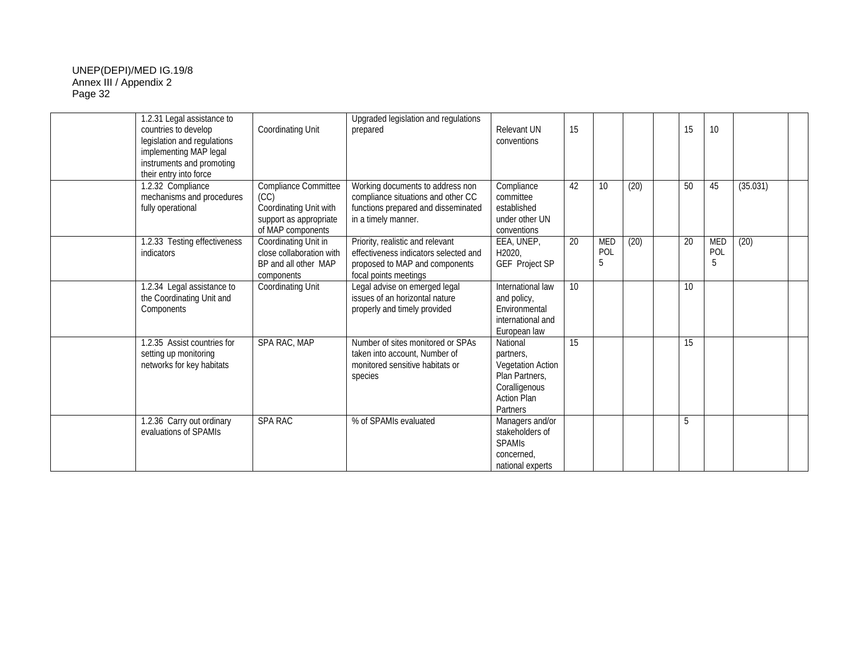| 1.2.31 Legal assistance to<br>countries to develop<br>legislation and regulations<br>implementing MAP legal<br>instruments and promoting<br>their entry into force | Coordinating Unit                                                                                            | Upgraded legislation and regulations<br>prepared                                                                                     | Relevant UN<br>conventions                                                                                      | 15 |                        |      | 15 | 10                     |          |  |
|--------------------------------------------------------------------------------------------------------------------------------------------------------------------|--------------------------------------------------------------------------------------------------------------|--------------------------------------------------------------------------------------------------------------------------------------|-----------------------------------------------------------------------------------------------------------------|----|------------------------|------|----|------------------------|----------|--|
| 1.2.32 Compliance<br>mechanisms and procedures<br>fully operational                                                                                                | <b>Compliance Committee</b><br>(CC)<br>Coordinating Unit with<br>support as appropriate<br>of MAP components | Working documents to address non<br>compliance situations and other CC<br>functions prepared and disseminated<br>in a timely manner. | Compliance<br>committee<br>established<br>under other UN<br>conventions                                         | 42 | 10 <sup>°</sup>        | (20) | 50 | 45                     | (35.031) |  |
| 1.2.33 Testing effectiveness<br>indicators                                                                                                                         | Coordinating Unit in<br>close collaboration with<br>BP and all other MAP<br>components                       | Priority, realistic and relevant<br>effectiveness indicators selected and<br>proposed to MAP and components<br>focal points meetings | EEA, UNEP,<br>H2020.<br>GEF Project SP                                                                          | 20 | <b>MED</b><br>POL<br>5 | (20) | 20 | <b>MED</b><br>POL<br>5 | (20)     |  |
| 1.2.34 Legal assistance to<br>the Coordinating Unit and<br>Components                                                                                              | Coordinating Unit                                                                                            | Legal advise on emerged legal<br>issues of an horizontal nature<br>properly and timely provided                                      | International law<br>and policy,<br>Environmental<br>international and<br>European law                          | 10 |                        |      | 10 |                        |          |  |
| 1.2.35 Assist countries for<br>setting up monitoring<br>networks for key habitats                                                                                  | SPA RAC, MAP                                                                                                 | Number of sites monitored or SPAs<br>taken into account. Number of<br>monitored sensitive habitats or<br>species                     | National<br>partners,<br>Vegetation Action<br>Plan Partners.<br>Coralligenous<br><b>Action Plan</b><br>Partners | 15 |                        |      | 15 |                        |          |  |
| 1.2.36 Carry out ordinary<br>evaluations of SPAMIs                                                                                                                 | <b>SPA RAC</b>                                                                                               | % of SPAMIs evaluated                                                                                                                | Managers and/or<br>stakeholders of<br><b>SPAMIS</b><br>concerned.<br>national experts                           |    |                        |      | 5  |                        |          |  |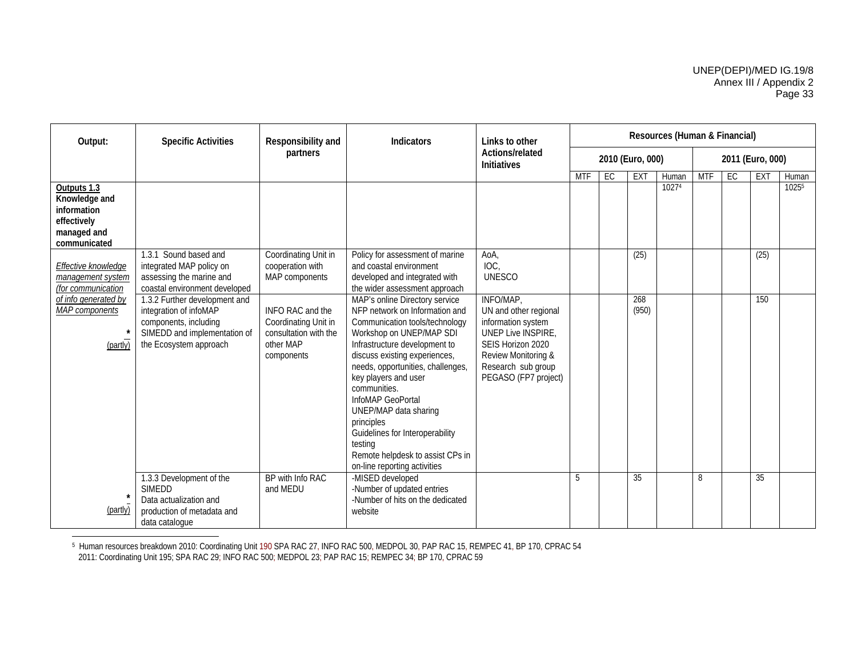| Output:                                                                                   | <b>Specific Activities</b>                                                                                                                 | Responsibility and                                                                           | <b>Indicators</b>                                                                                                                                                                                                                                                                                                                                                                                                                                           | Links to other                                                                                                                                                                  | Resources (Human & Financial) |                  |              |       |            |    |                  |       |
|-------------------------------------------------------------------------------------------|--------------------------------------------------------------------------------------------------------------------------------------------|----------------------------------------------------------------------------------------------|-------------------------------------------------------------------------------------------------------------------------------------------------------------------------------------------------------------------------------------------------------------------------------------------------------------------------------------------------------------------------------------------------------------------------------------------------------------|---------------------------------------------------------------------------------------------------------------------------------------------------------------------------------|-------------------------------|------------------|--------------|-------|------------|----|------------------|-------|
|                                                                                           |                                                                                                                                            | partners                                                                                     |                                                                                                                                                                                                                                                                                                                                                                                                                                                             | Actions/related<br><b>Initiatives</b>                                                                                                                                           |                               | 2010 (Euro, 000) |              |       |            |    | 2011 (Euro, 000) |       |
|                                                                                           |                                                                                                                                            |                                                                                              |                                                                                                                                                                                                                                                                                                                                                                                                                                                             |                                                                                                                                                                                 | <b>MTF</b>                    | EC               | EXT          | Human | <b>MTF</b> | EC | EXT              | Human |
| Outputs 1.3<br>Knowledge and<br>information<br>effectively<br>managed and<br>communicated |                                                                                                                                            |                                                                                              |                                                                                                                                                                                                                                                                                                                                                                                                                                                             |                                                                                                                                                                                 |                               |                  |              | 10274 |            |    |                  | 10255 |
| <b>Effective knowledge</b><br>management system<br>(for communication                     | 1.3.1 Sound based and<br>integrated MAP policy on<br>assessing the marine and<br>coastal environment developed                             | Coordinating Unit in<br>cooperation with<br>MAP components                                   | Policy for assessment of marine<br>and coastal environment<br>developed and integrated with<br>the wider assessment approach                                                                                                                                                                                                                                                                                                                                | AoA,<br>IOC,<br><b>UNESCO</b>                                                                                                                                                   |                               |                  | (25)         |       |            |    | (25)             |       |
| of info generated by<br>MAP components<br>(partly)                                        | 1.3.2 Further development and<br>integration of infoMAP<br>components, including<br>SIMEDD and implementation of<br>the Ecosystem approach | INFO RAC and the<br>Coordinating Unit in<br>consultation with the<br>other MAP<br>components | MAP's online Directory service<br>NFP network on Information and<br>Communication tools/technology<br>Workshop on UNEP/MAP SDI<br>Infrastructure development to<br>discuss existing experiences,<br>needs, opportunities, challenges,<br>key players and user<br>communities.<br>InfoMAP GeoPortal<br>UNEP/MAP data sharing<br>principles<br>Guidelines for Interoperability<br>testing<br>Remote helpdesk to assist CPs in<br>on-line reporting activities | INFO/MAP,<br>UN and other regional<br>information system<br><b>UNEP Live INSPIRE,</b><br>SEIS Horizon 2020<br>Review Monitoring &<br>Research sub group<br>PEGASO (FP7 project) |                               |                  | 268<br>(950) |       |            |    | 150              |       |
| (partly)                                                                                  | 1.3.3 Development of the<br><b>SIMEDD</b><br>Data actualization and<br>production of metadata and<br>data catalogue                        | BP with Info RAC<br>and MEDU                                                                 | -MISED developed<br>-Number of updated entries<br>-Number of hits on the dedicated<br>website                                                                                                                                                                                                                                                                                                                                                               |                                                                                                                                                                                 | 5                             |                  | 35           |       | 8          |    | 35               |       |

 $^{\rm 5}$  Human resources breakdown 2010: Coordinating Unit 190 SPA RAC 27, INFO RAC 500, MEDPOL 30, PAP RAC 15, REMPEC 41, BP 170, CPRAC 54

2011: Coordinating Unit 195; SPA RAC 29; INFO RAC 500; MEDPOL 23; PAP RAC 15; REMPEC 34; BP 170, CPRAC 59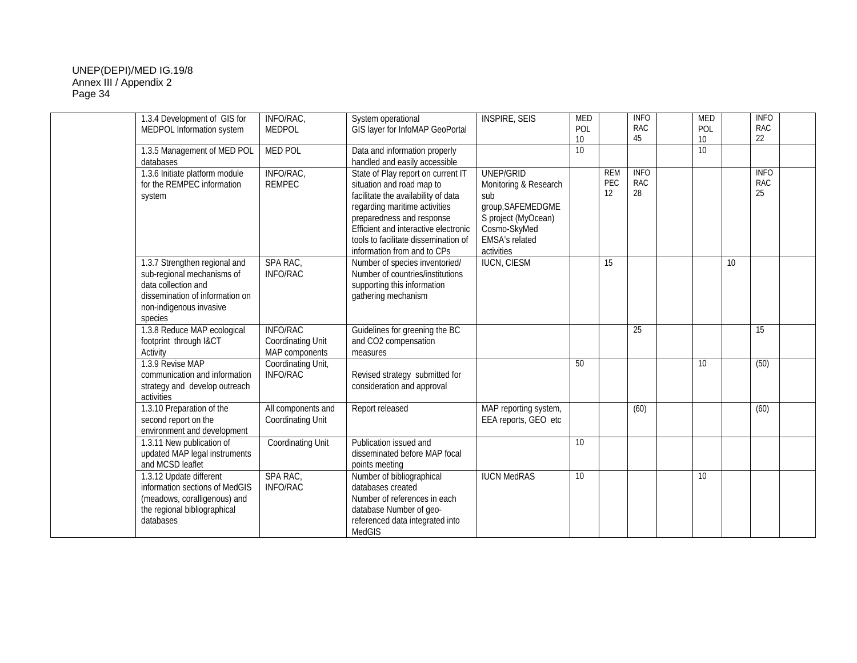| 1.3.4 Development of GIS for                                                                                                                                | INFO/RAC,                                                     | System operational                                                                                                                                                                                                                                                                  | <b>INSPIRE, SEIS</b>                                                                                                                  | <b>MED</b>      |                         | <b>INFO</b>                     | <b>MED</b> |    | <b>INFO</b>              |  |
|-------------------------------------------------------------------------------------------------------------------------------------------------------------|---------------------------------------------------------------|-------------------------------------------------------------------------------------------------------------------------------------------------------------------------------------------------------------------------------------------------------------------------------------|---------------------------------------------------------------------------------------------------------------------------------------|-----------------|-------------------------|---------------------------------|------------|----|--------------------------|--|
| MEDPOL Information system                                                                                                                                   | <b>MEDPOL</b>                                                 | GIS layer for InfoMAP GeoPortal                                                                                                                                                                                                                                                     |                                                                                                                                       | POL             |                         | <b>RAC</b>                      | POL        |    | RAC                      |  |
|                                                                                                                                                             |                                                               |                                                                                                                                                                                                                                                                                     |                                                                                                                                       | 10              |                         | 45                              | 10         |    | 22                       |  |
| 1.3.5 Management of MED POL<br>databases                                                                                                                    | <b>MED POL</b>                                                | Data and information properly<br>handled and easily accessible                                                                                                                                                                                                                      |                                                                                                                                       | 10 <sup>1</sup> |                         |                                 | 10         |    |                          |  |
| 1.3.6 Initiate platform module<br>for the REMPEC information<br>system                                                                                      | INFO/RAC,<br><b>REMPEC</b>                                    | State of Play report on current IT<br>situation and road map to<br>facilitate the availability of data<br>regarding maritime activities<br>preparedness and response<br>Efficient and interactive electronic<br>tools to facilitate dissemination of<br>information from and to CPs | UNEP/GRID<br>Monitoring & Research<br>sub<br>group, SAFEMEDGME<br>S project (MyOcean)<br>Cosmo-SkyMed<br>EMSA's related<br>activities |                 | <b>REM</b><br>PEC<br>12 | <b>INFO</b><br><b>RAC</b><br>28 |            |    | <b>INFO</b><br>RAC<br>25 |  |
| 1.3.7 Strengthen regional and<br>sub-regional mechanisms of<br>data collection and<br>dissemination of information on<br>non-indigenous invasive<br>species | SPA RAC,<br><b>INFO/RAC</b>                                   | Number of species inventoried/<br>Number of countries/institutions<br>supporting this information<br>gathering mechanism                                                                                                                                                            | <b>IUCN, CIESM</b>                                                                                                                    |                 | 15                      |                                 |            | 10 |                          |  |
| 1.3.8 Reduce MAP ecological<br>footprint through I&CT<br>Activity                                                                                           | <b>INFO/RAC</b><br><b>Coordinating Unit</b><br>MAP components | Guidelines for greening the BC<br>and CO2 compensation<br>measures                                                                                                                                                                                                                  |                                                                                                                                       |                 |                         | 25                              |            |    | 15                       |  |
| 1.3.9 Revise MAP<br>communication and information<br>strategy and develop outreach<br>activities                                                            | Coordinating Unit,<br><b>INFO/RAC</b>                         | Revised strategy submitted for<br>consideration and approval                                                                                                                                                                                                                        |                                                                                                                                       | 50              |                         |                                 | 10         |    | (50)                     |  |
| 1.3.10 Preparation of the<br>second report on the<br>environment and development                                                                            | All components and<br><b>Coordinating Unit</b>                | Report released                                                                                                                                                                                                                                                                     | MAP reporting system,<br>EEA reports, GEO etc                                                                                         |                 |                         | (60)                            |            |    | (60)                     |  |
| 1.3.11 New publication of<br>updated MAP legal instruments<br>and MCSD leaflet                                                                              | <b>Coordinating Unit</b>                                      | Publication issued and<br>disseminated before MAP focal<br>points meeting                                                                                                                                                                                                           |                                                                                                                                       | 10              |                         |                                 |            |    |                          |  |
| 1.3.12 Update different<br>information sections of MedGIS<br>(meadows, coralligenous) and<br>the regional bibliographical<br>databases                      | SPA RAC,<br><b>INFO/RAC</b>                                   | Number of bibliographical<br>databases created<br>Number of references in each<br>database Number of geo-<br>referenced data integrated into<br>MedGIS                                                                                                                              | <b>IUCN MedRAS</b>                                                                                                                    | 10              |                         |                                 | 10         |    |                          |  |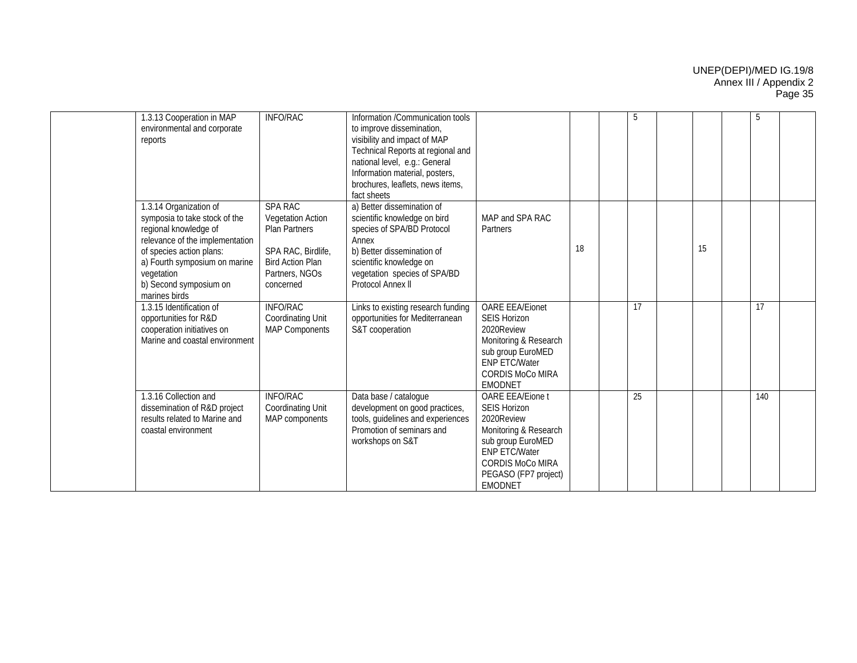| 1.3.13 Cooperation in MAP<br>environmental and corporate<br>reports                                                                                                                                                                       | <b>INFO/RAC</b>                                                                                                                                    | Information /Communication tools<br>to improve dissemination,<br>visibility and impact of MAP<br>Technical Reports at regional and<br>national level, e.g.: General<br>Information material, posters,<br>brochures, leaflets, news items,<br>fact sheets |                                                                                                                                                                                                  |    | 5  |    | 5   |  |
|-------------------------------------------------------------------------------------------------------------------------------------------------------------------------------------------------------------------------------------------|----------------------------------------------------------------------------------------------------------------------------------------------------|----------------------------------------------------------------------------------------------------------------------------------------------------------------------------------------------------------------------------------------------------------|--------------------------------------------------------------------------------------------------------------------------------------------------------------------------------------------------|----|----|----|-----|--|
| 1.3.14 Organization of<br>symposia to take stock of the<br>regional knowledge of<br>relevance of the implementation<br>of species action plans:<br>a) Fourth symposium on marine<br>vegetation<br>b) Second symposium on<br>marines birds | <b>SPA RAC</b><br><b>Vegetation Action</b><br><b>Plan Partners</b><br>SPA RAC, Birdlife,<br><b>Bird Action Plan</b><br>Partners, NGOs<br>concerned | a) Better dissemination of<br>scientific knowledge on bird<br>species of SPA/BD Protocol<br>Annex<br>b) Better dissemination of<br>scientific knowledge on<br>vegetation species of SPA/BD<br>Protocol Annex II                                          | MAP and SPA RAC<br>Partners                                                                                                                                                                      | 18 |    | 15 |     |  |
| 1.3.15 Identification of<br>opportunities for R&D<br>cooperation initiatives on<br>Marine and coastal environment                                                                                                                         | <b>INFO/RAC</b><br><b>Coordinating Unit</b><br><b>MAP Components</b>                                                                               | Links to existing research funding<br>opportunities for Mediterranean<br>S&T cooperation                                                                                                                                                                 | <b>OARE EEA/Eionet</b><br><b>SEIS Horizon</b><br>2020Review<br>Monitoring & Research<br>sub group EuroMED<br>ENP ETC/Water<br><b>CORDIS MoCo MIRA</b><br><b>EMODNET</b>                          |    | 17 |    | 17  |  |
| 1.3.16 Collection and<br>dissemination of R&D project<br>results related to Marine and<br>coastal environment                                                                                                                             | <b>INFO/RAC</b><br><b>Coordinating Unit</b><br>MAP components                                                                                      | Data base / catalogue<br>development on good practices,<br>tools, guidelines and experiences<br>Promotion of seminars and<br>workshops on S&T                                                                                                            | <b>OARE EEA/Eione t</b><br><b>SEIS Horizon</b><br>2020Review<br>Monitoring & Research<br>sub group EuroMED<br><b>ENP ETC/Water</b><br><b>CORDIS MoCo MIRA</b><br>PEGASO (FP7 project)<br>EMODNET |    | 25 |    | 140 |  |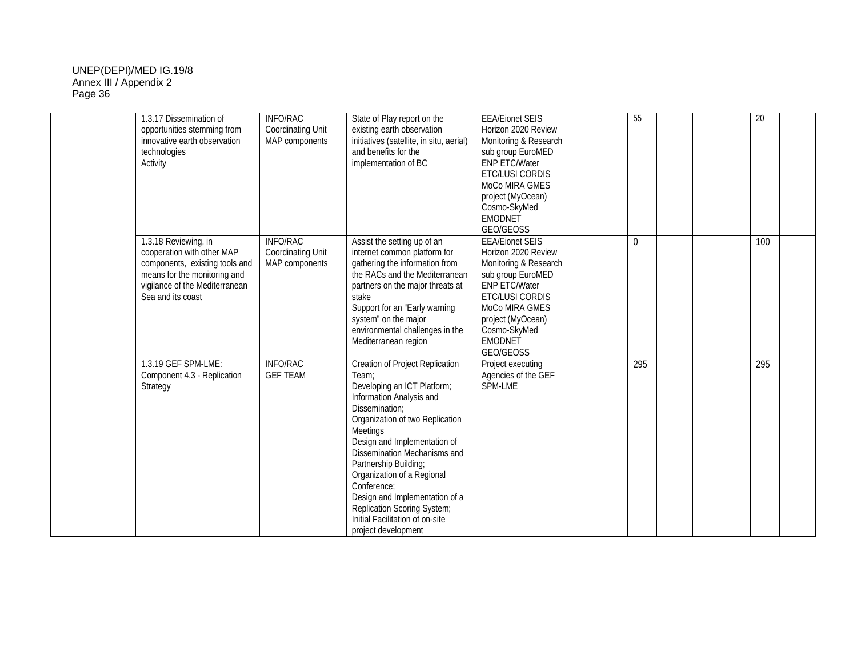| 1.3.17 Dissemination of<br>opportunities stemming from<br>innovative earth observation<br>technologies<br>Activity                                                          | <b>INFO/RAC</b><br><b>Coordinating Unit</b><br>MAP components | State of Play report on the<br>existing earth observation<br>initiatives (satellite, in situ, aerial)<br>and benefits for the<br>implementation of BC                                                                                                                                                                                                                                                                                 | <b>EEA/Eionet SEIS</b><br>Horizon 2020 Review<br>Monitoring & Research<br>sub group EuroMED<br><b>ENP ETC/Water</b><br>ETC/LUSI CORDIS<br>MoCo MIRA GMES<br>project (MyOcean)<br>Cosmo-SkyMed<br><b>EMODNET</b><br>GEO/GEOSS | 55       | 20  |  |
|-----------------------------------------------------------------------------------------------------------------------------------------------------------------------------|---------------------------------------------------------------|---------------------------------------------------------------------------------------------------------------------------------------------------------------------------------------------------------------------------------------------------------------------------------------------------------------------------------------------------------------------------------------------------------------------------------------|------------------------------------------------------------------------------------------------------------------------------------------------------------------------------------------------------------------------------|----------|-----|--|
| 1.3.18 Reviewing, in<br>cooperation with other MAP<br>components, existing tools and<br>means for the monitoring and<br>vigilance of the Mediterranean<br>Sea and its coast | <b>INFO/RAC</b><br><b>Coordinating Unit</b><br>MAP components | Assist the setting up of an<br>internet common platform for<br>gathering the information from<br>the RACs and the Mediterranean<br>partners on the major threats at<br>stake<br>Support for an "Early warning<br>system" on the major<br>environmental challenges in the<br>Mediterranean region                                                                                                                                      | <b>EEA/Eionet SEIS</b><br>Horizon 2020 Review<br>Monitoring & Research<br>sub group EuroMED<br>ENP ETC/Water<br>ETC/LUSI CORDIS<br>MoCo MIRA GMES<br>project (MyOcean)<br>Cosmo-SkyMed<br><b>EMODNET</b><br>GEO/GEOSS        | $\Omega$ | 100 |  |
| 1.3.19 GEF SPM-LME:<br>Component 4.3 - Replication<br>Strategy                                                                                                              | <b>INFO/RAC</b><br><b>GEF TEAM</b>                            | Creation of Project Replication<br>Team:<br>Developing an ICT Platform;<br>Information Analysis and<br>Dissemination;<br>Organization of two Replication<br>Meetings<br>Design and Implementation of<br>Dissemination Mechanisms and<br>Partnership Building;<br>Organization of a Regional<br>Conference:<br>Design and Implementation of a<br>Replication Scoring System;<br>Initial Facilitation of on-site<br>project development | Project executing<br>Agencies of the GEF<br>SPM-LME                                                                                                                                                                          | 295      | 295 |  |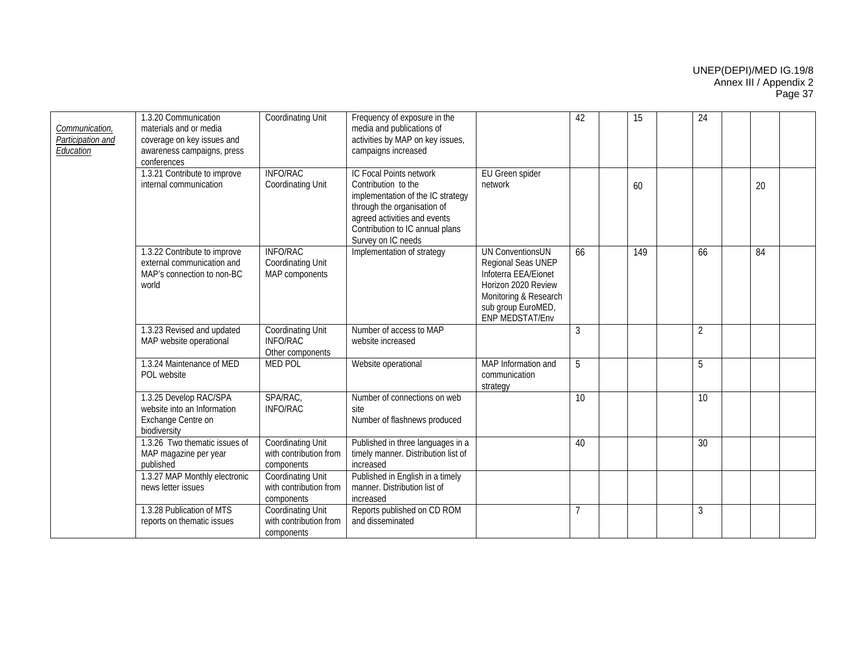| Communication,<br>Participation and<br>Education | 1.3.20 Communication<br>materials and or media<br>coverage on key issues and<br>awareness campaigns, press<br>conferences | <b>Coordinating Unit</b>                                         | Frequency of exposure in the<br>media and publications of<br>activities by MAP on key issues,<br>campaigns increased                                                                                        |                                                                                                                                                                       | 42             | 15 |     | 24             |    |  |
|--------------------------------------------------|---------------------------------------------------------------------------------------------------------------------------|------------------------------------------------------------------|-------------------------------------------------------------------------------------------------------------------------------------------------------------------------------------------------------------|-----------------------------------------------------------------------------------------------------------------------------------------------------------------------|----------------|----|-----|----------------|----|--|
|                                                  | 1.3.21 Contribute to improve<br>internal communication                                                                    | <b>INFO/RAC</b><br><b>Coordinating Unit</b>                      | IC Focal Points network<br>Contribution to the<br>implementation of the IC strategy<br>through the organisation of<br>agreed activities and events<br>Contribution to IC annual plans<br>Survey on IC needs | EU Green spider<br>network                                                                                                                                            |                | 60 |     |                | 20 |  |
|                                                  | 1.3.22 Contribute to improve<br>external communication and<br>MAP's connection to non-BC<br>world                         | <b>INFO/RAC</b><br>Coordinating Unit<br>MAP components           | Implementation of strategy                                                                                                                                                                                  | <b>UN ConventionsUN</b><br>Regional Seas UNEP<br>Infoterra EEA/Eionet<br>Horizon 2020 Review<br>Monitoring & Research<br>sub group EuroMED,<br><b>ENP MEDSTAT/Env</b> | 66             |    | 149 | 66             | 84 |  |
|                                                  | 1.3.23 Revised and updated<br>MAP website operational                                                                     | <b>Coordinating Unit</b><br><b>INFO/RAC</b><br>Other components  | Number of access to MAP<br>website increased                                                                                                                                                                |                                                                                                                                                                       | 3              |    |     | $\overline{2}$ |    |  |
|                                                  | 1.3.24 Maintenance of MED<br>POL website                                                                                  | <b>MED POL</b>                                                   | Website operational                                                                                                                                                                                         | MAP Information and<br>communication<br>strategy                                                                                                                      | 5              |    |     | 5              |    |  |
|                                                  | 1.3.25 Develop RAC/SPA<br>website into an Information<br>Exchange Centre on<br>biodiversity                               | SPA/RAC,<br><b>INFO/RAC</b>                                      | Number of connections on web<br>site<br>Number of flashnews produced                                                                                                                                        |                                                                                                                                                                       | 10             |    |     | 10             |    |  |
|                                                  | 1.3.26 Two thematic issues of<br>MAP magazine per year<br>published                                                       | <b>Coordinating Unit</b><br>with contribution from<br>components | Published in three languages in a<br>timely manner. Distribution list of<br>increased                                                                                                                       |                                                                                                                                                                       | 40             |    |     | 30             |    |  |
|                                                  | 1.3.27 MAP Monthly electronic<br>news letter issues                                                                       | Coordinating Unit<br>with contribution from<br>components        | Published in English in a timely<br>manner. Distribution list of<br>increased                                                                                                                               |                                                                                                                                                                       |                |    |     |                |    |  |
|                                                  | 1.3.28 Publication of MTS<br>reports on thematic issues                                                                   | <b>Coordinating Unit</b><br>with contribution from<br>components | Reports published on CD ROM<br>and disseminated                                                                                                                                                             |                                                                                                                                                                       | $\overline{7}$ |    |     | 3              |    |  |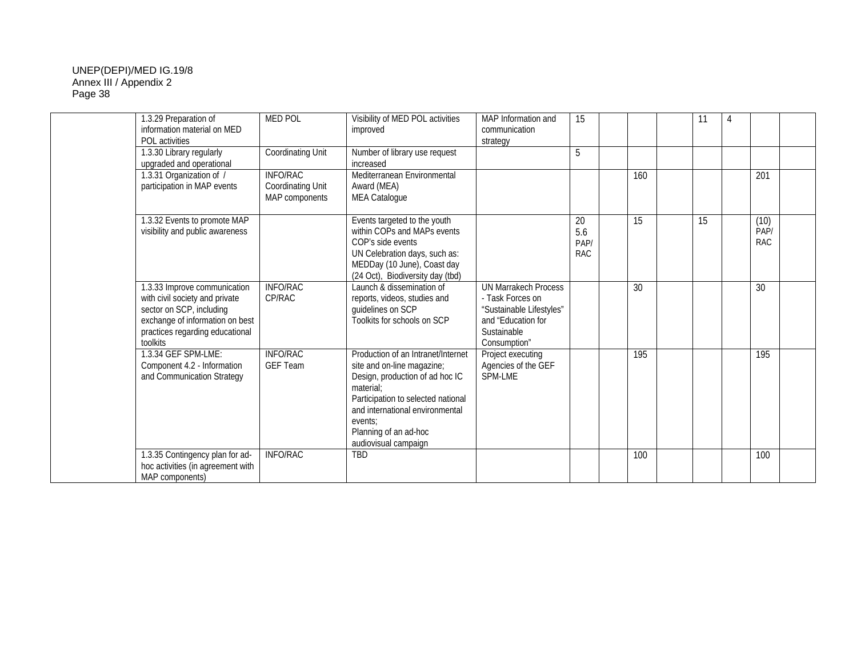|          | 1.3.29 Preparation of<br>information material on MED<br>POL activities                                                                                           | <b>MED POL</b>                                                | Visibility of MED POL activities<br>improved                                                                                                                                                                                                          | MAP Information and<br>communication<br>strategy                                                                                 | 15                              |     | 11 | $\overline{4}$ |                            |  |
|----------|------------------------------------------------------------------------------------------------------------------------------------------------------------------|---------------------------------------------------------------|-------------------------------------------------------------------------------------------------------------------------------------------------------------------------------------------------------------------------------------------------------|----------------------------------------------------------------------------------------------------------------------------------|---------------------------------|-----|----|----------------|----------------------------|--|
|          | 1.3.30 Library regularly<br>upgraded and operational                                                                                                             | Coordinating Unit                                             | Number of library use request<br>increased                                                                                                                                                                                                            |                                                                                                                                  |                                 |     |    |                |                            |  |
|          | 1.3.31 Organization of /<br>participation in MAP events                                                                                                          | <b>INFO/RAC</b><br><b>Coordinating Unit</b><br>MAP components | Mediterranean Environmental<br>Award (MEA)<br><b>MEA Catalogue</b>                                                                                                                                                                                    |                                                                                                                                  |                                 | 160 |    |                | 201                        |  |
|          | 1.3.32 Events to promote MAP<br>visibility and public awareness                                                                                                  |                                                               | Events targeted to the youth<br>within COPs and MAPs events<br>COP's side events<br>UN Celebration days, such as:<br>MEDDay (10 June), Coast day<br>(24 Oct), Biodiversity day (tbd)                                                                  |                                                                                                                                  | 20<br>5.6<br>PAP/<br><b>RAC</b> | 15  | 15 |                | (10)<br>PAP/<br><b>RAC</b> |  |
| toolkits | 1.3.33 Improve communication<br>with civil society and private<br>sector on SCP, including<br>exchange of information on best<br>practices regarding educational | <b>INFO/RAC</b><br>CP/RAC                                     | Launch & dissemination of<br>reports, videos, studies and<br>quidelines on SCP<br>Toolkits for schools on SCP                                                                                                                                         | <b>UN Marrakech Process</b><br>- Task Forces on<br>"Sustainable Lifestyles"<br>and "Education for<br>Sustainable<br>Consumption" |                                 | 30  |    |                | 30                         |  |
|          | 1.3.34 GEF SPM-LME:<br>Component 4.2 - Information<br>and Communication Strategy                                                                                 | <b>INFO/RAC</b><br><b>GEF Team</b>                            | Production of an Intranet/Internet<br>site and on-line magazine;<br>Design, production of ad hoc IC<br>material:<br>Participation to selected national<br>and international environmental<br>events:<br>Planning of an ad-hoc<br>audiovisual campaign | Project executing<br>Agencies of the GEF<br>SPM-LME                                                                              |                                 | 195 |    |                | 195                        |  |
|          | 1.3.35 Contingency plan for ad-<br>hoc activities (in agreement with<br>MAP components)                                                                          | <b>INFO/RAC</b>                                               | TBD                                                                                                                                                                                                                                                   |                                                                                                                                  |                                 | 100 |    |                | 100                        |  |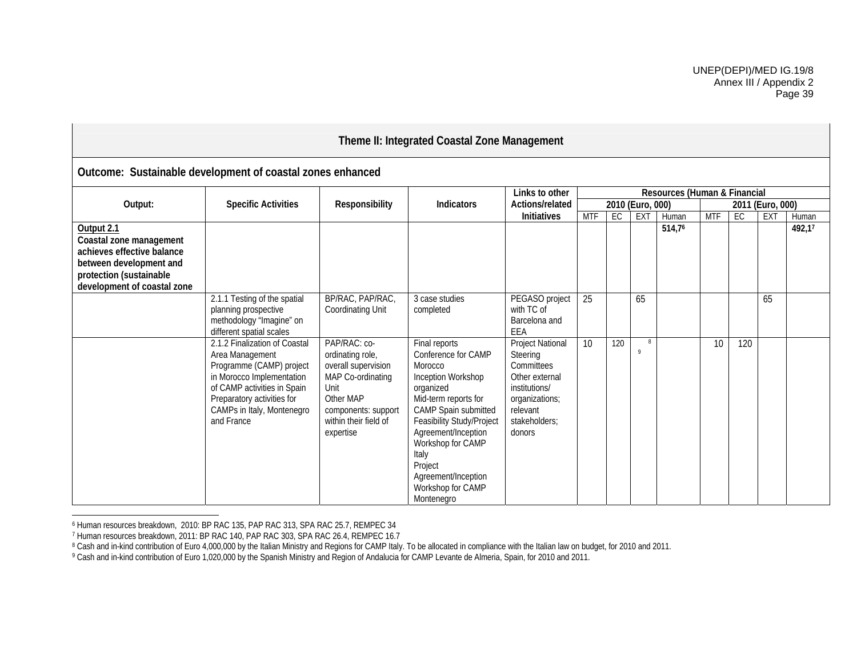# **Theme II: Integrated Coastal Zone Management**

|                                                                                                                                                          | .comor captamasio actorement or coactar Lonco cimal                                                                                                                                                                |                                                                                                                                                                |                                                                                                                                                                                                                                                                                           |                                                                                                                                        |            |     |                   |                              |            |     |                  |        |
|----------------------------------------------------------------------------------------------------------------------------------------------------------|--------------------------------------------------------------------------------------------------------------------------------------------------------------------------------------------------------------------|----------------------------------------------------------------------------------------------------------------------------------------------------------------|-------------------------------------------------------------------------------------------------------------------------------------------------------------------------------------------------------------------------------------------------------------------------------------------|----------------------------------------------------------------------------------------------------------------------------------------|------------|-----|-------------------|------------------------------|------------|-----|------------------|--------|
|                                                                                                                                                          |                                                                                                                                                                                                                    |                                                                                                                                                                |                                                                                                                                                                                                                                                                                           | Links to other                                                                                                                         |            |     |                   | Resources (Human & Financial |            |     |                  |        |
| Output:                                                                                                                                                  | <b>Specific Activities</b>                                                                                                                                                                                         | Responsibility                                                                                                                                                 | Indicators                                                                                                                                                                                                                                                                                | Actions/related                                                                                                                        |            |     | 2010 (Euro, 000)  |                              |            |     | 2011 (Euro, 000) |        |
|                                                                                                                                                          |                                                                                                                                                                                                                    |                                                                                                                                                                |                                                                                                                                                                                                                                                                                           | Initiatives                                                                                                                            | <b>MTF</b> | EC  | <b>EXT</b>        | Human                        | <b>MTF</b> | EC  | EX <sub>T</sub>  | Human  |
| Output 2.1<br>Coastal zone management<br>achieves effective balance<br>between development and<br>protection (sustainable<br>development of coastal zone |                                                                                                                                                                                                                    |                                                                                                                                                                |                                                                                                                                                                                                                                                                                           |                                                                                                                                        |            |     |                   | 514,76                       |            |     |                  | 492,17 |
|                                                                                                                                                          | 2.1.1 Testing of the spatial<br>planning prospective<br>methodology "Imagine" on<br>different spatial scales                                                                                                       | BP/RAC, PAP/RAC,<br><b>Coordinating Unit</b>                                                                                                                   | 3 case studies<br>completed                                                                                                                                                                                                                                                               | PEGASO project<br>with TC of<br>Barcelona and<br>EEA                                                                                   | 25         |     | 65                |                              |            |     | 65               |        |
|                                                                                                                                                          | 2.1.2 Finalization of Coastal<br>Area Management<br>Programme (CAMP) project<br>in Morocco Implementation<br>of CAMP activities in Spain<br>Preparatory activities for<br>CAMPs in Italy, Montenegro<br>and France | PAP/RAC: co-<br>ordinating role,<br>overall supervision<br>MAP Co-ordinating<br>Unit<br>Other MAP<br>components: support<br>within their field of<br>expertise | Final reports<br>Conference for CAMP<br>Morocco<br>Inception Workshop<br>organized<br>Mid-term reports for<br>CAMP Spain submitted<br>Feasibility Study/Project<br>Agreement/Inception<br>Workshop for CAMP<br>Italy<br>Project<br>Agreement/Inception<br>Workshop for CAMP<br>Montenegro | Project National<br>Steering<br>Committees<br>Other external<br>institutions/<br>organizations;<br>relevant<br>stakeholders;<br>donors | 10         | 120 | 8<br>$\mathsf{Q}$ |                              | 10         | 120 |                  |        |

## **Outcome: Sustainable development of coastal zones enhanced**

<sup>6</sup> Human resources breakdown, 2010: BP RAC 135, PAP RAC 313, SPA RAC 25.7, REMPEC 34

<sup>7</sup> Human resources breakdown, 2011: BP RAC 140, PAP RAC 303, SPA RAC 26.4, REMPEC 16.7

<sup>8</sup> Cash and in-kind contribution of Euro 4,000,000 by the Italian Ministry and Regions for CAMP Italy. To be allocated in compliance with the Italian law on budget, for 2010 and 2011.

<sup>9</sup> Cash and in-kind contribution of Euro 1,020,000 by the Spanish Ministry and Region of Andalucia for CAMP Levante de Almeria, Spain, for 2010 and 2011.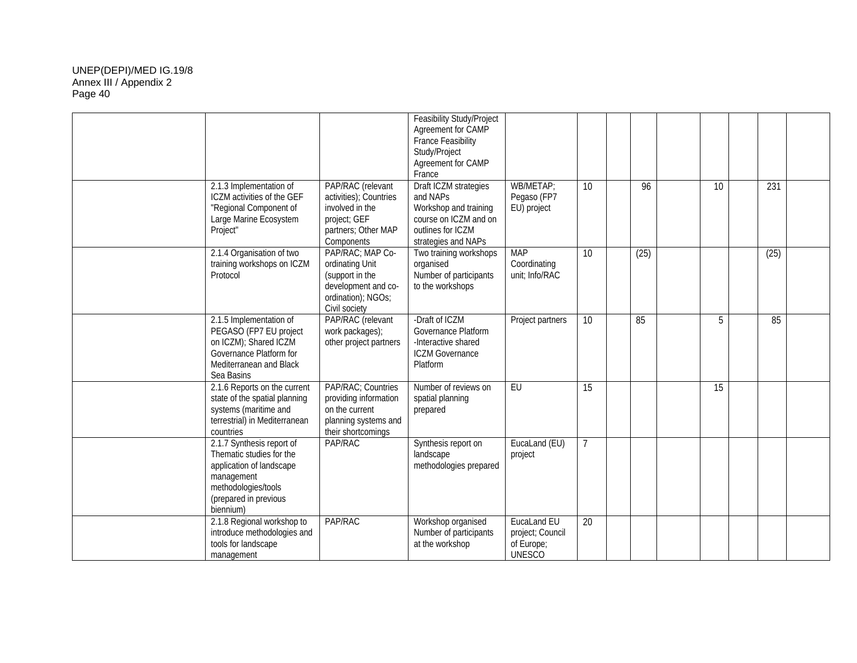|                         |                                                                                                                                                                                                                                        | Feasibility Study/Project<br>Agreement for CAMP<br><b>France Feasibility</b><br>Study/Project<br>Agreement for CAMP<br>France   |                                                                |    |      |                 |      |  |
|-------------------------|----------------------------------------------------------------------------------------------------------------------------------------------------------------------------------------------------------------------------------------|---------------------------------------------------------------------------------------------------------------------------------|----------------------------------------------------------------|----|------|-----------------|------|--|
| Project"                | 2.1.3 Implementation of<br>PAP/RAC (relevant<br>ICZM activities of the GEF<br>activities); Countries<br>"Regional Component of<br>involved in the<br>Large Marine Ecosystem<br>project; GEF<br>partners; Other MAP<br>Components       | Draft ICZM strategies<br>and NAPs<br>Workshop and training<br>course on ICZM and on<br>outlines for ICZM<br>strategies and NAPs | WB/METAP;<br>Pegaso (FP7<br>EU) project                        | 10 | 96   | 10              | 231  |  |
| Protocol                | PAP/RAC; MAP Co-<br>2.1.4 Organisation of two<br>training workshops on ICZM<br>ordinating Unit<br>(support in the<br>development and co-<br>ordination); NGOs;<br>Civil society                                                        | Two training workshops<br>organised<br>Number of participants<br>to the workshops                                               | <b>MAP</b><br>Coordinating<br>unit; Info/RAC                   | 10 | (25) |                 | (25) |  |
| Sea Basins              | PAP/RAC (relevant<br>2.1.5 Implementation of<br>PEGASO (FP7 EU project<br>work packages);<br>on ICZM); Shared ICZM<br>other project partners<br>Governance Platform for<br>Mediterranean and Black                                     | -Draft of ICZM<br>Governance Platform<br>-Interactive shared<br><b>ICZM Governance</b><br>Platform                              | Project partners                                               | 10 | 85   | 5               | 85   |  |
| countries               | PAP/RAC; Countries<br>2.1.6 Reports on the current<br>state of the spatial planning<br>providing information<br>systems (maritime and<br>on the current<br>terrestrial) in Mediterranean<br>planning systems and<br>their shortcomings | Number of reviews on<br>spatial planning<br>prepared                                                                            | EU                                                             | 15 |      | $\overline{15}$ |      |  |
| management<br>biennium) | 2.1.7 Synthesis report of<br>PAP/RAC<br>Thematic studies for the<br>application of landscape<br>methodologies/tools<br>(prepared in previous                                                                                           | Synthesis report on<br>landscape<br>methodologies prepared                                                                      | EucaLand (EU)<br>project                                       |    |      |                 |      |  |
| management              | 2.1.8 Regional workshop to<br>PAP/RAC<br>introduce methodologies and<br>tools for landscape                                                                                                                                            | Workshop organised<br>Number of participants<br>at the workshop                                                                 | EucaLand EU<br>project; Council<br>of Europe;<br><b>UNESCO</b> | 20 |      |                 |      |  |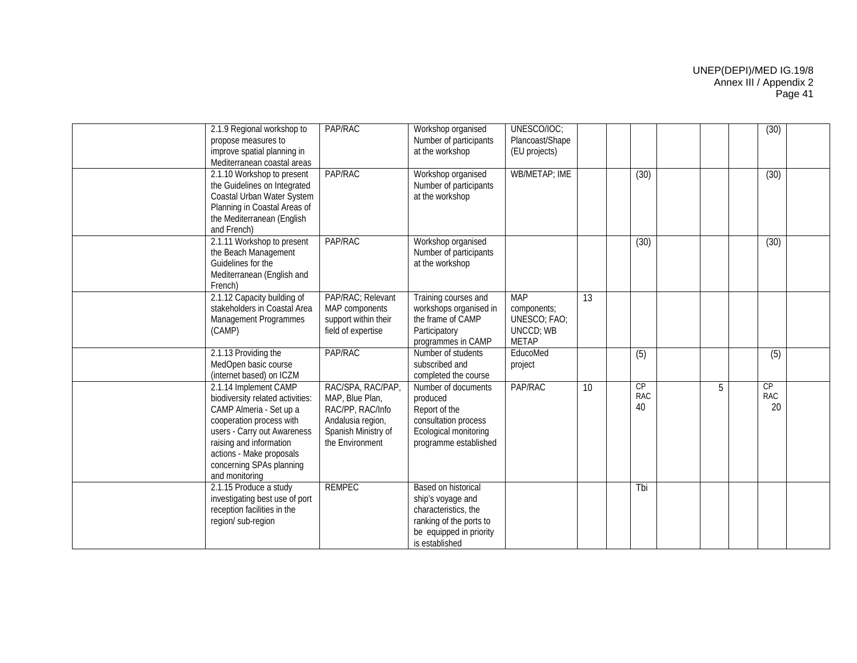| 2.1.9 Regional workshop to<br>propose measures to<br>improve spatial planning in<br>Mediterranean coastal areas                                                                                                                                      | PAP/RAC                                                                                                                 | Workshop organised<br>Number of participants<br>at the workshop                                                                          | UNESCO/IOC;<br>Plancoast/Shape<br>(EU projects)                               |    |                        |   | (30)             |  |
|------------------------------------------------------------------------------------------------------------------------------------------------------------------------------------------------------------------------------------------------------|-------------------------------------------------------------------------------------------------------------------------|------------------------------------------------------------------------------------------------------------------------------------------|-------------------------------------------------------------------------------|----|------------------------|---|------------------|--|
| 2.1.10 Workshop to present<br>the Guidelines on Integrated<br>Coastal Urban Water System<br>Planning in Coastal Areas of<br>the Mediterranean (English<br>and French)                                                                                | PAP/RAC                                                                                                                 | Workshop organised<br>Number of participants<br>at the workshop                                                                          | <b>WB/METAP; IME</b>                                                          |    | (30)                   |   | (30)             |  |
| 2.1.11 Workshop to present<br>the Beach Management<br>Guidelines for the<br>Mediterranean (English and<br>French)                                                                                                                                    | PAP/RAC                                                                                                                 | Workshop organised<br>Number of participants<br>at the workshop                                                                          |                                                                               |    | (30)                   |   | (30)             |  |
| 2.1.12 Capacity building of<br>stakeholders in Coastal Area<br><b>Management Programmes</b><br>(CAMP)                                                                                                                                                | PAP/RAC; Relevant<br>MAP components<br>support within their<br>field of expertise                                       | Training courses and<br>workshops organised in<br>the frame of CAMP<br>Participatory<br>programmes in CAMP                               | <b>MAP</b><br>components;<br>UNESCO; FAO;<br><b>UNCCD; WB</b><br><b>METAP</b> | 13 |                        |   |                  |  |
| 2.1.13 Providing the<br>MedOpen basic course<br>(internet based) on ICZM                                                                                                                                                                             | PAP/RAC                                                                                                                 | Number of students<br>subscribed and<br>completed the course                                                                             | EducoMed<br>project                                                           |    | (5)                    |   | $\overline{(5)}$ |  |
| 2.1.14 Implement CAMP<br>biodiversity related activities:<br>CAMP Almeria - Set up a<br>cooperation process with<br>users - Carry out Awareness<br>raising and information<br>actions - Make proposals<br>concerning SPAs planning<br>and monitoring | RAC/SPA, RAC/PAP,<br>MAP, Blue Plan,<br>RAC/PP, RAC/Info<br>Andalusia region,<br>Spanish Ministry of<br>the Environment | Number of documents<br>produced<br>Report of the<br>consultation process<br>Ecological monitoring<br>programme established               | PAP/RAC                                                                       | 10 | CP<br><b>RAC</b><br>40 | 5 | CP<br>RAC<br>20  |  |
| 2.1.15 Produce a study<br>investigating best use of port<br>reception facilities in the<br>region/ sub-region                                                                                                                                        | <b>REMPEC</b>                                                                                                           | Based on historical<br>ship's voyage and<br>characteristics, the<br>ranking of the ports to<br>be equipped in priority<br>is established |                                                                               |    | Tbi                    |   |                  |  |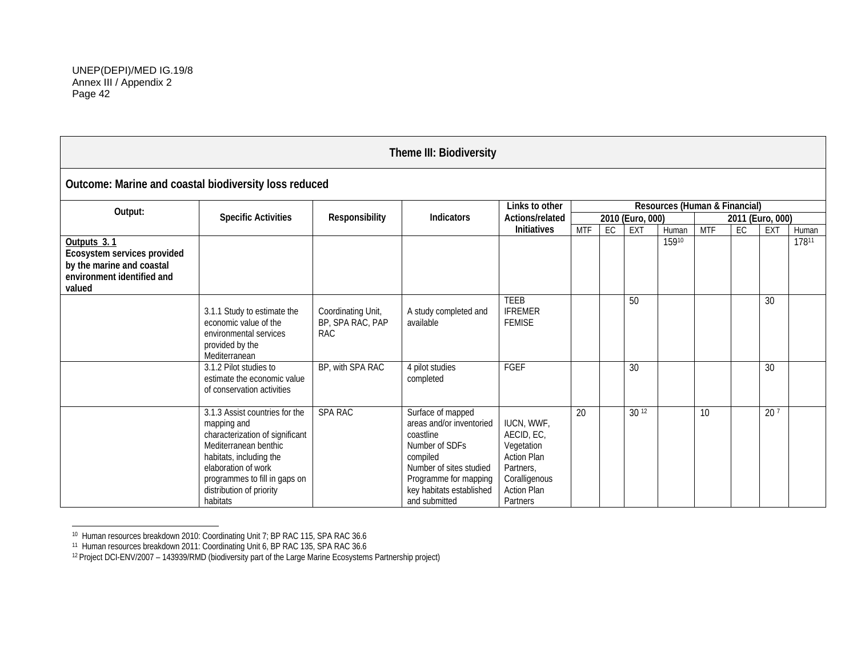|                                                                                                                 |                                                                                                                                                                                                                                      |                                                      | Theme III: Biodiversity                                                                                                                                                                   |                                                                                                                              |                  |    |           |       |                  |    |                 |       |
|-----------------------------------------------------------------------------------------------------------------|--------------------------------------------------------------------------------------------------------------------------------------------------------------------------------------------------------------------------------------|------------------------------------------------------|-------------------------------------------------------------------------------------------------------------------------------------------------------------------------------------------|------------------------------------------------------------------------------------------------------------------------------|------------------|----|-----------|-------|------------------|----|-----------------|-------|
| Outcome: Marine and coastal biodiversity loss reduced                                                           |                                                                                                                                                                                                                                      |                                                      |                                                                                                                                                                                           |                                                                                                                              |                  |    |           |       |                  |    |                 |       |
| Resources (Human & Financial)<br>Links to other<br>Output:<br><b>Specific Activities</b><br>Responsibility      |                                                                                                                                                                                                                                      |                                                      |                                                                                                                                                                                           |                                                                                                                              |                  |    |           |       |                  |    |                 |       |
|                                                                                                                 | <b>Indicators</b>                                                                                                                                                                                                                    | Actions/related                                      |                                                                                                                                                                                           |                                                                                                                              | 2010 (Euro, 000) |    |           |       | 2011 (Euro, 000) |    |                 |       |
|                                                                                                                 |                                                                                                                                                                                                                                      |                                                      |                                                                                                                                                                                           | Initiatives                                                                                                                  | <b>MTF</b>       | EC | EXT       | Human | <b>MTF</b>       | EC | EXT             | Human |
| Outputs 3.1<br>Ecosystem services provided<br>by the marine and coastal<br>environment identified and<br>valued |                                                                                                                                                                                                                                      |                                                      |                                                                                                                                                                                           |                                                                                                                              |                  |    |           | 15910 |                  |    |                 | 17811 |
|                                                                                                                 | 3.1.1 Study to estimate the<br>economic value of the<br>environmental services<br>provided by the<br>Mediterranean                                                                                                                   | Coordinating Unit,<br>BP, SPA RAC, PAP<br><b>RAC</b> | A study completed and<br>available                                                                                                                                                        | <b>TEEB</b><br><b>IFREMER</b><br><b>FEMISE</b>                                                                               |                  |    | 50        |       |                  |    | 30              |       |
|                                                                                                                 | 3.1.2 Pilot studies to<br>estimate the economic value<br>of conservation activities                                                                                                                                                  | BP, with SPA RAC                                     | 4 pilot studies<br>completed                                                                                                                                                              | FGEF                                                                                                                         |                  |    | 30        |       |                  |    | 30              |       |
|                                                                                                                 | 3.1.3 Assist countries for the<br>mapping and<br>characterization of significant<br>Mediterranean benthic<br>habitats, including the<br>elaboration of work<br>programmes to fill in gaps on<br>distribution of priority<br>habitats | <b>SPA RAC</b>                                       | Surface of mapped<br>areas and/or inventoried<br>coastline<br>Number of SDFs<br>compiled<br>Number of sites studied<br>Programme for mapping<br>key habitats established<br>and submitted | IUCN, WWF,<br>AECID, EC,<br>Vegetation<br><b>Action Plan</b><br>Partners,<br>Coralligenous<br><b>Action Plan</b><br>Partners | $\overline{20}$  |    | $30^{12}$ |       | 10               |    | 20 <sup>7</sup> |       |

<sup>10</sup> Human resources breakdown 2010: Coordinating Unit 7; BP RAC 115, SPA RAC 36.6

<sup>11</sup> Human resources breakdown 2011: Coordinating Unit 6, BP RAC 135, SPA RAC 36.6

<sup>12</sup> Project DCI-ENV/2007 – 143939/RMD (biodiversity part of the Large Marine Ecosystems Partnership project)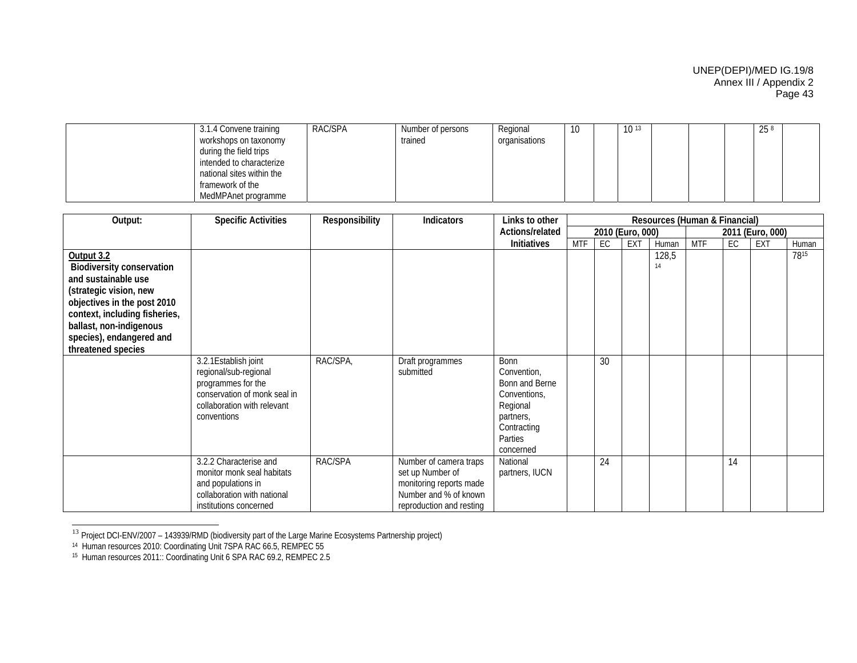| 3.1.4 Convene training    | RAC/SPA | Number of persons | Regional      | 10 | $10^{13}$ |  | 25 8 |  |
|---------------------------|---------|-------------------|---------------|----|-----------|--|------|--|
| workshops on taxonomy     |         | trained           | organisations |    |           |  |      |  |
| during the field trips    |         |                   |               |    |           |  |      |  |
| intended to characterize  |         |                   |               |    |           |  |      |  |
| national sites within the |         |                   |               |    |           |  |      |  |
| framework of the          |         |                   |               |    |           |  |      |  |
| MedMPAnet programme       |         |                   |               |    |           |  |      |  |

| Output:                                                                                                                                                                                                                                      | <b>Specific Activities</b>                                                                                                          | Responsibility | Indicators                                                                                                                 | Links to other                                                           | Resources (Human & Financial)<br>2010 (Euro, 000) |    |            |             |            |    |                  |       |
|----------------------------------------------------------------------------------------------------------------------------------------------------------------------------------------------------------------------------------------------|-------------------------------------------------------------------------------------------------------------------------------------|----------------|----------------------------------------------------------------------------------------------------------------------------|--------------------------------------------------------------------------|---------------------------------------------------|----|------------|-------------|------------|----|------------------|-------|
|                                                                                                                                                                                                                                              |                                                                                                                                     |                |                                                                                                                            | Actions/related                                                          |                                                   |    |            |             |            |    | 2011 (Euro, 000) |       |
|                                                                                                                                                                                                                                              |                                                                                                                                     |                |                                                                                                                            | <b>Initiatives</b>                                                       | <b>MTF</b>                                        | EC | <b>EXT</b> | Human       | <b>MTF</b> | EC | EXT              | Human |
| Output 3.2<br><b>Biodiversity conservation</b><br>and sustainable use<br>(strategic vision, new<br>objectives in the post 2010<br>context, including fisheries,<br>ballast, non-indigenous<br>species), endangered and<br>threatened species | 3.2.1 Establish joint<br>regional/sub-regional<br>programmes for the<br>conservation of monk seal in<br>collaboration with relevant | RAC/SPA,       | Draft programmes<br>submitted                                                                                              | <b>Bonn</b><br>Convention,<br>Bonn and Berne<br>Conventions,<br>Regional |                                                   | 30 |            | 128,5<br>14 |            |    |                  | 7815  |
|                                                                                                                                                                                                                                              | conventions                                                                                                                         |                |                                                                                                                            | partners,<br>Contracting<br>Parties<br>concerned                         |                                                   |    |            |             |            |    |                  |       |
|                                                                                                                                                                                                                                              | 3.2.2 Characterise and<br>monitor monk seal habitats<br>and populations in<br>collaboration with national<br>institutions concerned | RAC/SPA        | Number of camera traps<br>set up Number of<br>monitoring reports made<br>Number and % of known<br>reproduction and resting | National<br>partners, IUCN                                               |                                                   | 24 |            |             |            | 14 |                  |       |

<sup>&</sup>lt;sup>13</sup> Project DCI-ENV/2007 – 143939/RMD (biodiversity part of the Large Marine Ecosystems Partnership project)

<sup>14</sup> Human resources 2010: Coordinating Unit 7SPA RAC 66.5, REMPEC 55

<sup>15</sup> Human resources 2011:: Coordinating Unit 6 SPA RAC 69.2, REMPEC 2.5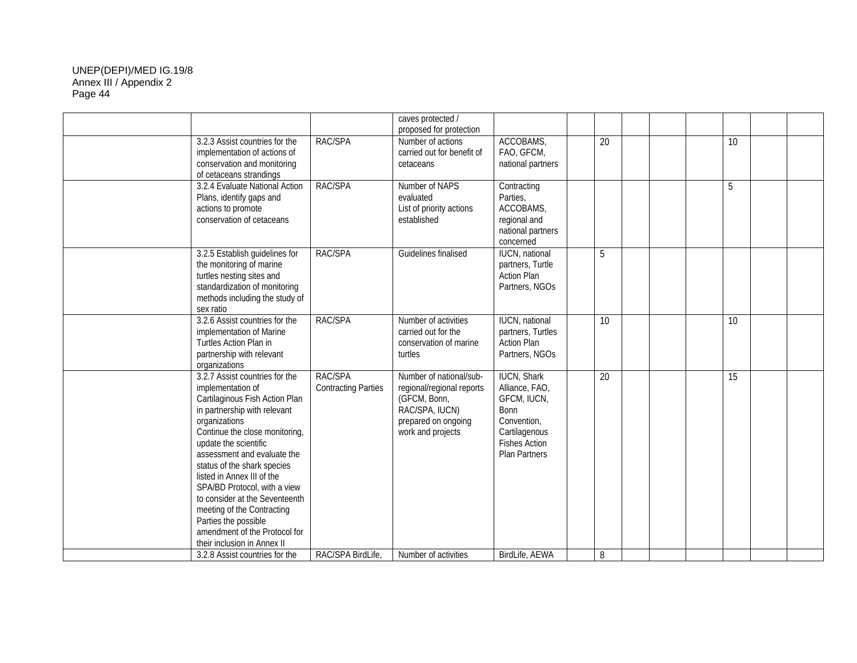|                                                                                                                                                                                                                                                                                                                                                                                                                                                                                       |                                       | caves protected /<br>proposed for protection                                                                                       |                                                                                                                                             |    |  |                 |  |
|---------------------------------------------------------------------------------------------------------------------------------------------------------------------------------------------------------------------------------------------------------------------------------------------------------------------------------------------------------------------------------------------------------------------------------------------------------------------------------------|---------------------------------------|------------------------------------------------------------------------------------------------------------------------------------|---------------------------------------------------------------------------------------------------------------------------------------------|----|--|-----------------|--|
| 3.2.3 Assist countries for the<br>implementation of actions of<br>conservation and monitoring<br>of cetaceans strandings                                                                                                                                                                                                                                                                                                                                                              | RAC/SPA                               | Number of actions<br>carried out for benefit of<br>cetaceans                                                                       | ACCOBAMS,<br>FAO, GFCM,<br>national partners                                                                                                | 20 |  | 10 <sup>1</sup> |  |
| 3.2.4 Evaluate National Action<br>Plans, identify gaps and<br>actions to promote<br>conservation of cetaceans                                                                                                                                                                                                                                                                                                                                                                         | RAC/SPA                               | Number of NAPS<br>evaluated<br>List of priority actions<br>established                                                             | Contracting<br>Parties,<br>ACCOBAMS,<br>regional and<br>national partners<br>concerned                                                      |    |  | 5               |  |
| 3.2.5 Establish guidelines for<br>the monitoring of marine<br>turtles nesting sites and<br>standardization of monitoring<br>methods including the study of<br>sex ratio                                                                                                                                                                                                                                                                                                               | RAC/SPA                               | Guidelines finalised                                                                                                               | <b>IUCN, national</b><br>partners, Turtle<br><b>Action Plan</b><br>Partners, NGOs                                                           | 5  |  |                 |  |
| 3.2.6 Assist countries for the<br>implementation of Marine<br>Turtles Action Plan in<br>partnership with relevant<br>organizations                                                                                                                                                                                                                                                                                                                                                    | RAC/SPA                               | Number of activities<br>carried out for the<br>conservation of marine<br>turtles                                                   | <b>IUCN, national</b><br>partners, Turtles<br><b>Action Plan</b><br>Partners, NGOs                                                          | 10 |  | 10              |  |
| 3.2.7 Assist countries for the<br>implementation of<br>Cartilaginous Fish Action Plan<br>in partnership with relevant<br>organizations<br>Continue the close monitoring,<br>update the scientific<br>assessment and evaluate the<br>status of the shark species<br>listed in Annex III of the<br>SPA/BD Protocol, with a view<br>to consider at the Seventeenth<br>meeting of the Contracting<br>Parties the possible<br>amendment of the Protocol for<br>their inclusion in Annex II | RAC/SPA<br><b>Contracting Parties</b> | Number of national/sub-<br>regional/regional reports<br>(GFCM, Bonn,<br>RAC/SPA, IUCN)<br>prepared on ongoing<br>work and projects | <b>IUCN, Shark</b><br>Alliance, FAO,<br>GFCM, IUCN,<br><b>Bonn</b><br>Convention,<br>Cartilagenous<br><b>Fishes Action</b><br>Plan Partners | 20 |  | 15              |  |
| 3.2.8 Assist countries for the                                                                                                                                                                                                                                                                                                                                                                                                                                                        | RAC/SPA BirdLife.                     | Number of activities                                                                                                               | BirdLife, AEWA                                                                                                                              | 8  |  |                 |  |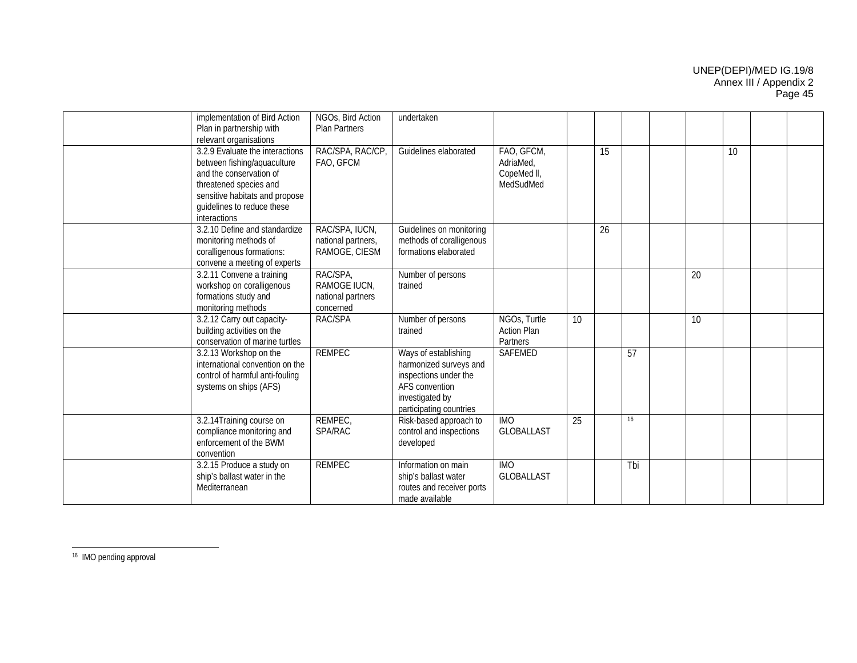| implementation of Bird Action   | NGOs, Bird Action    | undertaken                |                    |    |    |     |    |    |  |
|---------------------------------|----------------------|---------------------------|--------------------|----|----|-----|----|----|--|
| Plan in partnership with        | <b>Plan Partners</b> |                           |                    |    |    |     |    |    |  |
| relevant organisations          |                      |                           |                    |    |    |     |    |    |  |
| 3.2.9 Evaluate the interactions | RAC/SPA, RAC/CP      | Guidelines elaborated     | FAO, GFCM,         |    | 15 |     |    | 10 |  |
| between fishing/aquaculture     | FAO, GFCM            |                           | AdriaMed,          |    |    |     |    |    |  |
| and the conservation of         |                      |                           | CopeMed II,        |    |    |     |    |    |  |
| threatened species and          |                      |                           | MedSudMed          |    |    |     |    |    |  |
| sensitive habitats and propose  |                      |                           |                    |    |    |     |    |    |  |
| guidelines to reduce these      |                      |                           |                    |    |    |     |    |    |  |
| interactions                    |                      |                           |                    |    |    |     |    |    |  |
| 3.2.10 Define and standardize   | RAC/SPA, IUCN,       | Guidelines on monitoring  |                    |    | 26 |     |    |    |  |
| monitoring methods of           | national partners,   | methods of coralligenous  |                    |    |    |     |    |    |  |
|                                 | RAMOGE, CIESM        | formations elaborated     |                    |    |    |     |    |    |  |
| coralligenous formations:       |                      |                           |                    |    |    |     |    |    |  |
| convene a meeting of experts    |                      |                           |                    |    |    |     |    |    |  |
| 3.2.11 Convene a training       | RAC/SPA,             | Number of persons         |                    |    |    |     | 20 |    |  |
| workshop on coralligenous       | RAMOGE IUCN,         | trained                   |                    |    |    |     |    |    |  |
| formations study and            | national partners    |                           |                    |    |    |     |    |    |  |
| monitoring methods              | concerned            |                           |                    |    |    |     |    |    |  |
| 3.2.12 Carry out capacity-      | RAC/SPA              | Number of persons         | NGOs, Turtle       | 10 |    |     | 10 |    |  |
| building activities on the      |                      | trained                   | <b>Action Plan</b> |    |    |     |    |    |  |
| conservation of marine turtles  |                      |                           | Partners           |    |    |     |    |    |  |
| 3.2.13 Workshop on the          | <b>REMPEC</b>        | Ways of establishing      | <b>SAFEMED</b>     |    |    | 57  |    |    |  |
| international convention on the |                      | harmonized surveys and    |                    |    |    |     |    |    |  |
| control of harmful anti-fouling |                      | inspections under the     |                    |    |    |     |    |    |  |
| systems on ships (AFS)          |                      | AFS convention            |                    |    |    |     |    |    |  |
|                                 |                      | investigated by           |                    |    |    |     |    |    |  |
|                                 |                      | participating countries   |                    |    |    |     |    |    |  |
| 3.2.14 Training course on       | REMPEC,              | Risk-based approach to    | <b>IMO</b>         | 25 |    | 16  |    |    |  |
| compliance monitoring and       | <b>SPA/RAC</b>       | control and inspections   | <b>GLOBALLAST</b>  |    |    |     |    |    |  |
| enforcement of the BWM          |                      |                           |                    |    |    |     |    |    |  |
|                                 |                      | developed                 |                    |    |    |     |    |    |  |
| convention                      |                      |                           |                    |    |    |     |    |    |  |
| 3.2.15 Produce a study on       | <b>REMPEC</b>        | Information on main       | <b>IMO</b>         |    |    | Tbi |    |    |  |
| ship's ballast water in the     |                      | ship's ballast water      | <b>GLOBALLAST</b>  |    |    |     |    |    |  |
| Mediterranean                   |                      | routes and receiver ports |                    |    |    |     |    |    |  |
|                                 |                      | made available            |                    |    |    |     |    |    |  |

16 IMO pending approval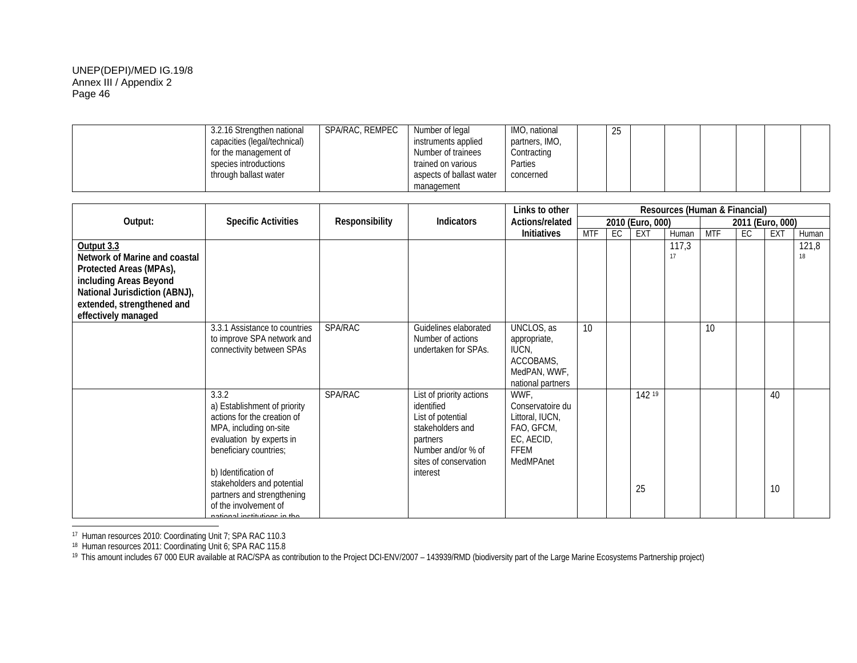| 3.2.16 Strengthen national   | SPA/RAC, REMPEC | Number of legal          | IMO, national  | ንፍ<br>ںے |  |  |  |
|------------------------------|-----------------|--------------------------|----------------|----------|--|--|--|
| capacities (legal/technical) |                 | instruments applied      | partners, IMO, |          |  |  |  |
| for the management of        |                 | Number of trainees       | Contracting    |          |  |  |  |
| species introductions        |                 | trained on various       | Parties        |          |  |  |  |
| through ballast water        |                 | aspects of ballast water | concerned      |          |  |  |  |
|                              |                 | management               |                |          |  |  |  |

|                                                                                                                                                                                        |                                                                                                                                                                                                                                                                                                   |                |                                                                                                                                                        | Links to other                                                                               | Resources (Human & Financial) |    |                  |             |            |     |                  |             |
|----------------------------------------------------------------------------------------------------------------------------------------------------------------------------------------|---------------------------------------------------------------------------------------------------------------------------------------------------------------------------------------------------------------------------------------------------------------------------------------------------|----------------|--------------------------------------------------------------------------------------------------------------------------------------------------------|----------------------------------------------------------------------------------------------|-------------------------------|----|------------------|-------------|------------|-----|------------------|-------------|
| Output:                                                                                                                                                                                | <b>Specific Activities</b>                                                                                                                                                                                                                                                                        | Responsibility | <b>Indicators</b>                                                                                                                                      | Actions/related                                                                              |                               |    | 2010 (Euro, 000) |             |            |     | 2011 (Euro, 000) |             |
|                                                                                                                                                                                        |                                                                                                                                                                                                                                                                                                   |                |                                                                                                                                                        | <b>Initiatives</b>                                                                           | MTF                           | EC | EXT              | Human       | <b>MTF</b> | EC. | EXT              | Human       |
| Output 3.3<br>Network of Marine and coastal<br>Protected Areas (MPAs),<br>including Areas Beyond<br>National Jurisdiction (ABNJ),<br>extended, strengthened and<br>effectively managed |                                                                                                                                                                                                                                                                                                   |                |                                                                                                                                                        |                                                                                              |                               |    |                  | 117,3<br>17 |            |     |                  | 121,8<br>18 |
|                                                                                                                                                                                        | 3.3.1 Assistance to countries<br>to improve SPA network and<br>connectivity between SPAs                                                                                                                                                                                                          | SPA/RAC        | Guidelines elaborated<br>Number of actions<br>undertaken for SPAs.                                                                                     | UNCLOS, as<br>appropriate,<br>IUCN,<br>ACCOBAMS,<br>MedPAN, WWF,<br>national partners        | 10                            |    |                  |             | 10         |     |                  |             |
|                                                                                                                                                                                        | 3.3.2<br>a) Establishment of priority<br>actions for the creation of<br>MPA, including on-site<br>evaluation by experts in<br>beneficiary countries;<br>b) Identification of<br>stakeholders and potential<br>partners and strengthening<br>of the involvement of<br>national institutions in tho | SPA/RAC        | List of priority actions<br>identified<br>List of potential<br>stakeholders and<br>partners<br>Number and/or % of<br>sites of conservation<br>interest | WWF,<br>Conservatoire du<br>Littoral, IUCN,<br>FAO, GFCM,<br>EC, AECID,<br>FFEM<br>MedMPAnet |                               |    | 142 19<br>25     |             |            |     | 40<br>10         |             |

<sup>17</sup> Human resources 2010: Coordinating Unit 7; SPA RAC 110.3

<sup>&</sup>lt;sup>18</sup> Human resources 2011: Coordinating Unit 6; SPA RAC 115.8<br><sup>19</sup> This amount includes 67 000 EUR available at RAC/SPA as contribution to the Project DCI-ENV/2007 – 143939/RMD (biodiversity part of the Large Marine Ecosys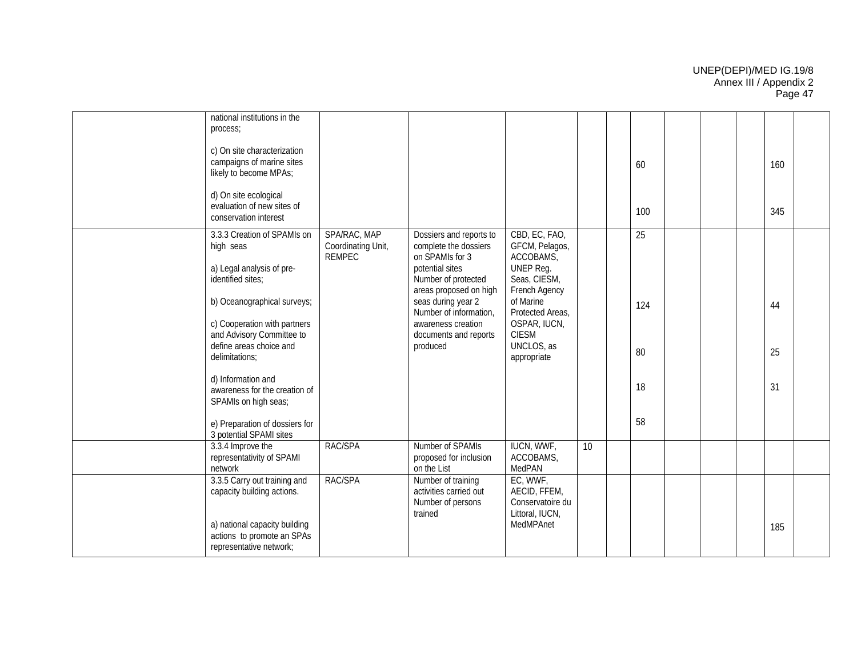| national institutions in the<br>process;<br>c) On site characterization<br>campaigns of marine sites<br>likely to become MPAs;                                                                                                                                                                                                                       |                                                     |                                                                                                                                                                                                                                                    |                                                                                                                                                                                          |                 | 60                          |  | 160            |  |
|------------------------------------------------------------------------------------------------------------------------------------------------------------------------------------------------------------------------------------------------------------------------------------------------------------------------------------------------------|-----------------------------------------------------|----------------------------------------------------------------------------------------------------------------------------------------------------------------------------------------------------------------------------------------------------|------------------------------------------------------------------------------------------------------------------------------------------------------------------------------------------|-----------------|-----------------------------|--|----------------|--|
| d) On site ecological<br>evaluation of new sites of<br>conservation interest                                                                                                                                                                                                                                                                         |                                                     |                                                                                                                                                                                                                                                    |                                                                                                                                                                                          |                 | 100                         |  | 345            |  |
| 3.3.3 Creation of SPAMIs on<br>high seas<br>a) Legal analysis of pre-<br>identified sites;<br>b) Oceanographical surveys;<br>c) Cooperation with partners<br>and Advisory Committee to<br>define areas choice and<br>delimitations;<br>d) Information and<br>awareness for the creation of<br>SPAMIs on high seas;<br>e) Preparation of dossiers for | SPA/RAC, MAP<br>Coordinating Unit,<br><b>REMPEC</b> | Dossiers and reports to<br>complete the dossiers<br>on SPAMIs for 3<br>potential sites<br>Number of protected<br>areas proposed on high<br>seas during year 2<br>Number of information,<br>awareness creation<br>documents and reports<br>produced | CBD, EC, FAO,<br>GFCM, Pelagos,<br>ACCOBAMS,<br>UNEP Reg.<br>Seas, CIESM,<br>French Agency<br>of Marine<br>Protected Areas,<br>OSPAR, IUCN,<br><b>CIESM</b><br>UNCLOS, as<br>appropriate |                 | 25<br>124<br>80<br>18<br>58 |  | 44<br>25<br>31 |  |
| 3 potential SPAMI sites<br>3.3.4 Improve the                                                                                                                                                                                                                                                                                                         | RAC/SPA                                             | Number of SPAMIs                                                                                                                                                                                                                                   | <b>IUCN, WWF,</b>                                                                                                                                                                        | 10 <sup>°</sup> |                             |  |                |  |
| representativity of SPAMI<br>network                                                                                                                                                                                                                                                                                                                 |                                                     | proposed for inclusion<br>on the List                                                                                                                                                                                                              | ACCOBAMS,<br>MedPAN                                                                                                                                                                      |                 |                             |  |                |  |
| 3.3.5 Carry out training and<br>capacity building actions.<br>a) national capacity building<br>actions to promote an SPAs<br>representative network;                                                                                                                                                                                                 | RAC/SPA                                             | Number of training<br>activities carried out<br>Number of persons<br>trained                                                                                                                                                                       | EC, WWF,<br>AECID, FFEM,<br>Conservatoire du<br>Littoral, IUCN,<br>MedMPAnet                                                                                                             |                 |                             |  | 185            |  |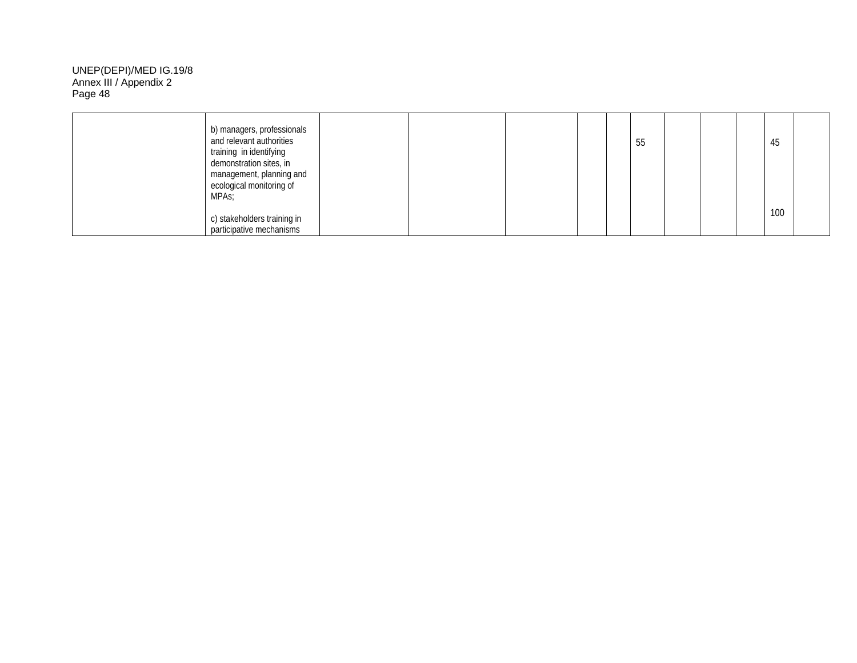| MPA <sub>S</sub> ; | b) managers, professionals<br>and relevant authorities<br>training in identifying<br>demonstration sites, in<br>management, planning and<br>ecological monitoring of |  | 55 |  | 45  |  |
|--------------------|----------------------------------------------------------------------------------------------------------------------------------------------------------------------|--|----|--|-----|--|
|                    | c) stakeholders training in<br>participative mechanisms                                                                                                              |  |    |  | 100 |  |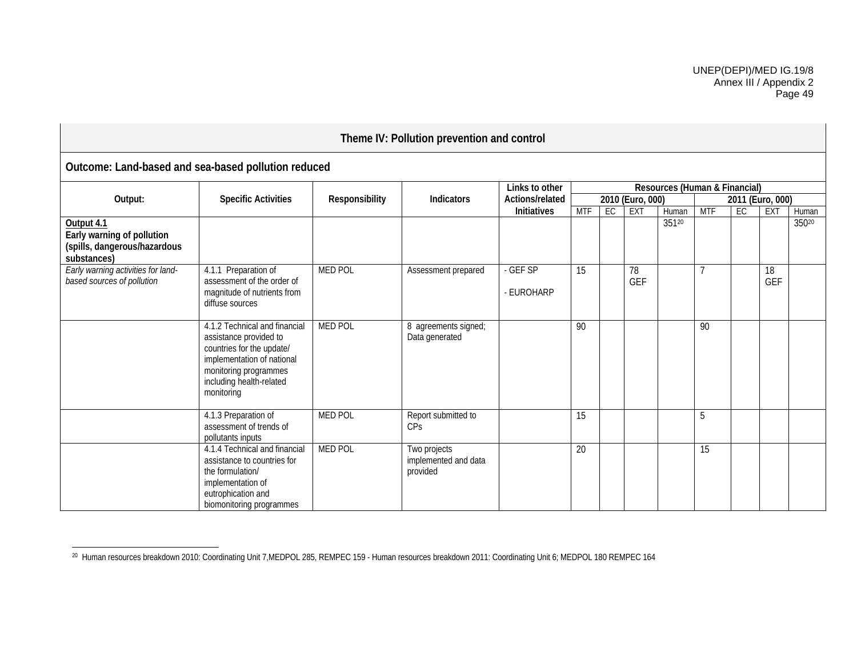| Theme IV: Pollution prevention and control                                              |                                                                                                                                                                                       |                |                                                  |                    |            |    |                  |                               |            |    |                  |       |  |  |
|-----------------------------------------------------------------------------------------|---------------------------------------------------------------------------------------------------------------------------------------------------------------------------------------|----------------|--------------------------------------------------|--------------------|------------|----|------------------|-------------------------------|------------|----|------------------|-------|--|--|
| Outcome: Land-based and sea-based pollution reduced                                     |                                                                                                                                                                                       |                |                                                  |                    |            |    |                  |                               |            |    |                  |       |  |  |
|                                                                                         |                                                                                                                                                                                       |                |                                                  | Links to other     |            |    |                  | Resources (Human & Financial) |            |    |                  |       |  |  |
| Output:                                                                                 | <b>Specific Activities</b>                                                                                                                                                            | Responsibility | <b>Indicators</b>                                | Actions/related    |            |    | 2010 (Euro, 000) |                               |            |    | 2011 (Euro, 000) |       |  |  |
|                                                                                         |                                                                                                                                                                                       |                |                                                  | <b>Initiatives</b> | <b>MTF</b> | EC | <b>EXT</b>       | Human                         | <b>MTF</b> | EC | <b>EXT</b>       | Human |  |  |
| Output 4.1<br>Early warning of pollution<br>(spills, dangerous/hazardous<br>substances) |                                                                                                                                                                                       |                |                                                  |                    |            |    |                  | 35120                         |            |    |                  | 35020 |  |  |
| Early warning activities for land-                                                      | 4.1.1 Preparation of                                                                                                                                                                  | <b>MED POL</b> | Assessment prepared                              | - GEF SP           | 15         |    | 78               |                               |            |    | 18               |       |  |  |
| based sources of pollution                                                              | assessment of the order of                                                                                                                                                            |                |                                                  |                    |            |    | GEF              |                               |            |    | <b>GEF</b>       |       |  |  |
|                                                                                         | magnitude of nutrients from<br>diffuse sources                                                                                                                                        |                |                                                  | - EUROHARP         |            |    |                  |                               |            |    |                  |       |  |  |
|                                                                                         | 4.1.2 Technical and financial<br>assistance provided to<br>countries for the update/<br>implementation of national<br>monitoring programmes<br>including health-related<br>monitoring | <b>MED POL</b> | 8 agreements signed;<br>Data generated           |                    | 90         |    |                  |                               | 90         |    |                  |       |  |  |
|                                                                                         | 4.1.3 Preparation of<br>assessment of trends of<br>pollutants inputs                                                                                                                  | <b>MED POL</b> | Report submitted to<br><b>CP<sub>S</sub></b>     |                    | 15         |    |                  |                               | 5          |    |                  |       |  |  |
|                                                                                         | 4.1.4 Technical and financial<br>assistance to countries for<br>the formulation/<br>implementation of<br>eutrophication and<br>biomonitoring programmes                               | <b>MED POL</b> | Two projects<br>implemented and data<br>provided |                    | 20         |    |                  |                               | 15         |    |                  |       |  |  |

<sup>&</sup>lt;sup>20</sup> Human resources breakdown 2010: Coordinating Unit 7,MEDPOL 285, REMPEC 159 - Human resources breakdown 2011: Coordinating Unit 6; MEDPOL 180 REMPEC 164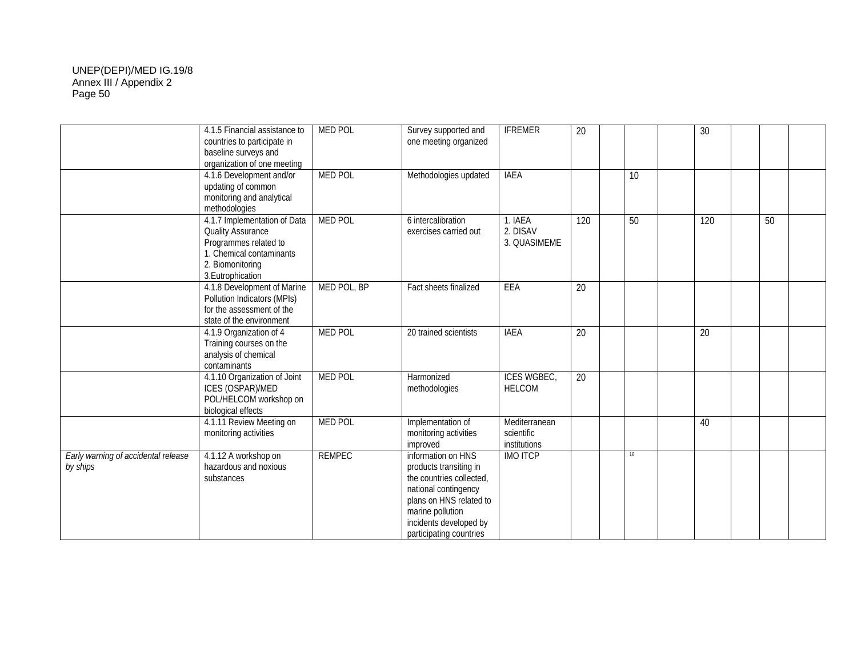|                                                 | 4.1.5 Financial assistance to<br>countries to participate in<br>baseline surveys and<br>organization of one meeting                                    | <b>MED POL</b> | Survey supported and<br>one meeting organized                                                                                                                                                        | <b>IFREMER</b>                              | $\overline{20}$ |                 | $\overline{30}$ |    |  |
|-------------------------------------------------|--------------------------------------------------------------------------------------------------------------------------------------------------------|----------------|------------------------------------------------------------------------------------------------------------------------------------------------------------------------------------------------------|---------------------------------------------|-----------------|-----------------|-----------------|----|--|
|                                                 | 4.1.6 Development and/or<br>updating of common<br>monitoring and analytical<br>methodologies                                                           | <b>MED POL</b> | Methodologies updated                                                                                                                                                                                | <b>IAEA</b>                                 |                 | $\overline{10}$ |                 |    |  |
|                                                 | 4.1.7 Implementation of Data<br><b>Quality Assurance</b><br>Programmes related to<br>1. Chemical contaminants<br>2. Biomonitoring<br>3. Eutrophication | <b>MED POL</b> | 6 intercalibration<br>exercises carried out                                                                                                                                                          | 1. IAEA<br>2. DISAV<br>3. QUASIMEME         | 120             | 50              | 120             | 50 |  |
|                                                 | 4.1.8 Development of Marine<br>Pollution Indicators (MPIs)<br>for the assessment of the<br>state of the environment                                    | MED POL, BP    | Fact sheets finalized                                                                                                                                                                                | EEA                                         | 20              |                 |                 |    |  |
|                                                 | 4.1.9 Organization of 4<br>Training courses on the<br>analysis of chemical<br>contaminants                                                             | <b>MED POL</b> | 20 trained scientists                                                                                                                                                                                | <b>IAEA</b>                                 | 20              |                 | 20              |    |  |
|                                                 | 4.1.10 Organization of Joint<br>ICES (OSPAR)/MED<br>POL/HELCOM workshop on<br>biological effects                                                       | <b>MED POL</b> | Harmonized<br>methodologies                                                                                                                                                                          | <b>ICES WGBEC,</b><br><b>HELCOM</b>         | $\overline{20}$ |                 |                 |    |  |
|                                                 | 4.1.11 Review Meeting on<br>monitoring activities                                                                                                      | <b>MED POL</b> | Implementation of<br>monitoring activities<br>improved                                                                                                                                               | Mediterranean<br>scientific<br>institutions |                 |                 | 40              |    |  |
| Early warning of accidental release<br>by ships | 4.1.12 A workshop on<br>hazardous and noxious<br>substances                                                                                            | <b>REMPEC</b>  | information on HNS<br>products transiting in<br>the countries collected,<br>national contingency<br>plans on HNS related to<br>marine pollution<br>incidents developed by<br>participating countries | <b>IMO ITCP</b>                             |                 | 16              |                 |    |  |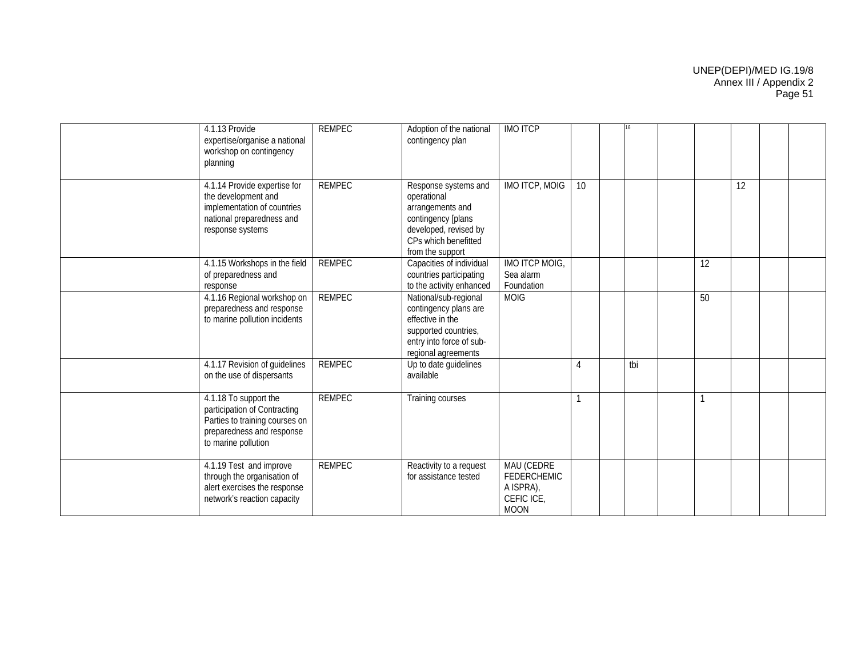| 4.1.13 Provide<br>expertise/organise a national<br>workshop on contingency<br>planning                                                      | <b>REMPEC</b> | Adoption of the national<br>contingency plan                                                                                                       | <b>IMO ITCP</b>                                                            |                |     |    |    |  |
|---------------------------------------------------------------------------------------------------------------------------------------------|---------------|----------------------------------------------------------------------------------------------------------------------------------------------------|----------------------------------------------------------------------------|----------------|-----|----|----|--|
| 4.1.14 Provide expertise for<br>the development and<br>implementation of countries<br>national preparedness and<br>response systems         | <b>REMPEC</b> | Response systems and<br>operational<br>arrangements and<br>contingency [plans<br>developed, revised by<br>CPs which benefitted<br>from the support | <b>IMO ITCP, MOIG</b>                                                      | 10             |     |    | 12 |  |
| 4.1.15 Workshops in the field<br>of preparedness and<br>response                                                                            | <b>REMPEC</b> | Capacities of individual<br>countries participating<br>to the activity enhanced                                                                    | IMO ITCP MOIG,<br>Sea alarm<br>Foundation                                  |                |     | 12 |    |  |
| 4.1.16 Regional workshop on<br>preparedness and response<br>to marine pollution incidents                                                   | <b>REMPEC</b> | National/sub-regional<br>contingency plans are<br>effective in the<br>supported countries,<br>entry into force of sub-<br>regional agreements      | <b>MOIG</b>                                                                |                |     | 50 |    |  |
| 4.1.17 Revision of guidelines<br>on the use of dispersants                                                                                  | <b>REMPEC</b> | Up to date guidelines<br>available                                                                                                                 |                                                                            | $\overline{4}$ | tbi |    |    |  |
| 4.1.18 To support the<br>participation of Contracting<br>Parties to training courses on<br>preparedness and response<br>to marine pollution | <b>REMPEC</b> | Training courses                                                                                                                                   |                                                                            |                |     |    |    |  |
| 4.1.19 Test and improve<br>through the organisation of<br>alert exercises the response<br>network's reaction capacity                       | <b>REMPEC</b> | Reactivity to a request<br>for assistance tested                                                                                                   | MAU (CEDRE<br><b>FEDERCHEMIC</b><br>A ISPRA),<br>CEFIC ICE,<br><b>MOON</b> |                |     |    |    |  |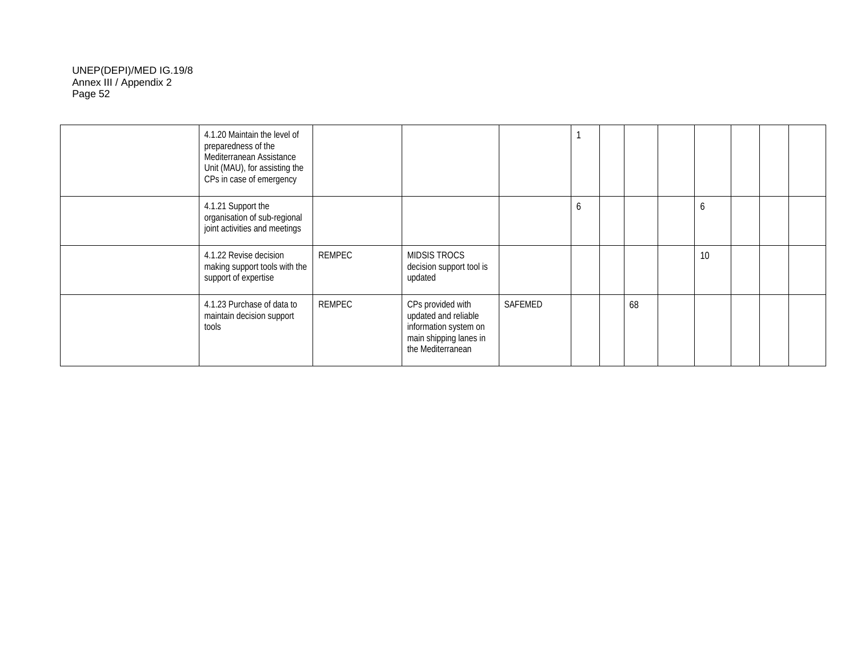| 4.1.20 Maintain the level of<br>preparedness of the<br>Mediterranean Assistance<br>Unit (MAU), for assisting the<br>CPs in case of emergency |        |                                                                                                                   |         |   |    |    |  |  |
|----------------------------------------------------------------------------------------------------------------------------------------------|--------|-------------------------------------------------------------------------------------------------------------------|---------|---|----|----|--|--|
| 4.1.21 Support the<br>organisation of sub-regional<br>joint activities and meetings                                                          |        |                                                                                                                   |         | O |    | b  |  |  |
| 4.1.22 Revise decision<br>making support tools with the<br>support of expertise                                                              | REMPEC | MIDSIS TROCS<br>decision support tool is<br>updated                                                               |         |   |    | 10 |  |  |
| 4.1.23 Purchase of data to<br>maintain decision support<br>tools                                                                             | REMPEC | CPs provided with<br>updated and reliable<br>information system on<br>main shipping lanes in<br>the Mediterranean | SAFEMED |   | 68 |    |  |  |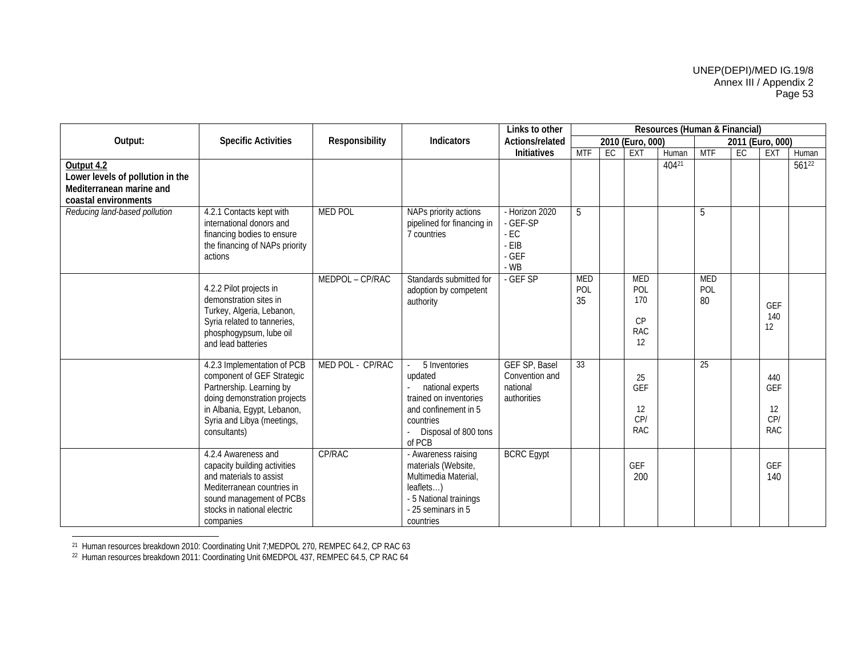|                                                                                                    |                                                                                                                                                                                                    |                  |                                                                                                                                               | Links to other                                                   |                         |    |                                             | Resources (Human & Financial) |                         |                  |                                       |            |
|----------------------------------------------------------------------------------------------------|----------------------------------------------------------------------------------------------------------------------------------------------------------------------------------------------------|------------------|-----------------------------------------------------------------------------------------------------------------------------------------------|------------------------------------------------------------------|-------------------------|----|---------------------------------------------|-------------------------------|-------------------------|------------------|---------------------------------------|------------|
| Output:                                                                                            | <b>Specific Activities</b>                                                                                                                                                                         | Responsibility   | Indicators                                                                                                                                    | Actions/related                                                  |                         |    | 2010 (Euro, 000)                            |                               |                         | 2011 (Euro, 000) |                                       |            |
|                                                                                                    |                                                                                                                                                                                                    |                  |                                                                                                                                               | Initiatives                                                      | <b>MTF</b>              | EC | EXT                                         | Human                         | <b>MTF</b>              | EC               | <b>EXT</b>                            | Human      |
| Output 4.2<br>Lower levels of pollution in the<br>Mediterranean marine and<br>coastal environments |                                                                                                                                                                                                    |                  |                                                                                                                                               |                                                                  |                         |    |                                             | 40421                         |                         |                  |                                       | $561^{22}$ |
| Reducing land-based pollution                                                                      | 4.2.1 Contacts kept with<br>international donors and<br>financing bodies to ensure<br>the financing of NAPs priority<br>actions                                                                    | <b>MED POL</b>   | NAPs priority actions<br>pipelined for financing in<br>7 countries                                                                            | - Horizon 2020<br>- GEF-SP<br>$-EC$<br>$-EIB$<br>$-GEF$<br>$-WB$ | 5                       |    |                                             |                               | 5                       |                  |                                       |            |
|                                                                                                    | 4.2.2 Pilot projects in<br>demonstration sites in<br>Turkey, Algeria, Lebanon,<br>Syria related to tanneries,<br>phosphogypsum, lube oil<br>and lead batteries                                     | MEDPOL - CP/RAC  | Standards submitted for<br>adoption by competent<br>authority                                                                                 | - GEF SP                                                         | <b>MED</b><br>POL<br>35 |    | MED<br>POL<br>170<br>CP<br><b>RAC</b><br>12 |                               | <b>MED</b><br>POL<br>80 |                  | GEF<br>140<br>12                      |            |
|                                                                                                    | 4.2.3 Implementation of PCB<br>component of GEF Strategic<br>Partnership. Learning by<br>doing demonstration projects<br>in Albania, Egypt, Lebanon,<br>Syria and Libya (meetings,<br>consultants) | MED POL - CP/RAC | 5 Inventories<br>updated<br>national experts<br>trained on inventories<br>and confinement in 5<br>countries<br>Disposal of 800 tons<br>of PCB | GEF SP, Basel<br>Convention and<br>national<br>authorities       | 33                      |    | 25<br><b>GEF</b><br>12<br>CP/<br><b>RAC</b> |                               | 25                      |                  | 440<br>GEF<br>12<br>CP/<br><b>RAC</b> |            |
|                                                                                                    | 4.2.4 Awareness and<br>capacity building activities<br>and materials to assist<br>Mediterranean countries in<br>sound management of PCBs<br>stocks in national electric<br>companies               | CP/RAC           | - Awareness raising<br>materials (Website,<br>Multimedia Material,<br>leaflets)<br>- 5 National trainings<br>- 25 seminars in 5<br>countries  | <b>BCRC</b> Egypt                                                |                         |    | <b>GEF</b><br>200                           |                               |                         |                  | <b>GEF</b><br>140                     |            |

<sup>21</sup> Human resources breakdown 2010: Coordinating Unit 7;MEDPOL 270, REMPEC 64.2, CP RAC 63

22 Human resources breakdown 2011: Coordinating Unit 6MEDPOL 437, REMPEC 64.5, CP RAC 64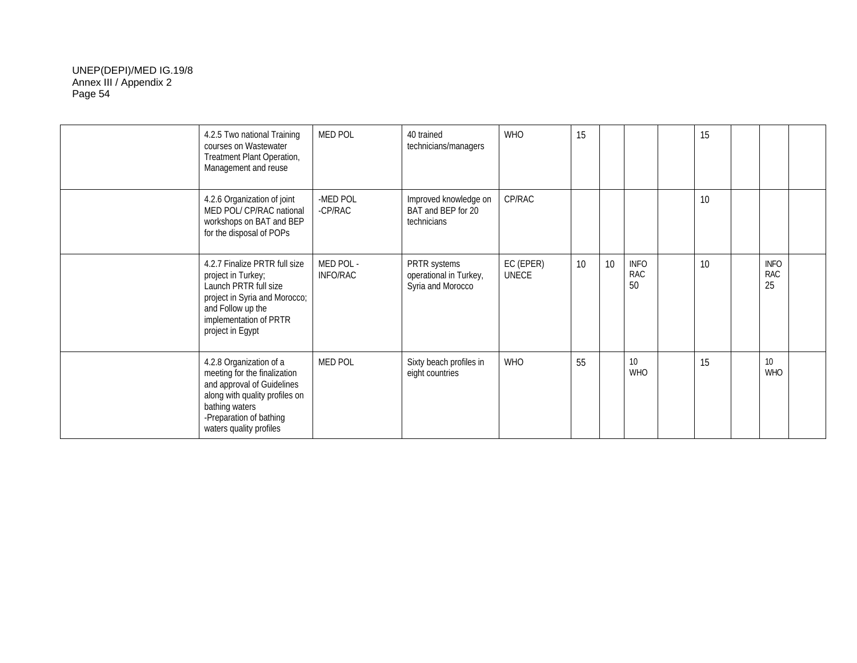| 4.2.5 Two national Training<br>courses on Wastewater<br>Treatment Plant Operation,<br>Management and reuse                                                                                      | <b>MED POL</b>        | 40 trained<br>technicians/managers                          | <b>WHO</b>                | 15 |    |                                 | 15 |                                 |  |
|-------------------------------------------------------------------------------------------------------------------------------------------------------------------------------------------------|-----------------------|-------------------------------------------------------------|---------------------------|----|----|---------------------------------|----|---------------------------------|--|
| 4.2.6 Organization of joint<br>MED POL/ CP/RAC national<br>workshops on BAT and BEP<br>for the disposal of POPs                                                                                 | -MED POL<br>-CP/RAC   | Improved knowledge on<br>BAT and BEP for 20<br>technicians  | CP/RAC                    |    |    |                                 | 10 |                                 |  |
| 4.2.7 Finalize PRTR full size<br>project in Turkey;<br>Launch PRTR full size<br>project in Syria and Morocco;<br>and Follow up the<br>implementation of PRTR<br>project in Egypt                | MED POL -<br>INFO/RAC | PRTR systems<br>operational in Turkey,<br>Syria and Morocco | EC (EPER)<br><b>UNECE</b> | 10 | 10 | <b>INFO</b><br><b>RAC</b><br>50 | 10 | <b>INFO</b><br><b>RAC</b><br>25 |  |
| 4.2.8 Organization of a<br>meeting for the finalization<br>and approval of Guidelines<br>along with quality profiles on<br>bathing waters<br>-Preparation of bathing<br>waters quality profiles | <b>MED POL</b>        | Sixty beach profiles in<br>eight countries                  | WHO                       | 55 |    | 10 <sup>1</sup><br><b>WHO</b>   | 15 | 10 <sup>10</sup><br><b>WHO</b>  |  |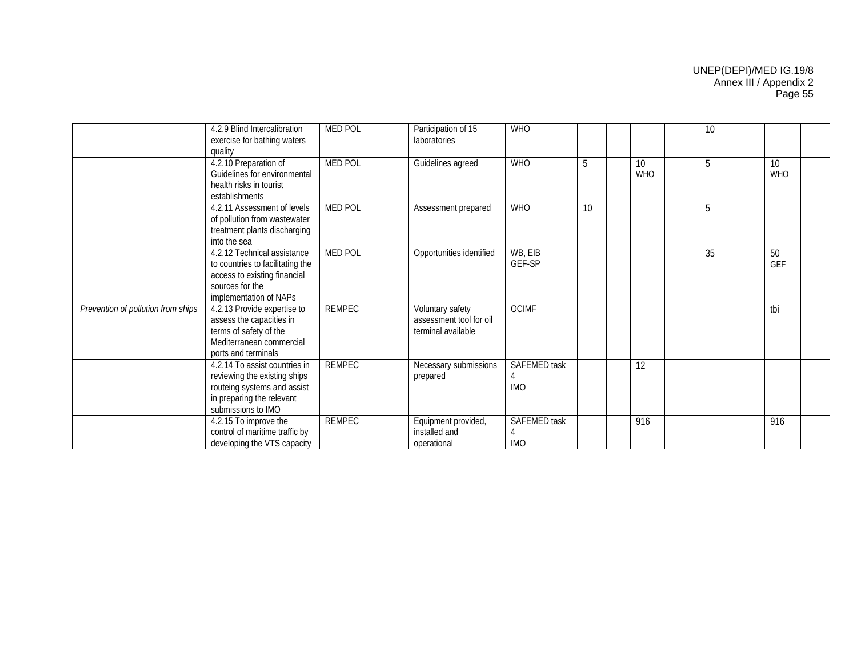|                                    | 4.2.9 Blind Intercalibration<br>exercise for bathing waters<br>quality                                                                          | <b>MED POL</b> | Participation of 15<br>laboratories                               | <b>WHO</b>                        |    |                  | 10 |                  |  |
|------------------------------------|-------------------------------------------------------------------------------------------------------------------------------------------------|----------------|-------------------------------------------------------------------|-----------------------------------|----|------------------|----|------------------|--|
|                                    | 4.2.10 Preparation of<br>Guidelines for environmental<br>health risks in tourist<br>establishments                                              | <b>MED POL</b> | Guidelines agreed                                                 | <b>WHO</b>                        | 5  | 10<br><b>WHO</b> | 5  | 10<br><b>WHO</b> |  |
|                                    | 4.2.11 Assessment of levels<br>of pollution from wastewater<br>treatment plants discharging<br>into the sea                                     | <b>MED POL</b> | Assessment prepared                                               | <b>WHO</b>                        | 10 |                  | 5  |                  |  |
|                                    | 4.2.12 Technical assistance<br>to countries to facilitating the<br>access to existing financial<br>sources for the<br>implementation of NAPs    | <b>MED POL</b> | Opportunities identified                                          | WB, EIB<br>GEF-SP                 |    |                  | 35 | 50<br><b>GEF</b> |  |
| Prevention of pollution from ships | 4.2.13 Provide expertise to<br>assess the capacities in<br>terms of safety of the<br>Mediterranean commercial<br>ports and terminals            | <b>REMPEC</b>  | Voluntary safety<br>assessment tool for oil<br>terminal available | <b>OCIMF</b>                      |    |                  |    | tbi              |  |
|                                    | 4.2.14 To assist countries in<br>reviewing the existing ships<br>routeing systems and assist<br>in preparing the relevant<br>submissions to IMO | <b>REMPEC</b>  | Necessary submissions<br>prepared                                 | <b>SAFEMED task</b><br><b>IMO</b> |    | 12               |    |                  |  |
|                                    | 4.2.15 To improve the<br>control of maritime traffic by<br>developing the VTS capacity                                                          | <b>REMPEC</b>  | Equipment provided,<br>installed and<br>operational               | SAFEMED task<br><b>IMO</b>        |    | 916              |    | 916              |  |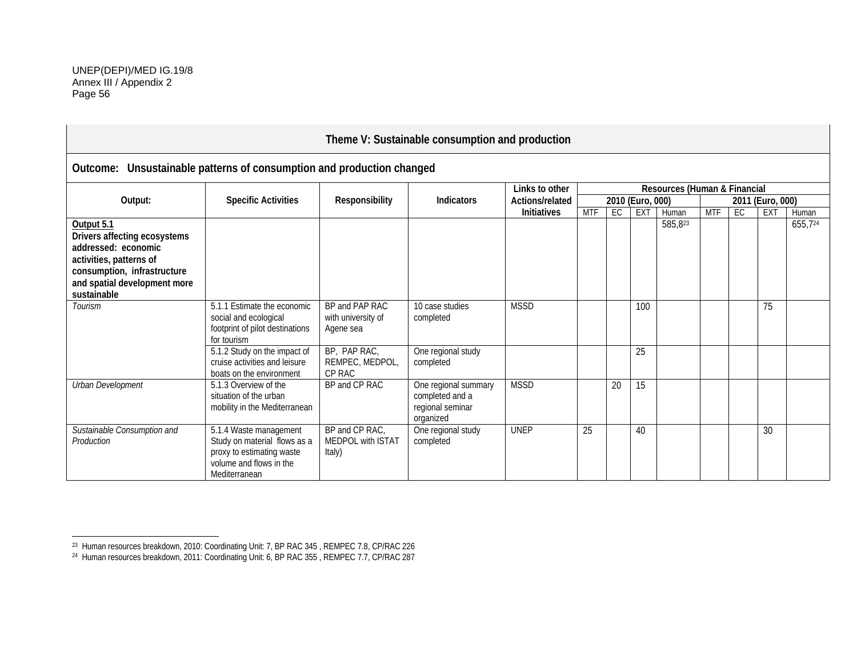|                                                                                                                                                                            |                                                                                                                                 |                                                      | Theme V: Sustainable consumption and production                          |                    |            |    |                  |                              |            |    |                  |         |
|----------------------------------------------------------------------------------------------------------------------------------------------------------------------------|---------------------------------------------------------------------------------------------------------------------------------|------------------------------------------------------|--------------------------------------------------------------------------|--------------------|------------|----|------------------|------------------------------|------------|----|------------------|---------|
| Outcome: Unsustainable patterns of consumption and production changed                                                                                                      |                                                                                                                                 |                                                      |                                                                          |                    |            |    |                  |                              |            |    |                  |         |
|                                                                                                                                                                            |                                                                                                                                 |                                                      |                                                                          | Links to other     |            |    |                  | Resources (Human & Financial |            |    |                  |         |
| Output:                                                                                                                                                                    | <b>Specific Activities</b>                                                                                                      | Responsibility                                       | <b>Indicators</b>                                                        | Actions/related    |            |    | 2010 (Euro, 000) |                              |            |    | 2011 (Euro, 000) |         |
|                                                                                                                                                                            |                                                                                                                                 |                                                      |                                                                          | <b>Initiatives</b> | <b>MTF</b> | EC | EXT              | Human                        | <b>MTF</b> | EC | <b>EXT</b>       | Human   |
| Output 5.1<br>Drivers affecting ecosystems<br>addressed: economic<br>activities, patterns of<br>consumption, infrastructure<br>and spatial development more<br>sustainable |                                                                                                                                 |                                                      |                                                                          |                    |            |    |                  | 585,823                      |            |    |                  | 655,724 |
| <b>Tourism</b>                                                                                                                                                             | 5.1.1 Estimate the economic<br>social and ecological<br>footprint of pilot destinations<br>for tourism                          | BP and PAP RAC<br>with university of<br>Agene sea    | 10 case studies<br>completed                                             | <b>MSSD</b>        |            |    | 100              |                              |            |    | 75               |         |
|                                                                                                                                                                            | 5.1.2 Study on the impact of<br>cruise activities and leisure<br>boats on the environment                                       | BP, PAP RAC,<br>REMPEC, MEDPOL,<br>CP RAC            | One regional study<br>completed                                          |                    |            |    | 25               |                              |            |    |                  |         |
| Urban Development                                                                                                                                                          | 5.1.3 Overview of the<br>situation of the urban<br>mobility in the Mediterranean                                                | BP and CP RAC                                        | One regional summary<br>completed and a<br>regional seminar<br>organized | <b>MSSD</b>        |            | 20 | 15               |                              |            |    |                  |         |
| Sustainable Consumption and<br>Production                                                                                                                                  | 5.1.4 Waste management<br>Study on material flows as a<br>proxy to estimating waste<br>volume and flows in the<br>Mediterranean | BP and CP RAC,<br><b>MEDPOL with ISTAT</b><br>Italy) | One regional study<br>completed                                          | <b>UNEP</b>        | 25         |    | 40               |                              |            |    | 30               |         |

 $^{23}$  Human resources breakdown, 2010: Coordinating Unit: 7, BP RAC 345 , REMPEC 7.8, CP/RAC 226 .

<sup>24</sup> Human resources breakdown, 2011: Coordinating Unit: 6, BP RAC 355 , REMPEC 7.7, CP/RAC 287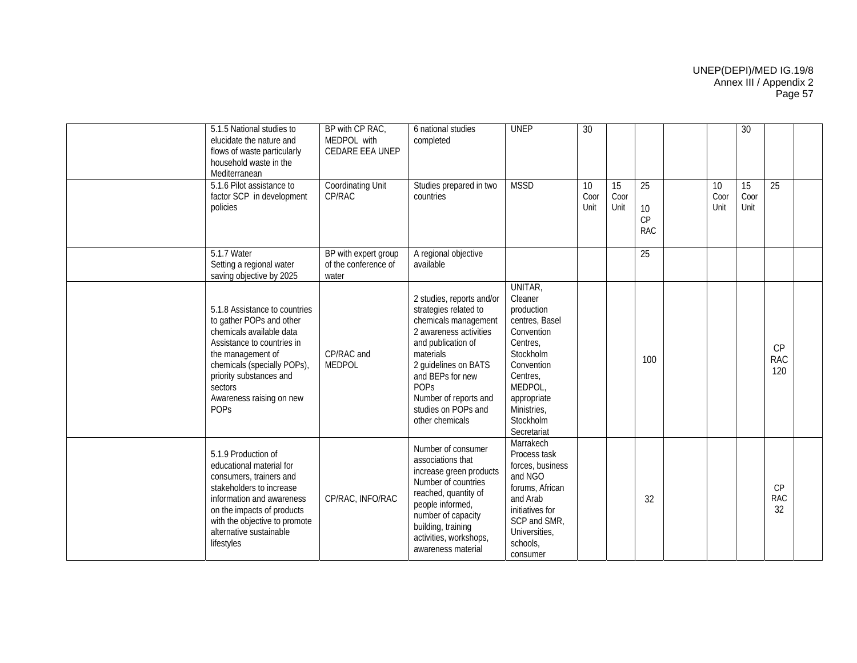| 5.1.5 National studies to<br>elucidate the nature and<br>flows of waste particularly<br>household waste in the<br>Mediterranean                                                                                                                          | BP with CP RAC,<br>MEDPOL with<br>CEDARE EEA UNEP     | 6 national studies<br>completed                                                                                                                                                                                                                                       | <b>UNEP</b>                                                                                                                                                                              | 30                 |                    |                              |                    | 30                 |                         |
|----------------------------------------------------------------------------------------------------------------------------------------------------------------------------------------------------------------------------------------------------------|-------------------------------------------------------|-----------------------------------------------------------------------------------------------------------------------------------------------------------------------------------------------------------------------------------------------------------------------|------------------------------------------------------------------------------------------------------------------------------------------------------------------------------------------|--------------------|--------------------|------------------------------|--------------------|--------------------|-------------------------|
| 5.1.6 Pilot assistance to<br>factor SCP in development<br>policies                                                                                                                                                                                       | Coordinating Unit<br>CP/RAC                           | Studies prepared in two<br>countries                                                                                                                                                                                                                                  | <b>MSSD</b>                                                                                                                                                                              | 10<br>Coor<br>Unit | 15<br>Coor<br>Unit | 25<br>10<br>CP<br><b>RAC</b> | 10<br>Coor<br>Unit | 15<br>Coor<br>Unit | 25                      |
| 5.1.7 Water<br>Setting a regional water<br>saving objective by 2025                                                                                                                                                                                      | BP with expert group<br>of the conference of<br>water | A regional objective<br>available                                                                                                                                                                                                                                     |                                                                                                                                                                                          |                    |                    | 25                           |                    |                    |                         |
| 5.1.8 Assistance to countries<br>to gather POPs and other<br>chemicals available data<br>Assistance to countries in<br>the management of<br>chemicals (specially POPs),<br>priority substances and<br>sectors<br>Awareness raising on new<br><b>POPS</b> | CP/RAC and<br><b>MEDPOL</b>                           | 2 studies, reports and/or<br>strategies related to<br>chemicals management<br>2 awareness activities<br>and publication of<br>materials<br>2 guidelines on BATS<br>and BEPs for new<br><b>POPs</b><br>Number of reports and<br>studies on POPs and<br>other chemicals | UNITAR,<br>Cleaner<br>production<br>centres, Basel<br>Convention<br>Centres.<br>Stockholm<br>Convention<br>Centres,<br>MEDPOL,<br>appropriate<br>Ministries,<br>Stockholm<br>Secretariat |                    |                    | 100                          |                    |                    | CP<br><b>RAC</b><br>120 |
| 5.1.9 Production of<br>educational material for<br>consumers, trainers and<br>stakeholders to increase<br>information and awareness<br>on the impacts of products<br>with the objective to promote<br>alternative sustainable<br>lifestyles              | CP/RAC, INFO/RAC                                      | Number of consumer<br>associations that<br>increase green products<br>Number of countries<br>reached, quantity of<br>people informed,<br>number of capacity<br>building, training<br>activities, workshops,<br>awareness material                                     | Marrakech<br>Process task<br>forces, business<br>and NGO<br>forums, African<br>and Arab<br>initiatives for<br>SCP and SMR,<br>Universities,<br>schools,<br>consumer                      |                    |                    | 32                           |                    |                    | CP<br><b>RAC</b><br>32  |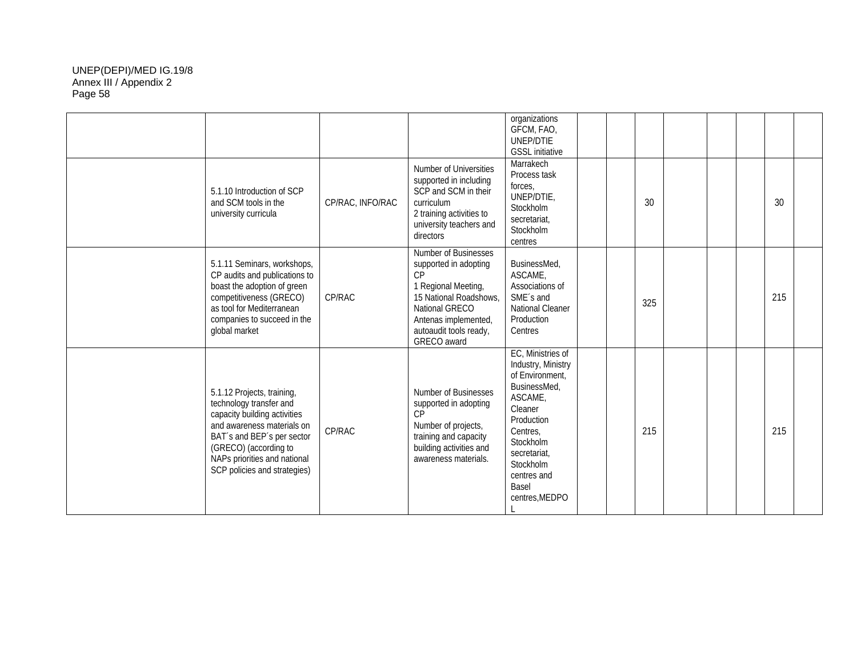|                                                                                                                                                                                                                                            |                  |                                                                                                                                                                                         | organizations<br>GFCM, FAO,<br>UNEP/DTIE<br><b>GSSL</b> initiative                                                                                                                                                   |  |     |  |     |  |
|--------------------------------------------------------------------------------------------------------------------------------------------------------------------------------------------------------------------------------------------|------------------|-----------------------------------------------------------------------------------------------------------------------------------------------------------------------------------------|----------------------------------------------------------------------------------------------------------------------------------------------------------------------------------------------------------------------|--|-----|--|-----|--|
| 5.1.10 Introduction of SCP<br>and SCM tools in the<br>university curricula                                                                                                                                                                 | CP/RAC, INFO/RAC | Number of Universities<br>supported in including<br>SCP and SCM in their<br>curriculum<br>2 training activities to<br>university teachers and<br>directors                              | Marrakech<br>Process task<br>forces,<br>UNEP/DTIE,<br>Stockholm<br>secretariat,<br>Stockholm<br>centres                                                                                                              |  | 30  |  | 30  |  |
| 5.1.11 Seminars, workshops,<br>CP audits and publications to<br>boast the adoption of green<br>competitiveness (GRECO)<br>as tool for Mediterranean<br>companies to succeed in the<br>global market                                        | CP/RAC           | Number of Businesses<br>supported in adopting<br>CP<br>1 Regional Meeting,<br>15 National Roadshows,<br>National GRECO<br>Antenas implemented,<br>autoaudit tools ready,<br>GRECO award | BusinessMed,<br>ASCAME.<br>Associations of<br>SME's and<br>National Cleaner<br>Production<br>Centres                                                                                                                 |  | 325 |  | 215 |  |
| 5.1.12 Projects, training,<br>technology transfer and<br>capacity building activities<br>and awareness materials on<br>BAT's and BEP's per sector<br>(GRECO) (according to<br>NAPs priorities and national<br>SCP policies and strategies) | CP/RAC           | Number of Businesses<br>supported in adopting<br>CP<br>Number of projects,<br>training and capacity<br>building activities and<br>awareness materials.                                  | EC, Ministries of<br>Industry, Ministry<br>of Environment,<br>BusinessMed,<br><b>ASCAME</b><br>Cleaner<br>Production<br>Centres,<br>Stockholm<br>secretariat,<br>Stockholm<br>centres and<br>Basel<br>centres, MEDPO |  | 215 |  | 215 |  |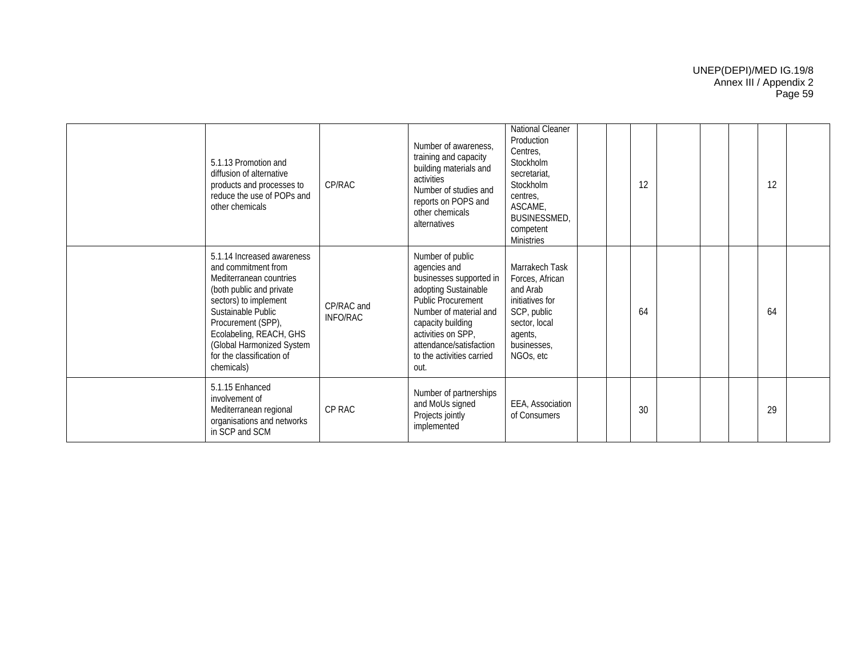| 5.1.13 Promotion and<br>diffusion of alternative<br>products and processes to<br>reduce the use of POPs and<br>other chemicals                                                                                                                                                   | CP/RAC                 | Number of awareness.<br>training and capacity<br>building materials and<br>activities<br>Number of studies and<br>reports on POPS and<br>other chemicals<br>alternatives                                                                              | National Cleaner<br>Production<br>Centres,<br>Stockholm<br>secretariat.<br>Stockholm<br>centres,<br>ASCAME,<br><b>BUSINESSMED,</b><br>competent<br><b>Ministries</b> |  | 12 |  | 12 |  |
|----------------------------------------------------------------------------------------------------------------------------------------------------------------------------------------------------------------------------------------------------------------------------------|------------------------|-------------------------------------------------------------------------------------------------------------------------------------------------------------------------------------------------------------------------------------------------------|----------------------------------------------------------------------------------------------------------------------------------------------------------------------|--|----|--|----|--|
| 5.1.14 Increased awareness<br>and commitment from<br>Mediterranean countries<br>(both public and private<br>sectors) to implement<br>Sustainable Public<br>Procurement (SPP),<br>Ecolabeling, REACH, GHS<br>(Global Harmonized System<br>for the classification of<br>chemicals) | CP/RAC and<br>INFO/RAC | Number of public<br>agencies and<br>businesses supported in<br>adopting Sustainable<br><b>Public Procurement</b><br>Number of material and<br>capacity building<br>activities on SPP,<br>attendance/satisfaction<br>to the activities carried<br>out. | Marrakech Task<br>Forces, African<br>and Arab<br>initiatives for<br>SCP, public<br>sector, local<br>agents,<br>businesses,<br>NGOs, etc                              |  | 64 |  | 64 |  |
| 5.1.15 Enhanced<br>involvement of<br>Mediterranean regional<br>organisations and networks<br>in SCP and SCM                                                                                                                                                                      | CP RAC                 | Number of partnerships<br>and MoUs signed<br>Projects jointly<br>implemented                                                                                                                                                                          | EEA, Association<br>of Consumers                                                                                                                                     |  | 30 |  | 29 |  |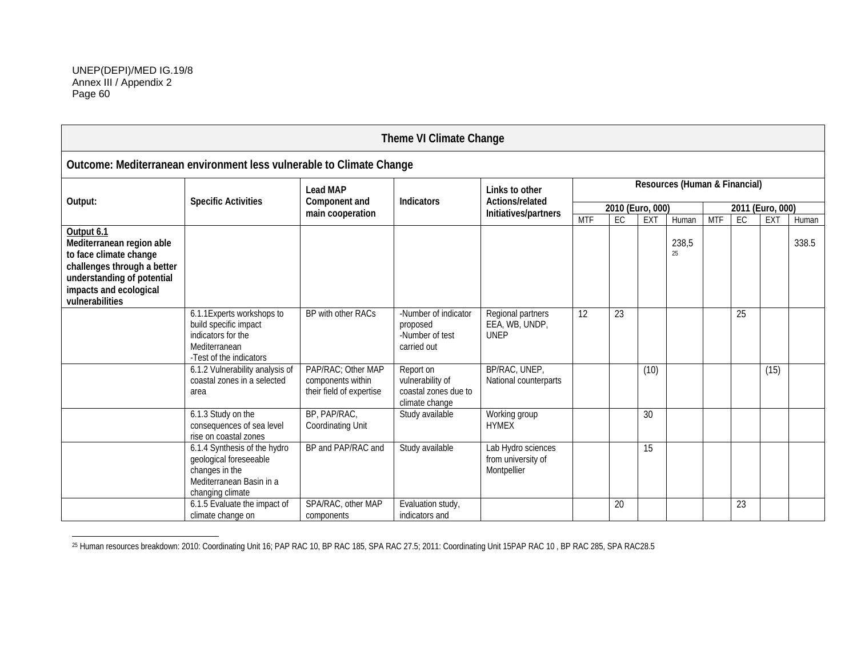|                                                                                                                                                                             |                                                                                                                          |                                                                     | Theme VI Climate Change                                                 |                                                         |            |                  |      |                               |            |    |                  |       |
|-----------------------------------------------------------------------------------------------------------------------------------------------------------------------------|--------------------------------------------------------------------------------------------------------------------------|---------------------------------------------------------------------|-------------------------------------------------------------------------|---------------------------------------------------------|------------|------------------|------|-------------------------------|------------|----|------------------|-------|
| Outcome: Mediterranean environment less vulnerable to Climate Change                                                                                                        |                                                                                                                          |                                                                     |                                                                         |                                                         |            |                  |      |                               |            |    |                  |       |
| Output:                                                                                                                                                                     | <b>Specific Activities</b>                                                                                               | <b>Lead MAP</b><br>Component and                                    | <b>Indicators</b>                                                       | Links to other<br>Actions/related                       |            |                  |      | Resources (Human & Financial) |            |    |                  |       |
|                                                                                                                                                                             |                                                                                                                          | main cooperation                                                    |                                                                         | Initiatives/partners                                    |            | 2010 (Euro, 000) |      |                               |            |    | 2011 (Euro, 000) |       |
|                                                                                                                                                                             |                                                                                                                          |                                                                     |                                                                         |                                                         | <b>MTF</b> | EC               | EXT  | Human                         | <b>MTF</b> | EC | EXT              | Human |
| Output 6.1<br>Mediterranean region able<br>to face climate change<br>challenges through a better<br>understanding of potential<br>impacts and ecological<br>vulnerabilities |                                                                                                                          |                                                                     |                                                                         |                                                         |            |                  |      | 238,5<br>25                   |            |    |                  | 338.5 |
|                                                                                                                                                                             | 6.1.1 Experts workshops to<br>build specific impact<br>indicators for the<br>Mediterranean<br>-Test of the indicators    | BP with other RACs                                                  | -Number of indicator<br>proposed<br>-Number of test<br>carried out      | Regional partners<br>EEA, WB, UNDP,<br><b>UNEP</b>      | 12         | 23               |      |                               |            | 25 |                  |       |
|                                                                                                                                                                             | 6.1.2 Vulnerability analysis of<br>coastal zones in a selected<br>area                                                   | PAP/RAC; Other MAP<br>components within<br>their field of expertise | Report on<br>vulnerability of<br>coastal zones due to<br>climate change | BP/RAC, UNEP,<br>National counterparts                  |            |                  | (10) |                               |            |    | (15)             |       |
|                                                                                                                                                                             | 6.1.3 Study on the<br>consequences of sea level<br>rise on coastal zones                                                 | BP, PAP/RAC,<br>Coordinating Unit                                   | Study available                                                         | Working group<br><b>HYMEX</b>                           |            |                  | 30   |                               |            |    |                  |       |
|                                                                                                                                                                             | 6.1.4 Synthesis of the hydro<br>geological foreseeable<br>changes in the<br>Mediterranean Basin in a<br>changing climate | BP and PAP/RAC and                                                  | Study available                                                         | Lab Hydro sciences<br>from university of<br>Montpellier |            |                  | 15   |                               |            |    |                  |       |
|                                                                                                                                                                             | 6.1.5 Evaluate the impact of<br>climate change on                                                                        | SPA/RAC, other MAP<br>components                                    | Evaluation study,<br>indicators and                                     |                                                         |            | 20               |      |                               |            | 23 |                  |       |

<sup>&</sup>lt;sup>25</sup> Human resources breakdown: 2010: Coordinating Unit 16; PAP RAC 10, BP RAC 185, SPA RAC 27.5; 2011: Coordinating Unit 15PAP RAC 10, BP RAC 285, SPA RAC28.5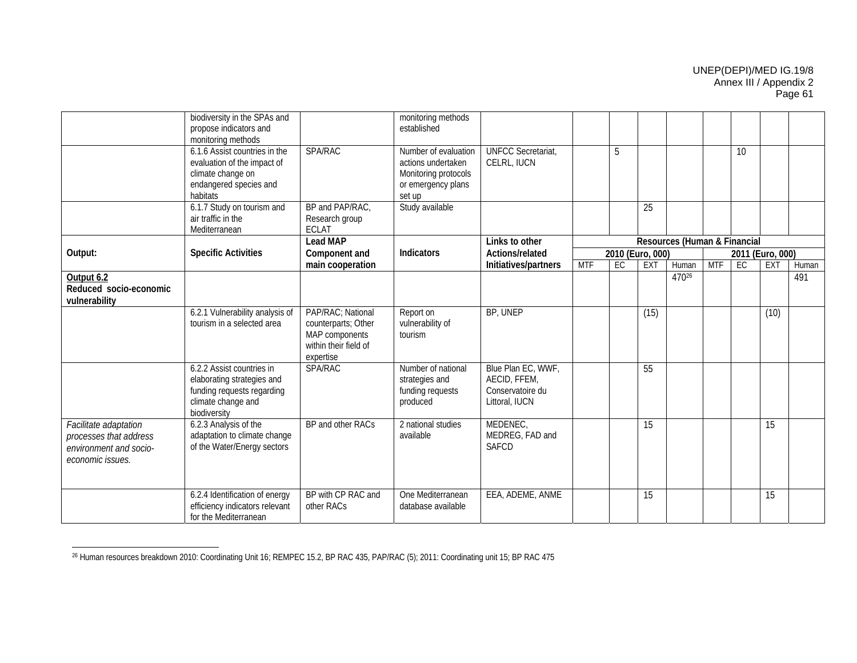|                                                                                               | biodiversity in the SPAs and<br>propose indicators and<br>monitoring methods                                                |                                                                                                  | monitoring methods<br>established                                                                  |                                                                          |            |    |                  |                              |            |    |                  |       |
|-----------------------------------------------------------------------------------------------|-----------------------------------------------------------------------------------------------------------------------------|--------------------------------------------------------------------------------------------------|----------------------------------------------------------------------------------------------------|--------------------------------------------------------------------------|------------|----|------------------|------------------------------|------------|----|------------------|-------|
|                                                                                               | 6.1.6 Assist countries in the<br>evaluation of the impact of<br>climate change on<br>endangered species and<br>habitats     | <b>SPA/RAC</b>                                                                                   | Number of evaluation<br>actions undertaken<br>Monitoring protocols<br>or emergency plans<br>set up | <b>UNFCC Secretariat</b><br>CELRL, IUCN                                  |            | 5  |                  |                              |            | 10 |                  |       |
|                                                                                               | 6.1.7 Study on tourism and<br>air traffic in the<br>Mediterranean                                                           | BP and PAP/RAC,<br>Research group<br><b>ECLAT</b>                                                | Study available                                                                                    |                                                                          |            |    | 25               |                              |            |    |                  |       |
|                                                                                               |                                                                                                                             | <b>Lead MAP</b>                                                                                  |                                                                                                    | Links to other                                                           |            |    |                  | Resources (Human & Financial |            |    |                  |       |
| Output:                                                                                       | <b>Specific Activities</b>                                                                                                  | Component and                                                                                    | Indicators                                                                                         | Actions/related                                                          |            |    | 2010 (Euro, 000) |                              |            |    | 2011 (Euro, 000) |       |
|                                                                                               |                                                                                                                             | main cooperation                                                                                 |                                                                                                    | Initiatives/partners                                                     | <b>MTF</b> | EC | EXT              | Human                        | <b>MTF</b> | EC | EXT              | Human |
| Output 6.2<br>Reduced socio-economic<br>vulnerability                                         |                                                                                                                             |                                                                                                  |                                                                                                    |                                                                          |            |    |                  | 47026                        |            |    |                  | 491   |
|                                                                                               | 6.2.1 Vulnerability analysis of<br>tourism in a selected area                                                               | PAP/RAC: National<br>counterparts; Other<br>MAP components<br>within their field of<br>expertise | Report on<br>vulnerability of<br>tourism                                                           | BP, UNEP                                                                 |            |    | (15)             |                              |            |    | (10)             |       |
|                                                                                               | 6.2.2 Assist countries in<br>elaborating strategies and<br>funding requests regarding<br>climate change and<br>biodiversity | <b>SPA/RAC</b>                                                                                   | Number of national<br>strategies and<br>funding requests<br>produced                               | Blue Plan EC, WWF,<br>AECID, FFEM,<br>Conservatoire du<br>Littoral, IUCN |            |    | $\overline{55}$  |                              |            |    |                  |       |
| Facilitate adaptation<br>processes that address<br>environment and socio-<br>economic issues. | 6.2.3 Analysis of the<br>adaptation to climate change<br>of the Water/Energy sectors                                        | BP and other RACs                                                                                | 2 national studies<br>available                                                                    | MEDENEC,<br>MEDREG, FAD and<br><b>SAFCD</b>                              |            |    | 15               |                              |            |    | 15               |       |
|                                                                                               | 6.2.4 Identification of energy<br>efficiency indicators relevant<br>for the Mediterranean                                   | BP with CP RAC and<br>other RACs                                                                 | One Mediterranean<br>database available                                                            | EEA, ADEME, ANME                                                         |            |    | 15               |                              |            |    | 15               |       |

<sup>26</sup> Human resources breakdown 2010: Coordinating Unit 16; REMPEC 15.2, BP RAC 435, PAP/RAC (5); 2011: Coordinating unit 15; BP RAC 475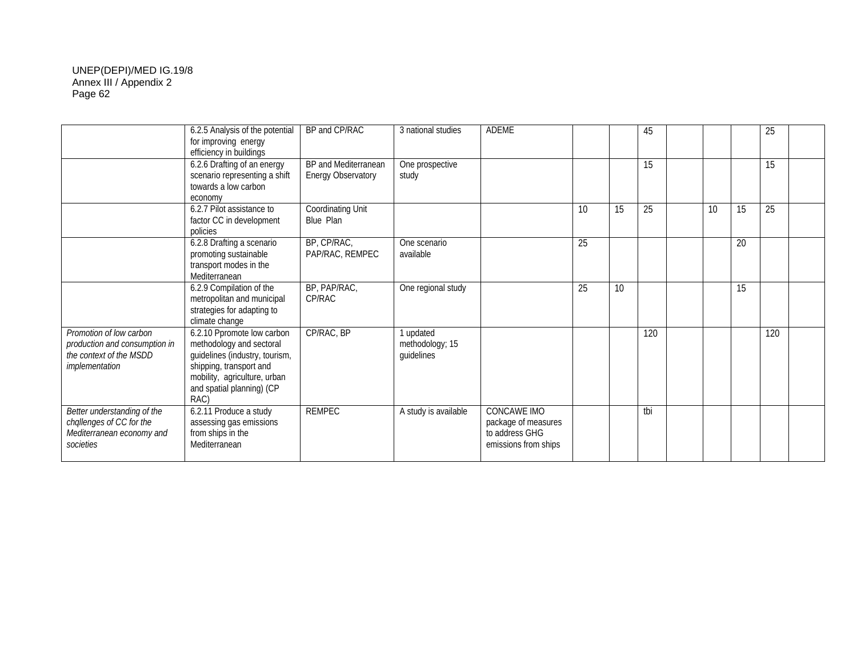|                                                                                                       | 6.2.5 Analysis of the potential<br>for improving energy<br>efficiency in buildings                                                                                                       | BP and CP/RAC                                     | 3 national studies                         | <b>ADEME</b>                                                                        |    |    | 45  |    |    | 25  |  |
|-------------------------------------------------------------------------------------------------------|------------------------------------------------------------------------------------------------------------------------------------------------------------------------------------------|---------------------------------------------------|--------------------------------------------|-------------------------------------------------------------------------------------|----|----|-----|----|----|-----|--|
|                                                                                                       | 6.2.6 Drafting of an energy<br>scenario representing a shift<br>towards a low carbon<br>economy                                                                                          | BP and Mediterranean<br><b>Energy Observatory</b> | One prospective<br>study                   |                                                                                     |    |    | 15  |    |    | 15  |  |
|                                                                                                       | 6.2.7 Pilot assistance to<br>factor CC in development<br>policies                                                                                                                        | Coordinating Unit<br>Blue Plan                    |                                            |                                                                                     | 10 | 15 | 25  | 10 | 15 | 25  |  |
|                                                                                                       | 6.2.8 Drafting a scenario<br>promoting sustainable<br>transport modes in the<br>Mediterranean                                                                                            | BP, CP/RAC,<br>PAP/RAC, REMPEC                    | One scenario<br>available                  |                                                                                     | 25 |    |     |    | 20 |     |  |
|                                                                                                       | 6.2.9 Compilation of the<br>metropolitan and municipal<br>strategies for adapting to<br>climate change                                                                                   | BP, PAP/RAC,<br>CP/RAC                            | One regional study                         |                                                                                     | 25 | 10 |     |    | 15 |     |  |
| Promotion of low carbon<br>production and consumption in<br>the context of the MSDD<br>implementation | 6.2.10 Ppromote low carbon<br>methodology and sectoral<br>guidelines (industry, tourism,<br>shipping, transport and<br>mobility, agriculture, urban<br>and spatial planning) (CP<br>RAC) | CP/RAC, BP                                        | 1 updated<br>methodology; 15<br>guidelines |                                                                                     |    |    | 120 |    |    | 120 |  |
| Better understanding of the<br>challenges of CC for the<br>Mediterranean economy and<br>societies     | 6.2.11 Produce a study<br>assessing gas emissions<br>from ships in the<br>Mediterranean                                                                                                  | <b>REMPEC</b>                                     | A study is available                       | <b>CONCAWE IMO</b><br>package of measures<br>to address GHG<br>emissions from ships |    |    | tbi |    |    |     |  |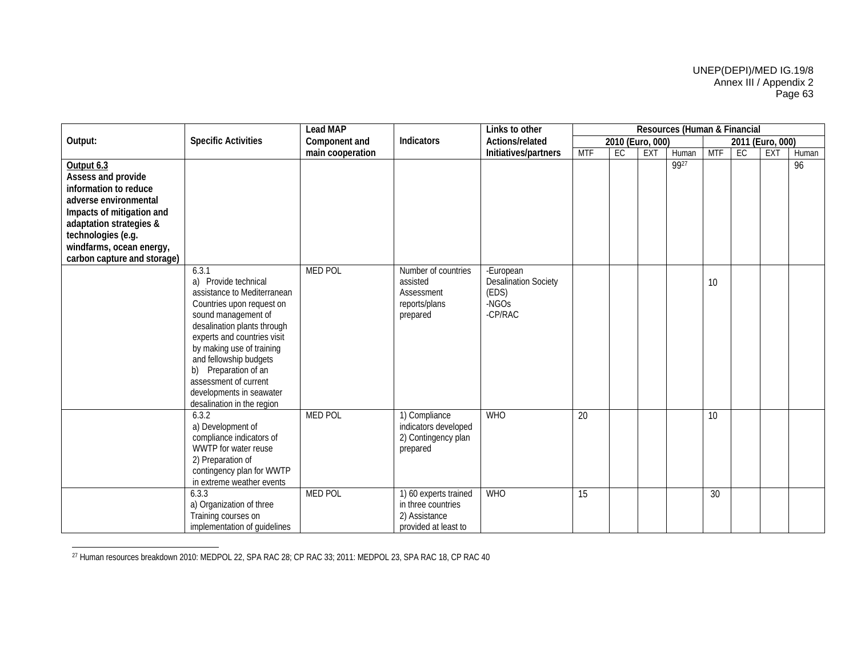|                                                                                                                                                                                                                             |                                                                                                                                                                                                                                                                                                                                                  | <b>Lead MAP</b>  |                                                                                      | Links to other                                                        |            |                  |            | Resources (Human & Financial |                 |    |                  |       |
|-----------------------------------------------------------------------------------------------------------------------------------------------------------------------------------------------------------------------------|--------------------------------------------------------------------------------------------------------------------------------------------------------------------------------------------------------------------------------------------------------------------------------------------------------------------------------------------------|------------------|--------------------------------------------------------------------------------------|-----------------------------------------------------------------------|------------|------------------|------------|------------------------------|-----------------|----|------------------|-------|
| Output:                                                                                                                                                                                                                     | <b>Specific Activities</b>                                                                                                                                                                                                                                                                                                                       | Component and    | Indicators                                                                           | Actions/related                                                       |            | 2010 (Euro, 000) |            |                              |                 |    | 2011 (Euro, 000) |       |
|                                                                                                                                                                                                                             |                                                                                                                                                                                                                                                                                                                                                  | main cooperation |                                                                                      | Initiatives/partners                                                  | <b>MTF</b> | EC               | <b>EXT</b> | Human                        | <b>MTF</b>      | EC | <b>EXT</b>       | Human |
| Output 6.3<br>Assess and provide<br>information to reduce<br>adverse environmental<br>Impacts of mitigation and<br>adaptation strategies &<br>technologies (e.g.<br>windfarms, ocean energy,<br>carbon capture and storage) |                                                                                                                                                                                                                                                                                                                                                  |                  |                                                                                      |                                                                       |            |                  |            | 9927                         |                 |    |                  | 96    |
|                                                                                                                                                                                                                             | 6.3.1<br>a) Provide technical<br>assistance to Mediterranean<br>Countries upon request on<br>sound management of<br>desalination plants through<br>experts and countries visit<br>by making use of training<br>and fellowship budgets<br>b) Preparation of an<br>assessment of current<br>developments in seawater<br>desalination in the region | <b>MED POL</b>   | Number of countries<br>assisted<br>Assessment<br>reports/plans<br>prepared           | -European<br><b>Desalination Society</b><br>(EDS)<br>-NGOs<br>-CP/RAC |            |                  |            |                              | 10 <sup>1</sup> |    |                  |       |
|                                                                                                                                                                                                                             | 6.3.2<br>a) Development of<br>compliance indicators of<br>WWTP for water reuse<br>2) Preparation of<br>contingency plan for WWTP<br>in extreme weather events                                                                                                                                                                                    | <b>MED POL</b>   | 1) Compliance<br>indicators developed<br>2) Contingency plan<br>prepared             | <b>WHO</b>                                                            | 20         |                  |            |                              | 10              |    |                  |       |
|                                                                                                                                                                                                                             | 6.3.3<br>a) Organization of three<br>Training courses on<br>implementation of quidelines                                                                                                                                                                                                                                                         | <b>MED POL</b>   | 1) 60 experts trained<br>in three countries<br>2) Assistance<br>provided at least to | <b>WHO</b>                                                            | 15         |                  |            |                              | $\overline{30}$ |    |                  |       |

<sup>27</sup> Human resources breakdown 2010: MEDPOL 22, SPA RAC 28; CP RAC 33; 2011: MEDPOL 23, SPA RAC 18, CP RAC 40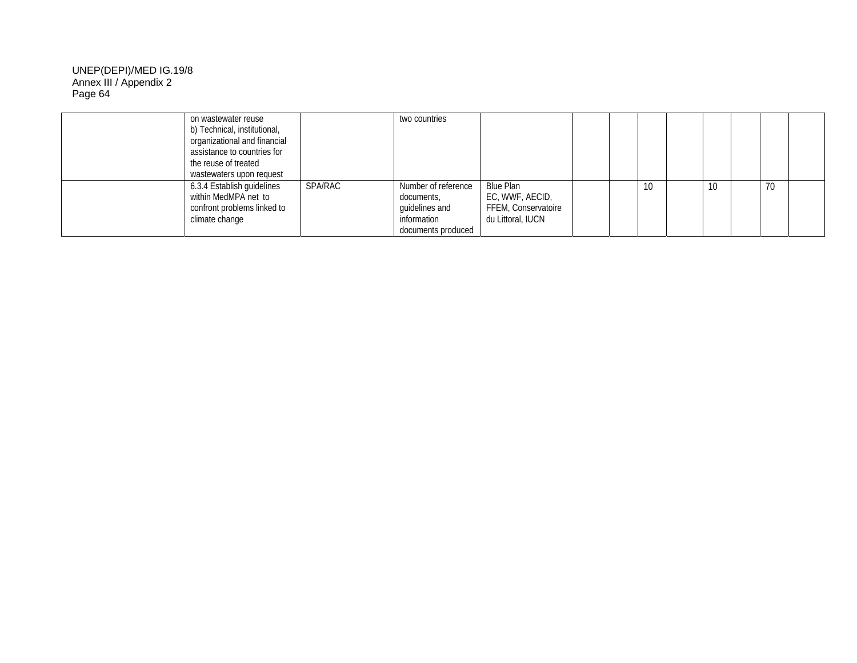| on wastewater reuse<br>b) Technical, institutional,<br>organizational and financial<br>assistance to countries for<br>the reuse of treated<br>wastewaters upon request |                | two countries                                                                            |                                                                          |  |    |    |    |  |
|------------------------------------------------------------------------------------------------------------------------------------------------------------------------|----------------|------------------------------------------------------------------------------------------|--------------------------------------------------------------------------|--|----|----|----|--|
| 6.3.4 Establish guidelines<br>within MedMPA net to<br>confront problems linked to<br>climate change                                                                    | <b>SPA/RAC</b> | Number of reference<br>documents,<br>quidelines and<br>information<br>documents produced | Blue Plan<br>EC, WWF, AECID,<br>FFEM, Conservatoire<br>du Littoral, IUCN |  | 10 | 10 | 70 |  |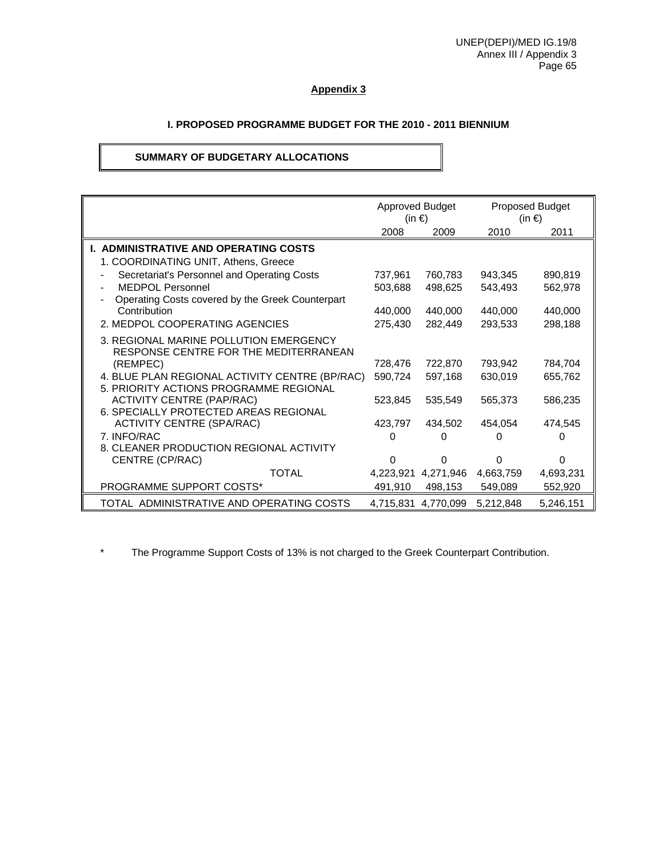## **Appendix 3**

## **I. PROPOSED PROGRAMME BUDGET FOR THE 2010 - 2011 BIENNIUM**

## **SUMMARY OF BUDGETARY ALLOCATIONS**

|                                                                                          | <b>Approved Budget</b><br>(in €) |                     |           | <b>Proposed Budget</b><br>(in €) |
|------------------------------------------------------------------------------------------|----------------------------------|---------------------|-----------|----------------------------------|
|                                                                                          | 2008                             | 2009                | 2010      | 2011                             |
| <b>I. ADMINISTRATIVE AND OPERATING COSTS</b>                                             |                                  |                     |           |                                  |
| 1. COORDINATING UNIT, Athens, Greece                                                     |                                  |                     |           |                                  |
| Secretariat's Personnel and Operating Costs                                              | 737,961                          | 760,783             | 943,345   | 890,819                          |
| MEDPOL Personnel                                                                         | 503,688                          | 498,625             | 543,493   | 562,978                          |
| Operating Costs covered by the Greek Counterpart                                         |                                  |                     |           |                                  |
| Contribution                                                                             | 440,000                          | 440,000             | 440,000   | 440,000                          |
| 2. MEDPOL COOPERATING AGENCIES                                                           | 275,430                          | 282,449             | 293,533   | 298,188                          |
| 3. REGIONAL MARINE POLLUTION EMERGENCY<br>RESPONSE CENTRE FOR THE MEDITERRANEAN          |                                  |                     |           |                                  |
| (REMPEC)                                                                                 | 728,476                          | 722,870             | 793,942   | 784,704                          |
| 4. BLUE PLAN REGIONAL ACTIVITY CENTRE (BP/RAC)<br>5. PRIORITY ACTIONS PROGRAMME REGIONAL | 590,724                          | 597,168             | 630,019   | 655,762                          |
| <b>ACTIVITY CENTRE (PAP/RAC)</b><br>6. SPECIALLY PROTECTED AREAS REGIONAL                | 523,845                          | 535,549             | 565,373   | 586,235                          |
| <b>ACTIVITY CENTRE (SPA/RAC)</b>                                                         | 423,797                          | 434,502             | 454,054   | 474,545                          |
| 7. INFO/RAC                                                                              | 0                                | Ω                   |           |                                  |
| 8. CLEANER PRODUCTION REGIONAL ACTIVITY                                                  |                                  |                     |           |                                  |
| CENTRE (CP/RAC)                                                                          | 0                                | 0                   | U         | 0                                |
| <b>TOTAL</b>                                                                             |                                  | 4,223,921 4,271,946 | 4,663,759 | 4,693,231                        |
| PROGRAMME SUPPORT COSTS*                                                                 | 491,910                          | 498,153             | 549,089   | 552,920                          |
| TOTAL ADMINISTRATIVE AND OPERATING COSTS                                                 |                                  | 4.715.831 4.770.099 | 5,212,848 | 5,246,151                        |

\* The Programme Support Costs of 13% is not charged to the Greek Counterpart Contribution.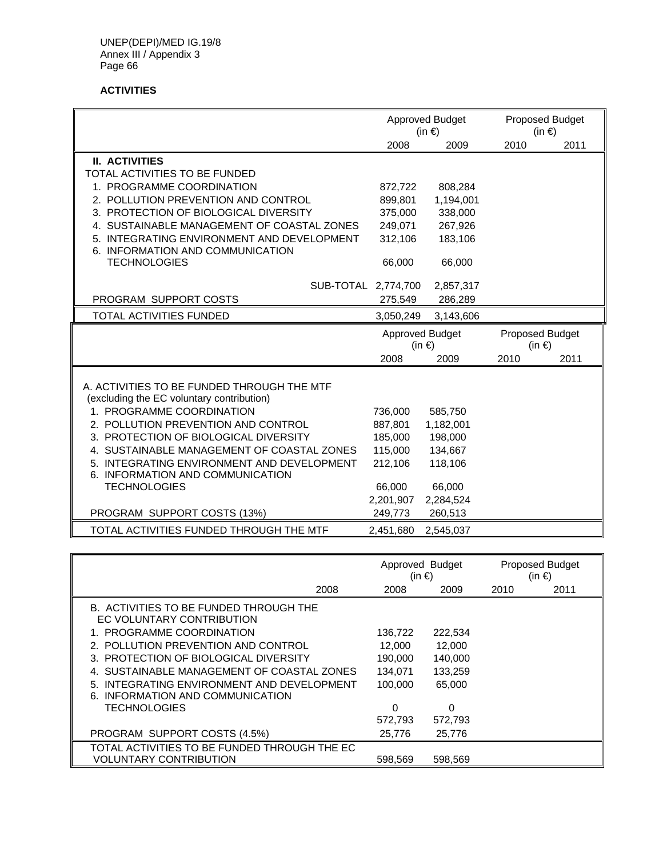## **ACTIVITIES**

|                                                                        |           | <b>Approved Budget</b><br>$(in \in)$ |      | Proposed Budget<br>(in $\epsilon$ ) |
|------------------------------------------------------------------------|-----------|--------------------------------------|------|-------------------------------------|
|                                                                        | 2008      | 2009                                 | 2010 | 2011                                |
| <b>II. ACTIVITIES</b>                                                  |           |                                      |      |                                     |
| TOTAL ACTIVITIES TO BE FUNDED                                          |           |                                      |      |                                     |
| 1. PROGRAMME COORDINATION                                              | 872,722   | 808,284                              |      |                                     |
| 2. POLLUTION PREVENTION AND CONTROL                                    | 899,801   | 1,194,001                            |      |                                     |
| 3. PROTECTION OF BIOLOGICAL DIVERSITY                                  | 375,000   | 338,000                              |      |                                     |
| 4. SUSTAINABLE MANAGEMENT OF COASTAL ZONES                             | 249,071   | 267,926                              |      |                                     |
| 5. INTEGRATING ENVIRONMENT AND DEVELOPMENT                             | 312,106   | 183,106                              |      |                                     |
| 6. INFORMATION AND COMMUNICATION                                       |           |                                      |      |                                     |
| <b>TECHNOLOGIES</b>                                                    | 66,000    | 66,000                               |      |                                     |
| SUB-TOTAL 2,774,700                                                    |           | 2,857,317                            |      |                                     |
| PROGRAM SUPPORT COSTS                                                  | 275,549   | 286,289                              |      |                                     |
| TOTAL ACTIVITIES FUNDED                                                | 3,050,249 | 3,143,606                            |      |                                     |
|                                                                        |           | <b>Approved Budget</b>               |      | Proposed Budget                     |
|                                                                        |           | $(in \in)$                           |      | $(in \in)$                          |
|                                                                        | 2008      | 2009                                 | 2010 | 2011                                |
|                                                                        |           |                                      |      |                                     |
| A. ACTIVITIES TO BE FUNDED THROUGH THE MTF                             |           |                                      |      |                                     |
| (excluding the EC voluntary contribution)<br>1. PROGRAMME COORDINATION | 736,000   | 585,750                              |      |                                     |
| 2. POLLUTION PREVENTION AND CONTROL                                    | 887,801   | 1,182,001                            |      |                                     |
| 3. PROTECTION OF BIOLOGICAL DIVERSITY                                  | 185,000   | 198,000                              |      |                                     |
| 4. SUSTAINABLE MANAGEMENT OF COASTAL ZONES                             | 115,000   | 134,667                              |      |                                     |
| 5. INTEGRATING ENVIRONMENT AND DEVELOPMENT                             | 212,106   | 118,106                              |      |                                     |
| 6. INFORMATION AND COMMUNICATION                                       |           |                                      |      |                                     |
| <b>TECHNOLOGIES</b>                                                    | 66,000    | 66,000                               |      |                                     |
|                                                                        | 2,201,907 | 2,284,524                            |      |                                     |
| PROGRAM SUPPORT COSTS (13%)                                            | 249,773   | 260,513                              |      |                                     |
| TOTAL ACTIVITIES FUNDED THROUGH THE MTF                                | 2,451,680 | 2,545,037                            |      |                                     |

|                                                                                | Approved Budget<br>(in €) |         | <b>Proposed Budget</b><br>(in €) |      |
|--------------------------------------------------------------------------------|---------------------------|---------|----------------------------------|------|
| 2008                                                                           | 2008                      | 2009    | 2010                             | 2011 |
| B. ACTIVITIES TO BE FUNDED THROUGH THE<br>EC VOLUNTARY CONTRIBUTION            |                           |         |                                  |      |
| 1. PROGRAMME COORDINATION                                                      | 136,722                   | 222,534 |                                  |      |
| 2. POLLUTION PREVENTION AND CONTROL                                            | 12,000                    | 12,000  |                                  |      |
| 3. PROTECTION OF BIOLOGICAL DIVERSITY                                          | 190,000                   | 140,000 |                                  |      |
| 4. SUSTAINABLE MANAGEMENT OF COASTAL ZONES                                     | 134.071                   | 133,259 |                                  |      |
| 5. INTEGRATING ENVIRONMENT AND DEVELOPMENT<br>6. INFORMATION AND COMMUNICATION | 100,000                   | 65,000  |                                  |      |
| <b>TECHNOLOGIES</b>                                                            | 0                         | 0       |                                  |      |
|                                                                                | 572.793                   | 572,793 |                                  |      |
| PROGRAM SUPPORT COSTS (4.5%)                                                   | 25.776                    | 25.776  |                                  |      |
| TOTAL ACTIVITIES TO BE FUNDED THROUGH THE EC                                   |                           |         |                                  |      |
| <b>VOLUNTARY CONTRIBUTION</b>                                                  | 598.569                   | 598.569 |                                  |      |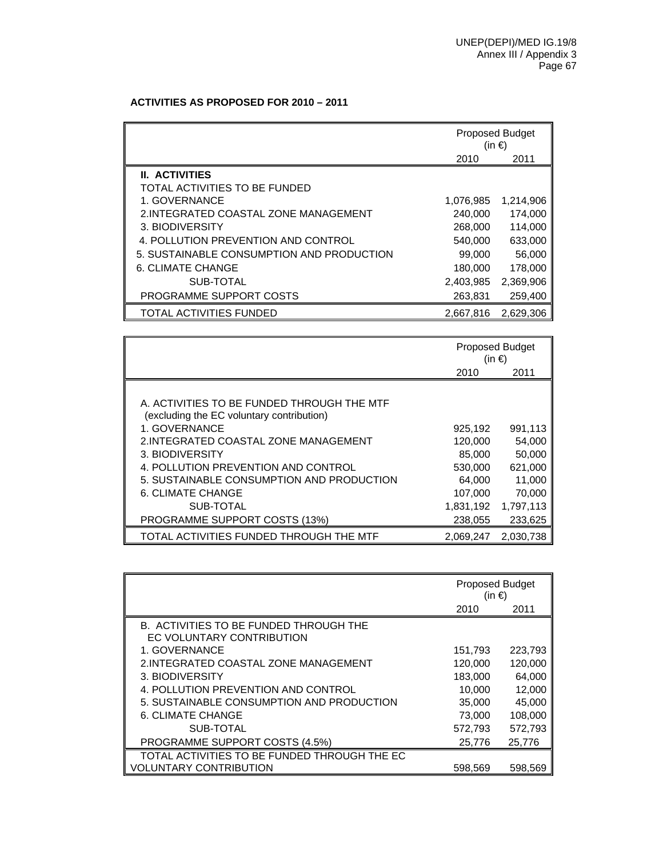## **ACTIVITIES AS PROPOSED FOR 2010 – 2011**

|                                           | <b>Proposed Budget</b><br>(in €) |           |
|-------------------------------------------|----------------------------------|-----------|
|                                           | 2010                             | 2011      |
| <b>II. ACTIVITIES</b>                     |                                  |           |
| TOTAL ACTIVITIES TO BE FUNDED             |                                  |           |
| 1. GOVERNANCE                             | 1,076,985                        | 1,214,906 |
| 2. INTEGRATED COASTAL ZONE MANAGEMENT     | 240,000                          | 174,000   |
| 3. BIODIVERSITY                           | 268,000                          | 114,000   |
| 4. POLLUTION PREVENTION AND CONTROL       | 540,000                          | 633,000   |
| 5. SUSTAINABLE CONSUMPTION AND PRODUCTION | 99,000                           | 56,000    |
| <b>6. CLIMATE CHANGE</b>                  | 180,000                          | 178,000   |
| SUB-TOTAL                                 | 2,403,985                        | 2,369,906 |
| PROGRAMME SUPPORT COSTS                   | 263,831                          | 259,400   |
| <b>TOTAL ACTIVITIES FUNDED</b>            | 2.667.816                        | 2.629.306 |

|                                                                                         | <b>Proposed Budget</b><br>(in €) |           |
|-----------------------------------------------------------------------------------------|----------------------------------|-----------|
|                                                                                         | 2010                             | 2011      |
|                                                                                         |                                  |           |
| A. ACTIVITIES TO BE FUNDED THROUGH THE MTF<br>(excluding the EC voluntary contribution) |                                  |           |
| 1. GOVERNANCE                                                                           | 925,192                          | 991,113   |
| 2. INTEGRATED COASTAL ZONE MANAGEMENT                                                   | 120,000                          | 54,000    |
| 3. BIODIVERSITY                                                                         | 85,000                           | 50,000    |
| 4. POLLUTION PREVENTION AND CONTROL                                                     | 530,000                          | 621,000   |
| 5. SUSTAINABLE CONSUMPTION AND PRODUCTION                                               | 64,000                           | 11,000    |
| 6. CLIMATE CHANGE                                                                       | 107,000                          | 70,000    |
| SUB-TOTAL                                                                               | 1,831,192                        | 1,797,113 |
| PROGRAMME SUPPORT COSTS (13%)                                                           | 238,055                          | 233,625   |
| TOTAL ACTIVITIES FUNDED THROUGH THE MTF                                                 | 2,069,247                        | 2.030.738 |

|                                                                     | Proposed Budget<br>(in €) |         |
|---------------------------------------------------------------------|---------------------------|---------|
|                                                                     | 2010                      | 2011    |
| B. ACTIVITIES TO BE FUNDED THROUGH THE<br>EC VOLUNTARY CONTRIBUTION |                           |         |
| 1. GOVERNANCE                                                       | 151,793                   | 223,793 |
| 2. INTEGRATED COASTAL ZONE MANAGEMENT                               | 120,000                   | 120,000 |
| 3. BIODIVERSITY                                                     | 183,000                   | 64,000  |
| 4. POLLUTION PREVENTION AND CONTROL                                 | 10,000                    | 12,000  |
| 5. SUSTAINABLE CONSUMPTION AND PRODUCTION                           | 35,000                    | 45,000  |
| <b>6. CLIMATE CHANGE</b>                                            | 73,000                    | 108,000 |
| SUB-TOTAL                                                           | 572,793                   | 572,793 |
| PROGRAMME SUPPORT COSTS (4.5%)                                      | 25,776                    | 25,776  |
| TOTAL ACTIVITIES TO BE FUNDED THROUGH THE EC                        |                           |         |
| <b>VOLUNTARY CONTRIBUTION</b>                                       | 598.569                   | 598.569 |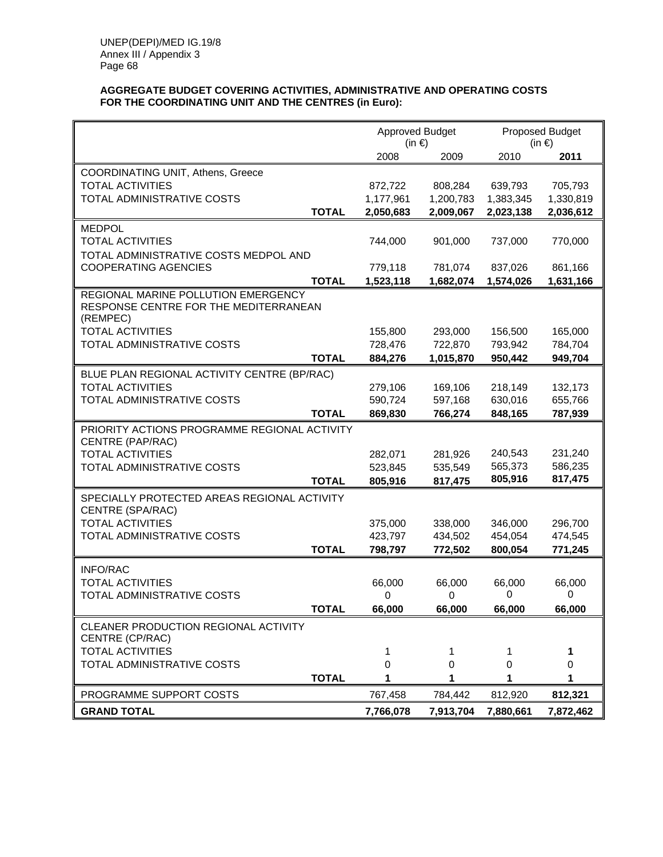#### **AGGREGATE BUDGET COVERING ACTIVITIES, ADMINISTRATIVE AND OPERATING COSTS FOR THE COORDINATING UNIT AND THE CENTRES (in Euro):**

|                                                   |           | <b>Approved Budget</b><br>$(in \in)$ |           | Proposed Budget<br>$(in \in)$ |  |
|---------------------------------------------------|-----------|--------------------------------------|-----------|-------------------------------|--|
|                                                   | 2008      | 2009                                 | 2010      | 2011                          |  |
| COORDINATING UNIT, Athens, Greece                 |           |                                      |           |                               |  |
| <b>TOTAL ACTIVITIES</b>                           | 872,722   | 808,284                              | 639,793   | 705,793                       |  |
| <b>TOTAL ADMINISTRATIVE COSTS</b>                 | 1,177,961 | 1,200,783                            | 1,383,345 | 1,330,819                     |  |
| <b>TOTAL</b>                                      | 2,050,683 | 2,009,067                            | 2,023,138 | 2,036,612                     |  |
| <b>MEDPOL</b>                                     |           |                                      |           |                               |  |
| <b>TOTAL ACTIVITIES</b>                           | 744,000   | 901,000                              | 737,000   | 770,000                       |  |
| TOTAL ADMINISTRATIVE COSTS MEDPOL AND             |           |                                      |           |                               |  |
| <b>COOPERATING AGENCIES</b>                       | 779,118   | 781,074                              | 837,026   | 861,166                       |  |
| <b>TOTAL</b>                                      | 1,523,118 | 1,682,074                            | 1,574,026 | 1,631,166                     |  |
| REGIONAL MARINE POLLUTION EMERGENCY               |           |                                      |           |                               |  |
| RESPONSE CENTRE FOR THE MEDITERRANEAN<br>(REMPEC) |           |                                      |           |                               |  |
| <b>TOTAL ACTIVITIES</b>                           | 155,800   | 293,000                              | 156,500   | 165,000                       |  |
| TOTAL ADMINISTRATIVE COSTS                        | 728,476   | 722,870                              | 793,942   | 784,704                       |  |
| <b>TOTAL</b>                                      | 884,276   | 1,015,870                            | 950,442   | 949,704                       |  |
| BLUE PLAN REGIONAL ACTIVITY CENTRE (BP/RAC)       |           |                                      |           |                               |  |
| <b>TOTAL ACTIVITIES</b>                           | 279,106   | 169,106                              | 218,149   | 132,173                       |  |
| TOTAL ADMINISTRATIVE COSTS                        | 590,724   | 597,168                              | 630,016   | 655,766                       |  |
| <b>TOTAL</b>                                      | 869,830   | 766,274                              | 848,165   | 787,939                       |  |
| PRIORITY ACTIONS PROGRAMME REGIONAL ACTIVITY      |           |                                      |           |                               |  |
| CENTRE (PAP/RAC)                                  |           |                                      |           |                               |  |
| <b>TOTAL ACTIVITIES</b>                           | 282,071   | 281,926                              | 240,543   | 231,240                       |  |
| TOTAL ADMINISTRATIVE COSTS                        | 523,845   | 535,549                              | 565,373   | 586,235                       |  |
| <b>TOTAL</b>                                      | 805,916   | 817,475                              | 805,916   | 817,475                       |  |
| SPECIALLY PROTECTED AREAS REGIONAL ACTIVITY       |           |                                      |           |                               |  |
| CENTRE (SPA/RAC)                                  |           |                                      |           |                               |  |
| <b>TOTAL ACTIVITIES</b>                           | 375,000   | 338,000                              | 346,000   | 296,700                       |  |
| TOTAL ADMINISTRATIVE COSTS                        | 423,797   | 434,502                              | 454,054   | 474,545                       |  |
| <b>TOTAL</b>                                      | 798,797   | 772,502                              | 800,054   | 771,245                       |  |
| <b>INFO/RAC</b>                                   |           |                                      |           |                               |  |
| <b>TOTAL ACTIVITIES</b>                           | 66,000    | 66,000                               | 66,000    | 66,000                        |  |
| TOTAL ADMINISTRATIVE COSTS                        | 0         | 0                                    | 0         | 0                             |  |
| <b>TOTAL</b>                                      | 66,000    | 66,000                               | 66,000    | 66,000                        |  |
| CLEANER PRODUCTION REGIONAL ACTIVITY              |           |                                      |           |                               |  |
| CENTRE (CP/RAC)                                   |           |                                      |           |                               |  |
| <b>TOTAL ACTIVITIES</b>                           | 1         | 1                                    | 1         | 1                             |  |
| TOTAL ADMINISTRATIVE COSTS                        | 0         | 0                                    | 0         | 0                             |  |
| <b>TOTAL</b>                                      | 1         | 1                                    | 1         | 1                             |  |
| PROGRAMME SUPPORT COSTS                           | 767,458   | 784,442                              | 812,920   | 812,321                       |  |
| <b>GRAND TOTAL</b>                                | 7,766,078 | 7,913,704                            | 7,880,661 | 7,872,462                     |  |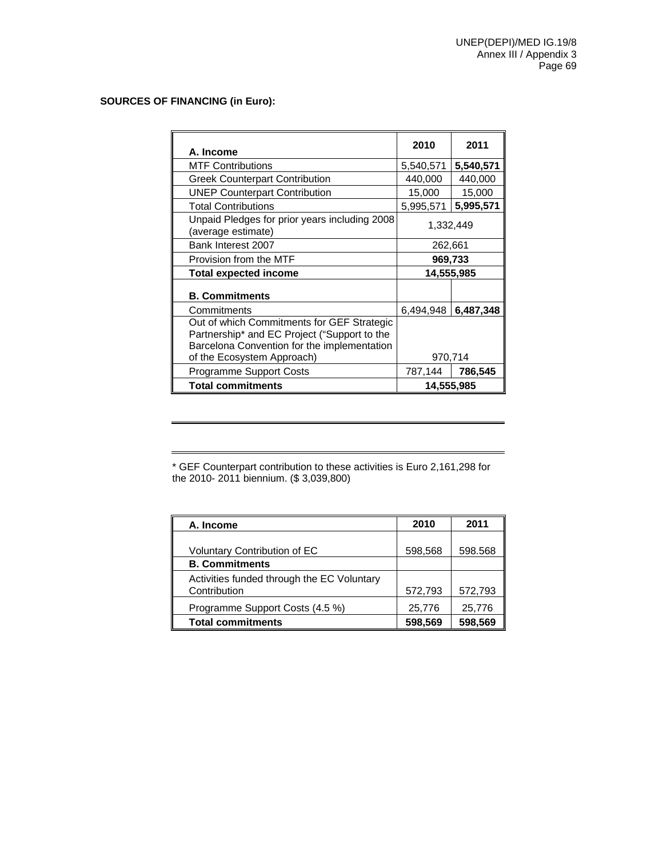#### **SOURCES OF FINANCING (in Euro):**

| A. Income                                                                                                                                                               | 2010      | 2011       |  |
|-------------------------------------------------------------------------------------------------------------------------------------------------------------------------|-----------|------------|--|
| <b>MTF Contributions</b>                                                                                                                                                | 5,540,571 | 5,540,571  |  |
| <b>Greek Counterpart Contribution</b>                                                                                                                                   | 440,000   | 440,000    |  |
| <b>UNEP Counterpart Contribution</b>                                                                                                                                    | 15,000    | 15,000     |  |
| <b>Total Contributions</b>                                                                                                                                              | 5,995,571 | 5,995,571  |  |
| Unpaid Pledges for prior years including 2008<br>(average estimate)                                                                                                     | 1,332,449 |            |  |
| Bank Interest 2007                                                                                                                                                      | 262,661   |            |  |
| Provision from the MTF                                                                                                                                                  | 969,733   |            |  |
| <b>Total expected income</b>                                                                                                                                            |           | 14,555,985 |  |
| <b>B. Commitments</b>                                                                                                                                                   |           |            |  |
| Commitments                                                                                                                                                             | 6,494,948 | 6,487,348  |  |
| Out of which Commitments for GEF Strategic<br>Partnership* and EC Project ("Support to the<br>Barcelona Convention for the implementation<br>of the Ecosystem Approach) |           | 970,714    |  |
| <b>Programme Support Costs</b>                                                                                                                                          | 787,144   | 786,545    |  |
| <b>Total commitments</b>                                                                                                                                                |           | 14,555,985 |  |

\* GEF Counterpart contribution to these activities is Euro 2,161,298 for the 2010- 2011 biennium. (\$ 3,039,800)

| A. Income                                                  | 2010    | 2011    |
|------------------------------------------------------------|---------|---------|
| <b>Voluntary Contribution of EC</b>                        | 598,568 | 598.568 |
| <b>B. Commitments</b>                                      |         |         |
| Activities funded through the EC Voluntary<br>Contribution | 572,793 | 572,793 |
| Programme Support Costs (4.5 %)                            | 25,776  | 25,776  |
| <b>Total commitments</b>                                   | 598,569 | 598,569 |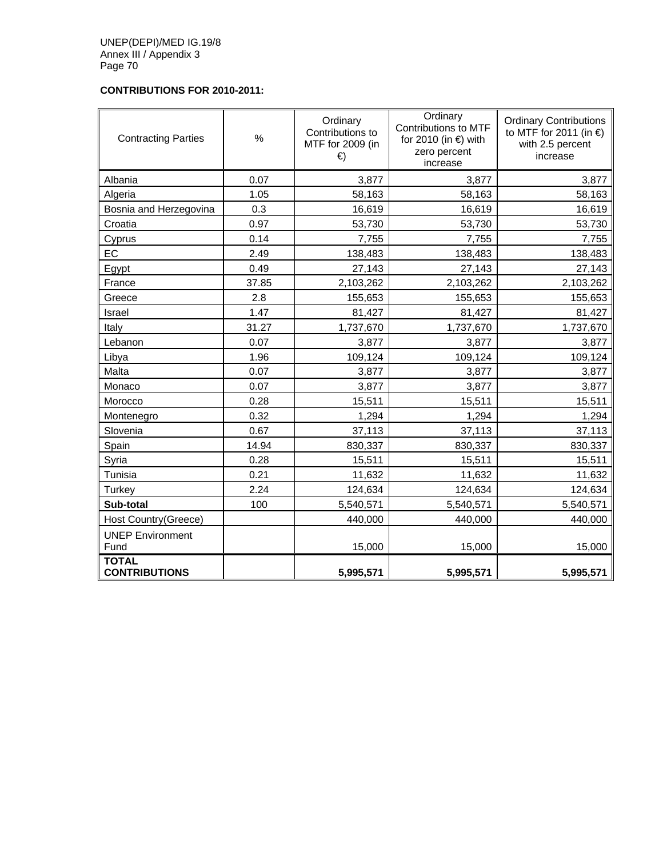# **CONTRIBUTIONS FOR 2010-2011:**

| <b>Contracting Parties</b>           | %     | Ordinary<br>Contributions to<br>MTF for 2009 (in<br>€ | Ordinary<br>Contributions to MTF<br>for 2010 (in $\epsilon$ ) with<br>zero percent<br>increase | <b>Ordinary Contributions</b><br>to MTF for 2011 (in $\epsilon$ )<br>with 2.5 percent<br>increase |
|--------------------------------------|-------|-------------------------------------------------------|------------------------------------------------------------------------------------------------|---------------------------------------------------------------------------------------------------|
| Albania                              | 0.07  | 3,877                                                 | 3,877                                                                                          | 3,877                                                                                             |
| Algeria                              | 1.05  | 58,163                                                | 58,163                                                                                         | 58,163                                                                                            |
| Bosnia and Herzegovina               | 0.3   | 16,619                                                | 16,619                                                                                         | 16,619                                                                                            |
| Croatia                              | 0.97  | 53,730                                                | 53,730                                                                                         | 53,730                                                                                            |
| Cyprus                               | 0.14  | 7,755                                                 | 7,755                                                                                          | 7,755                                                                                             |
| EC                                   | 2.49  | 138,483                                               | 138,483                                                                                        | 138,483                                                                                           |
| Egypt                                | 0.49  | 27,143                                                | 27,143                                                                                         | 27,143                                                                                            |
| France                               | 37.85 | 2,103,262                                             | 2,103,262                                                                                      | 2,103,262                                                                                         |
| Greece                               | 2.8   | 155,653                                               | 155,653                                                                                        | 155,653                                                                                           |
| Israel                               | 1.47  | 81,427                                                | 81,427                                                                                         | 81,427                                                                                            |
| Italy                                | 31.27 | 1,737,670                                             | 1,737,670                                                                                      | 1,737,670                                                                                         |
| Lebanon                              | 0.07  | 3,877                                                 | 3,877                                                                                          | 3,877                                                                                             |
| Libya                                | 1.96  | 109,124                                               | 109,124                                                                                        | 109,124                                                                                           |
| Malta                                | 0.07  | 3,877                                                 | 3,877                                                                                          | 3,877                                                                                             |
| Monaco                               | 0.07  | 3,877                                                 | 3,877                                                                                          | 3,877                                                                                             |
| Morocco                              | 0.28  | 15,511                                                | 15,511                                                                                         | 15,511                                                                                            |
| Montenegro                           | 0.32  | 1,294                                                 | 1,294                                                                                          | 1,294                                                                                             |
| Slovenia                             | 0.67  | 37,113                                                | 37,113                                                                                         | 37,113                                                                                            |
| Spain                                | 14.94 | 830,337                                               | 830,337                                                                                        | 830,337                                                                                           |
| Syria                                | 0.28  | 15,511                                                | 15,511                                                                                         | 15,511                                                                                            |
| Tunisia                              | 0.21  | 11,632                                                | 11,632                                                                                         | 11,632                                                                                            |
| Turkey                               | 2.24  | 124,634                                               | 124,634                                                                                        | 124,634                                                                                           |
| Sub-total                            | 100   | 5,540,571                                             | 5,540,571                                                                                      | 5,540,571                                                                                         |
| Host Country(Greece)                 |       | 440,000                                               | 440,000                                                                                        | 440,000                                                                                           |
| <b>UNEP Environment</b><br>Fund      |       | 15,000                                                | 15,000                                                                                         | 15,000                                                                                            |
| <b>TOTAL</b><br><b>CONTRIBUTIONS</b> |       | 5,995,571                                             | 5,995,571                                                                                      | 5,995,571                                                                                         |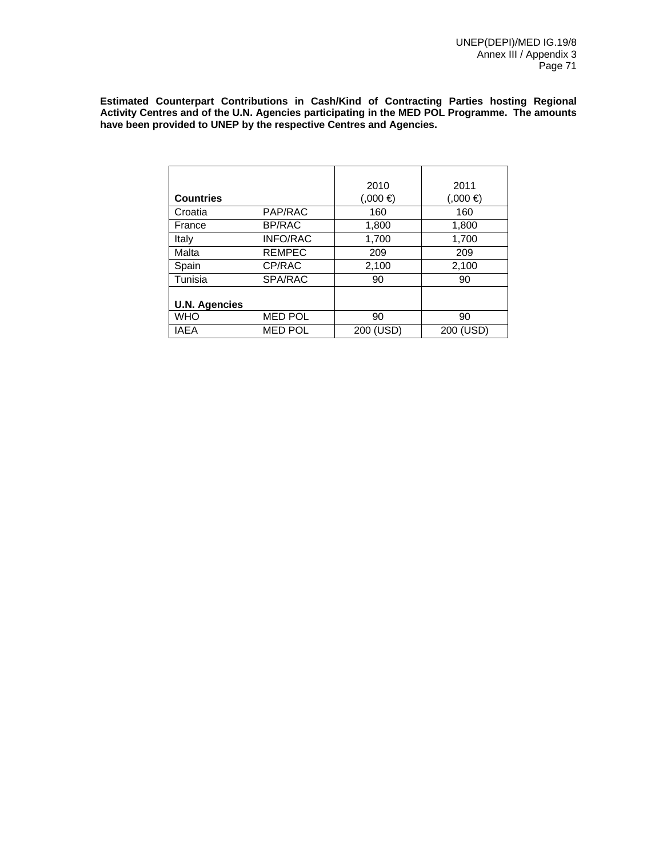**Estimated Counterpart Contributions in Cash/Kind of Contracting Parties hosting Regional Activity Centres and of the U.N. Agencies participating in the MED POL Programme. The amounts have been provided to UNEP by the respective Centres and Agencies.** 

|                      |                 | 2010        | 2011      |
|----------------------|-----------------|-------------|-----------|
| <b>Countries</b>     |                 | $(0,000)$ € | (0.000)   |
| Croatia              | PAP/RAC         | 160         | 160       |
| France               | BP/RAC          | 1,800       | 1,800     |
| Italy                | <b>INFO/RAC</b> | 1,700       | 1,700     |
| Malta                | <b>REMPEC</b>   | 209         | 209       |
| Spain                | CP/RAC          | 2,100       | 2,100     |
| Tunisia              | SPA/RAC         | 90          | 90        |
|                      |                 |             |           |
| <b>U.N. Agencies</b> |                 |             |           |
| <b>WHO</b>           | <b>MED POL</b>  | 90          | 90        |
| <b>IAEA</b>          | <b>MED POL</b>  | 200 (USD)   | 200 (USD) |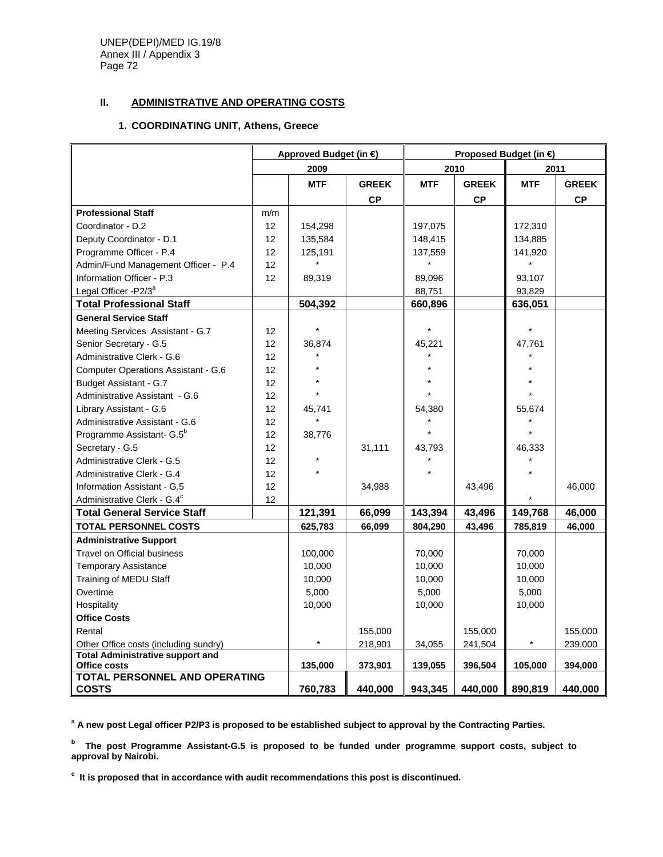UNEP(DEPI)/MED IG.19/8 Annex III / Appendix 3 Page 72

## **II. ADMINISTRATIVE AND OPERATING COSTS**

### **1. COORDINATING UNIT, Athens, Greece**

|                                                                      | Approved Budget (in €) |                    | Proposed Budget (in € |                    |                    |                    |                    |
|----------------------------------------------------------------------|------------------------|--------------------|-----------------------|--------------------|--------------------|--------------------|--------------------|
|                                                                      |                        | 2009               |                       | 2010               |                    | 2011               |                    |
|                                                                      |                        | <b>MTF</b>         | <b>GREEK</b>          | <b>MTF</b>         | <b>GREEK</b>       | <b>MTF</b>         | <b>GREEK</b>       |
|                                                                      |                        |                    | $\mathsf{CP}$         |                    | CP                 |                    | CP                 |
| <b>Professional Staff</b>                                            | m/m                    |                    |                       |                    |                    |                    |                    |
| Coordinator - D.2                                                    | 12                     | 154,298            |                       | 197,075            |                    | 172,310            |                    |
| Deputy Coordinator - D.1                                             | 12                     | 135,584            |                       | 148,415            |                    | 134,885            |                    |
| Programme Officer - P.4                                              | 12                     | 125,191            |                       | 137,559            |                    | 141,920            |                    |
| Admin/Fund Management Officer - P.4                                  | 12                     | $\star$            |                       |                    |                    | $\star$            |                    |
| Information Officer - P.3                                            | 12                     | 89,319             |                       | 89,096             |                    | 93,107             |                    |
| Legal Officer -P2/3 <sup>a</sup>                                     |                        |                    |                       | 88,751             |                    | 93,829             |                    |
| <b>Total Professional Staff</b>                                      |                        | 504,392            |                       | 660,896            |                    | 636,051            |                    |
| <b>General Service Staff</b>                                         |                        |                    |                       |                    |                    |                    |                    |
| Meeting Services Assistant - G.7                                     | 12                     |                    |                       |                    |                    | $\star$            |                    |
| Senior Secretary - G.5                                               | 12                     | 36,874             |                       | 45,221             |                    | 47,761             |                    |
| Administrative Clerk - G.6                                           | 12                     |                    |                       |                    |                    |                    |                    |
| <b>Computer Operations Assistant - G.6</b>                           | 12                     |                    |                       |                    |                    |                    |                    |
| Budget Assistant - G.7                                               | 12                     |                    |                       |                    |                    |                    |                    |
| Administrative Assistant - G.6                                       | 12                     |                    |                       |                    |                    |                    |                    |
| Library Assistant - G.6                                              | 12                     | 45,741             |                       | 54,380             |                    | 55,674             |                    |
| Administrative Assistant - G.6                                       | 12                     |                    |                       |                    |                    |                    |                    |
| Programme Assistant- G.5 <sup>b</sup>                                | 12                     | 38,776             |                       |                    |                    |                    |                    |
| Secretary - G.5                                                      | 12                     |                    | 31,111                | 43,793             |                    | 46,333             |                    |
| Administrative Clerk - G.5                                           | 12                     |                    |                       |                    |                    |                    |                    |
| Administrative Clerk - G.4                                           | 12                     |                    |                       |                    |                    |                    |                    |
| Information Assistant - G.5                                          | 12                     |                    | 34,988                |                    | 43,496             |                    | 46,000             |
| Administrative Clerk - G.4 <sup>c</sup>                              | 12                     |                    |                       |                    |                    |                    |                    |
| <b>Total General Service Staff</b>                                   |                        | 121,391            | 66,099                | 143,394            | 43,496             | 149,768            | 46,000             |
| <b>TOTAL PERSONNEL COSTS</b>                                         |                        | 625,783            | 66,099                | 804,290            | 43,496             | 785,819            | 46,000             |
| <b>Administrative Support</b>                                        |                        |                    |                       |                    |                    |                    |                    |
| <b>Travel on Official business</b>                                   |                        | 100,000            |                       | 70,000             |                    | 70,000             |                    |
| <b>Temporary Assistance</b>                                          |                        | 10,000             |                       | 10,000             |                    | 10,000             |                    |
| Training of MEDU Staff                                               |                        | 10,000             |                       | 10,000             |                    | 10,000             |                    |
| Overtime                                                             |                        | 5,000              |                       | 5,000              |                    | 5,000              |                    |
| Hospitality                                                          |                        | 10,000             |                       | 10,000             |                    | 10,000             |                    |
| <b>Office Costs</b>                                                  |                        |                    |                       |                    |                    |                    |                    |
| Rental                                                               |                        |                    | 155,000               |                    | 155,000            |                    | 155,000            |
| Other Office costs (including sundry)                                |                        | $\star$            | 218,901               | 34,055             | 241,504            | $\star$            | 239,000            |
| <b>Total Administrative support and</b>                              |                        |                    |                       |                    |                    |                    |                    |
|                                                                      |                        |                    |                       |                    |                    |                    |                    |
|                                                                      |                        |                    |                       |                    |                    |                    |                    |
| Office costs<br><b>TOTAL PERSONNEL AND OPERATING</b><br><b>COSTS</b> |                        | 135,000<br>760,783 | 373,901<br>440,000    | 139,055<br>943,345 | 396,504<br>440,000 | 105,000<br>890,819 | 394,000<br>440,000 |

<sup>a</sup> A new post Legal officer P2/P3 is proposed to be established subject to approval by the Contracting Parties.

**b The post Programme Assistant-G.5 is proposed to be funded under programme support costs, subject to approval by Nairobi.** 

**c It is proposed that in accordance with audit recommendations this post is discontinued.**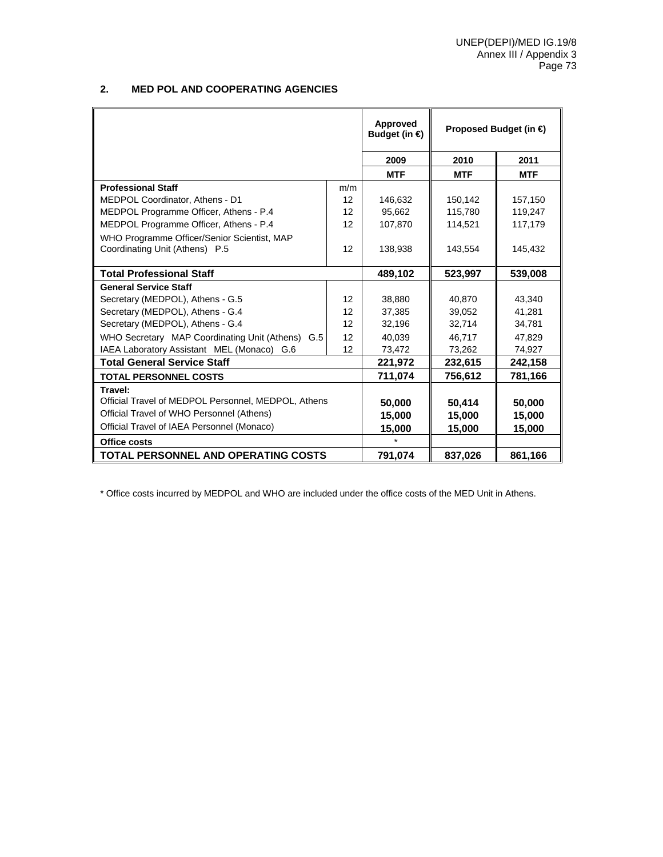#### **2. MED POL AND COOPERATING AGENCIES**

|                                                     |                   | Approved<br>Budget (in $\bigoplus$ | Proposed Budget (in €) |            |
|-----------------------------------------------------|-------------------|------------------------------------|------------------------|------------|
|                                                     |                   | 2009                               | 2010                   | 2011       |
|                                                     |                   | <b>MTF</b>                         | <b>MTF</b>             | <b>MTF</b> |
| <b>Professional Staff</b>                           | m/m               |                                    |                        |            |
| MEDPOL Coordinator, Athens - D1                     | 12                | 146,632                            | 150,142                | 157,150    |
| MEDPOL Programme Officer, Athens - P.4              | 12                | 95,662                             | 115,780                | 119,247    |
| MEDPOL Programme Officer, Athens - P.4              | 12                | 107,870                            | 114,521                | 117,179    |
| WHO Programme Officer/Senior Scientist, MAP         |                   |                                    |                        |            |
| Coordinating Unit (Athens) P.5                      | 12                | 138,938                            | 143,554                | 145,432    |
|                                                     |                   |                                    |                        |            |
| <b>Total Professional Staff</b>                     |                   | 489,102                            | 523,997                | 539,008    |
| <b>General Service Staff</b>                        |                   |                                    |                        |            |
| Secretary (MEDPOL), Athens - G.5                    | $12 \overline{ }$ | 38,880                             | 40.870                 | 43,340     |
| Secretary (MEDPOL), Athens - G.4                    | $12 \overline{ }$ | 37.385                             | 39.052                 | 41,281     |
| Secretary (MEDPOL), Athens - G.4                    | 12                | 32,196                             | 32,714                 | 34,781     |
| WHO Secretary MAP Coordinating Unit (Athens) G.5    | 12                | 40.039                             | 46.717                 | 47,829     |
| IAEA Laboratory Assistant MEL (Monaco) G.6          | 12                | 73,472                             | 73,262                 | 74,927     |
| <b>Total General Service Staff</b>                  |                   | 221,972                            | 232,615                | 242,158    |
| <b>TOTAL PERSONNEL COSTS</b>                        |                   | 711,074                            | 756,612                | 781,166    |
| Travel:                                             |                   |                                    |                        |            |
| Official Travel of MEDPOL Personnel, MEDPOL, Athens |                   | 50,000                             | 50.414                 | 50,000     |
| Official Travel of WHO Personnel (Athens)           |                   | 15,000                             | 15,000                 | 15,000     |
| Official Travel of IAEA Personnel (Monaco)          |                   | 15,000                             | 15,000                 | 15,000     |
| Office costs                                        |                   |                                    |                        |            |
| <b>TOTAL PERSONNEL AND OPERATING COSTS</b>          |                   | 791,074                            | 837,026                | 861,166    |

\* Office costs incurred by MEDPOL and WHO are included under the office costs of the MED Unit in Athens.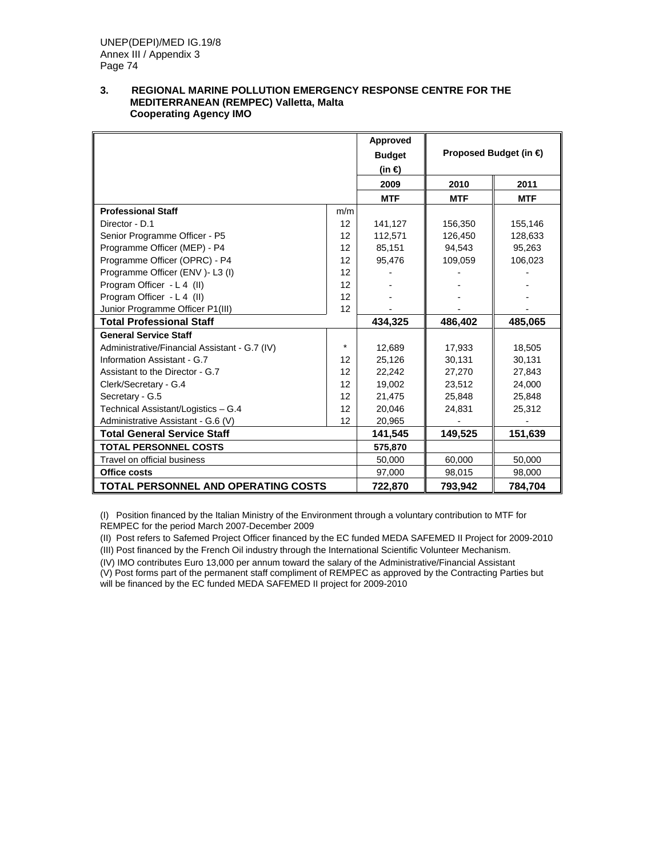#### **3. REGIONAL MARINE POLLUTION EMERGENCY RESPONSE CENTRE FOR THE MEDITERRANEAN (REMPEC) Valletta, Malta Cooperating Agency IMO**

|                                               |         | Approved<br><b>Budget</b><br>(in €) |            | Proposed Budget (in € |
|-----------------------------------------------|---------|-------------------------------------|------------|-----------------------|
|                                               |         | 2009                                | 2010       | 2011                  |
|                                               |         | <b>MTF</b>                          | <b>MTF</b> | <b>MTF</b>            |
| <b>Professional Staff</b>                     | m/m     |                                     |            |                       |
| Director - D.1                                | 12      | 141,127                             | 156,350    | 155,146               |
| Senior Programme Officer - P5                 | 12      | 112,571                             | 126,450    | 128,633               |
| Programme Officer (MEP) - P4                  | 12      | 85,151                              | 94,543     | 95,263                |
| Programme Officer (OPRC) - P4                 | 12      | 95,476                              | 109,059    | 106,023               |
| Programme Officer (ENV) - L3 (I)              | 12      |                                     |            |                       |
| Program Officer - L 4 (II)                    | 12      |                                     |            |                       |
| Program Officer - L 4 (II)                    | 12      |                                     |            |                       |
| Junior Programme Officer P1(III)              | 12      |                                     |            |                       |
| <b>Total Professional Staff</b>               |         | 434,325                             | 486,402    | 485,065               |
| <b>General Service Staff</b>                  |         |                                     |            |                       |
| Administrative/Financial Assistant - G.7 (IV) | $\star$ | 12,689                              | 17,933     | 18,505                |
| Information Assistant - G.7                   | 12      | 25,126                              | 30,131     | 30,131                |
| Assistant to the Director - G.7               | 12      | 22,242                              | 27,270     | 27,843                |
| Clerk/Secretary - G.4                         | 12      | 19,002                              | 23,512     | 24,000                |
| Secretary - G.5                               | 12      | 21,475                              | 25,848     | 25,848                |
| Technical Assistant/Logistics - G.4           | 12      | 20.046                              | 24,831     | 25,312                |
| Administrative Assistant - G.6 (V)            | 12      | 20,965                              |            |                       |
| <b>Total General Service Staff</b>            |         | 141,545                             | 149,525    | 151,639               |
| <b>TOTAL PERSONNEL COSTS</b>                  |         | 575,870                             |            |                       |
| Travel on official business                   |         | 50,000                              | 60,000     | 50,000                |
| Office costs                                  |         | 97,000                              | 98,015     | 98,000                |
| <b>TOTAL PERSONNEL AND OPERATING COSTS</b>    |         | 722,870                             | 793,942    | 784.704               |

(I) Position financed by the Italian Ministry of the Environment through a voluntary contribution to MTF for REMPEC for the period March 2007-December 2009

(II) Post refers to Safemed Project Officer financed by the EC funded MEDA SAFEMED II Project for 2009-2010

(III) Post financed by the French Oil industry through the International Scientific Volunteer Mechanism.

(IV) IMO contributes Euro 13,000 per annum toward the salary of the Administrative/Financial Assistant

(V) Post forms part of the permanent staff compliment of REMPEC as approved by the Contracting Parties but will be financed by the EC funded MEDA SAFEMED II project for 2009-2010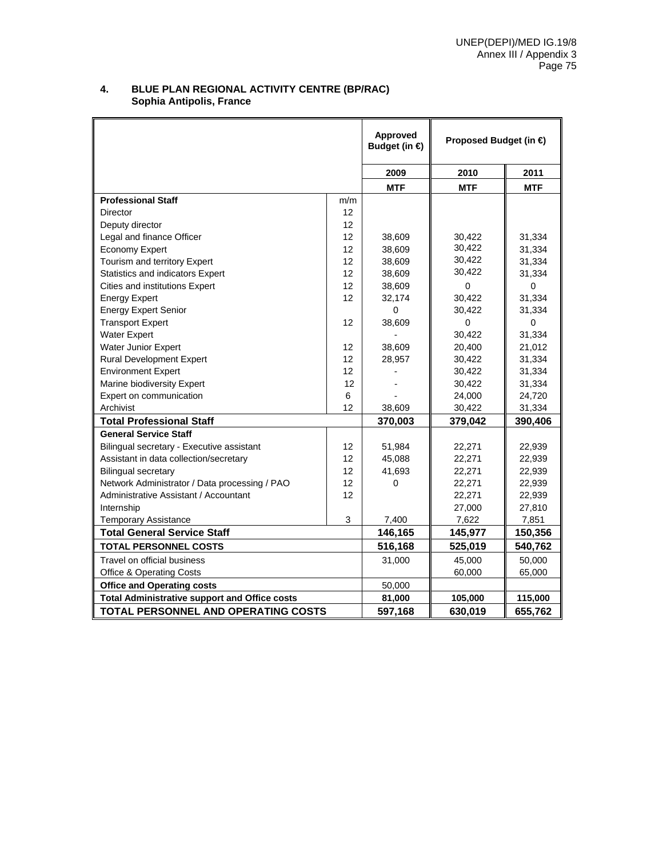#### **4. BLUE PLAN REGIONAL ACTIVITY CENTRE (BP/RAC) Sophia Antipolis, France**

|                                                      |     | Approved<br>Budget (in $\bigoplus$ | Proposed Budget (in € |            |
|------------------------------------------------------|-----|------------------------------------|-----------------------|------------|
|                                                      |     | 2009                               | 2010                  | 2011       |
|                                                      |     | <b>MTF</b>                         | <b>MTF</b>            | <b>MTF</b> |
| <b>Professional Staff</b>                            | m/m |                                    |                       |            |
| <b>Director</b>                                      | 12  |                                    |                       |            |
| Deputy director                                      | 12  |                                    |                       |            |
| Legal and finance Officer                            | 12  | 38,609                             | 30,422                | 31,334     |
| <b>Economy Expert</b>                                | 12  | 38,609                             | 30,422                | 31,334     |
| Tourism and territory Expert                         | 12  | 38,609                             | 30,422                | 31,334     |
| <b>Statistics and indicators Expert</b>              | 12  | 38,609                             | 30,422                | 31,334     |
| Cities and institutions Expert                       | 12  | 38,609                             | $\Omega$              | 0          |
| <b>Energy Expert</b>                                 | 12  | 32,174                             | 30,422                | 31,334     |
| <b>Energy Expert Senior</b>                          |     | 0                                  | 30,422                | 31,334     |
| <b>Transport Expert</b>                              | 12  | 38,609                             | $\Omega$              | 0          |
| <b>Water Expert</b>                                  |     |                                    | 30,422                | 31,334     |
| Water Junior Expert                                  | 12  | 38,609                             | 20,400                | 21,012     |
| <b>Rural Development Expert</b>                      | 12  | 28,957                             | 30,422                | 31,334     |
| <b>Environment Expert</b>                            | 12  |                                    | 30,422                | 31,334     |
| Marine biodiversity Expert                           | 12  |                                    | 30,422                | 31,334     |
| Expert on communication                              | 6   |                                    | 24,000                | 24,720     |
| Archivist                                            | 12  | 38,609                             | 30,422                | 31,334     |
| <b>Total Professional Staff</b>                      |     | 370,003                            | 379,042               | 390,406    |
| <b>General Service Staff</b>                         |     |                                    |                       |            |
| Bilingual secretary - Executive assistant            | 12  | 51,984                             | 22,271                | 22,939     |
| Assistant in data collection/secretary               | 12  | 45,088                             | 22,271                | 22,939     |
| <b>Bilingual secretary</b>                           | 12  | 41,693                             | 22,271                | 22,939     |
| Network Administrator / Data processing / PAO        | 12  | 0                                  | 22,271                | 22,939     |
| Administrative Assistant / Accountant                | 12  |                                    | 22,271                | 22,939     |
| Internship                                           |     |                                    | 27,000                | 27,810     |
| <b>Temporary Assistance</b>                          | 3   | 7,400                              | 7,622                 | 7,851      |
| <b>Total General Service Staff</b>                   |     | 146,165                            | 145,977               | 150,356    |
| <b>TOTAL PERSONNEL COSTS</b>                         |     | 516,168                            | 525,019               | 540,762    |
| Travel on official business                          |     | 31,000                             | 45,000                | 50,000     |
| <b>Office &amp; Operating Costs</b>                  |     |                                    | 60,000                | 65,000     |
| <b>Office and Operating costs</b>                    |     | 50,000                             |                       |            |
| <b>Total Administrative support and Office costs</b> |     | 81,000                             | 105,000               | 115,000    |
| <b>TOTAL PERSONNEL AND OPERATING COSTS</b>           |     | 597,168                            | 630,019               | 655,762    |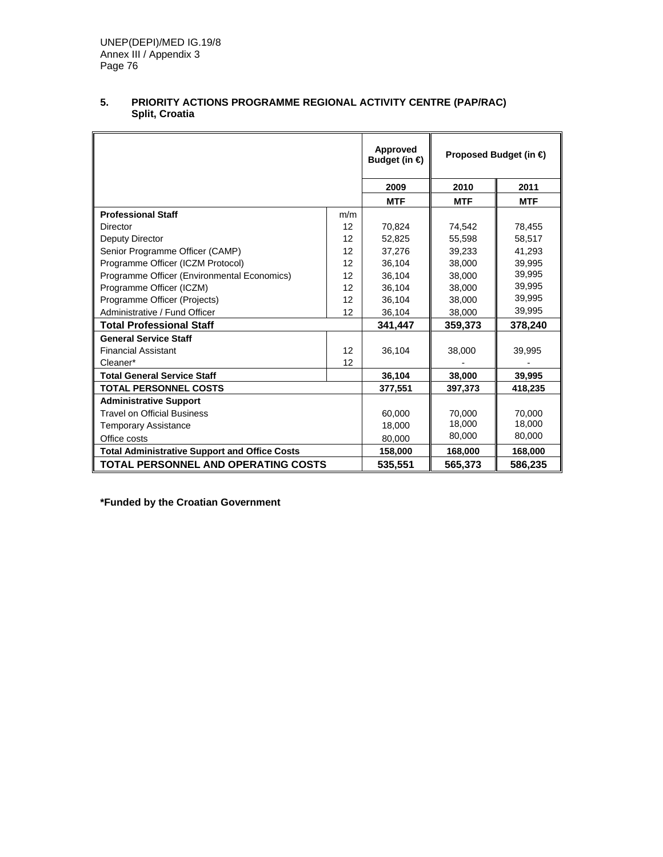|                                                      |     | Approved<br>Budget (in $\bigoplus$ |            | Proposed Budget (in $\bigoplus$ |
|------------------------------------------------------|-----|------------------------------------|------------|---------------------------------|
|                                                      |     | 2009                               | 2010       | 2011                            |
|                                                      |     | <b>MTF</b>                         | <b>MTF</b> | <b>MTF</b>                      |
| <b>Professional Staff</b>                            | m/m |                                    |            |                                 |
| Director                                             | 12  | 70,824                             | 74,542     | 78,455                          |
| Deputy Director                                      | 12  | 52,825                             | 55.598     | 58,517                          |
| Senior Programme Officer (CAMP)                      | 12  | 37,276                             | 39,233     | 41,293                          |
| Programme Officer (ICZM Protocol)                    | 12  | 36.104                             | 38,000     | 39.995                          |
| Programme Officer (Environmental Economics)          | 12  | 36,104                             | 38,000     | 39,995                          |
| Programme Officer (ICZM)                             | 12  | 36,104                             | 38,000     | 39,995                          |
| Programme Officer (Projects)                         | 12  | 36,104                             | 38,000     | 39,995                          |
| Administrative / Fund Officer                        | 12  | 36,104                             | 38,000     | 39,995                          |
| <b>Total Professional Staff</b>                      |     | 341,447                            | 359,373    | 378,240                         |
| <b>General Service Staff</b>                         |     |                                    |            |                                 |
| <b>Financial Assistant</b>                           | 12  | 36,104                             | 38,000     | 39,995                          |
| Cleaner*                                             | 12  |                                    |            |                                 |
| <b>Total General Service Staff</b>                   |     | 36,104                             | 38,000     | 39,995                          |
| <b>TOTAL PERSONNEL COSTS</b>                         |     | 377,551                            | 397,373    | 418,235                         |
| <b>Administrative Support</b>                        |     |                                    |            |                                 |
| <b>Travel on Official Business</b>                   |     | 60,000                             | 70.000     | 70.000                          |
| <b>Temporary Assistance</b>                          |     | 18,000                             | 18,000     | 18,000                          |
| Office costs                                         |     | 80,000                             | 80,000     | 80,000                          |
| <b>Total Administrative Support and Office Costs</b> |     | 158,000                            | 168,000    | 168,000                         |
| <b>TOTAL PERSONNEL AND OPERATING COSTS</b>           |     | 535,551                            | 565,373    | 586,235                         |

## **5. PRIORITY ACTIONS PROGRAMME REGIONAL ACTIVITY CENTRE (PAP/RAC) Split, Croatia**

**\*Funded by the Croatian Government**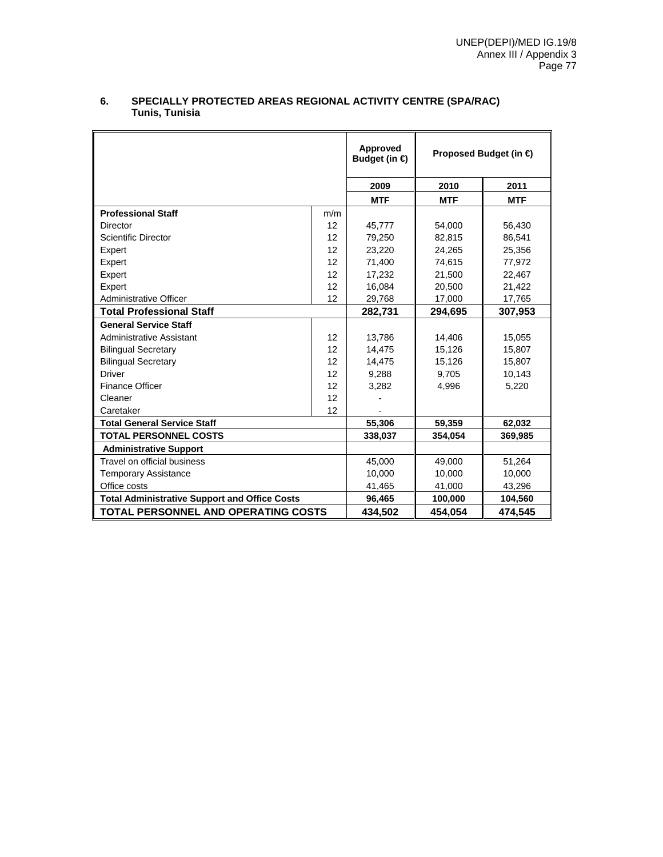|                                                      |     | Approved<br>Budget (in $\bigoplus$ |            | Proposed Budget (in € |
|------------------------------------------------------|-----|------------------------------------|------------|-----------------------|
|                                                      |     | 2009                               | 2010       | 2011                  |
|                                                      |     | <b>MTF</b>                         | <b>MTF</b> | <b>MTF</b>            |
| <b>Professional Staff</b>                            | m/m |                                    |            |                       |
| <b>Director</b>                                      | 12  | 45,777                             | 54,000     | 56,430                |
| <b>Scientific Director</b>                           | 12  | 79,250                             | 82,815     | 86,541                |
| Expert                                               | 12  | 23,220                             | 24,265     | 25,356                |
| Expert                                               | 12  | 71,400                             | 74,615     | 77,972                |
| Expert                                               | 12  | 17,232                             | 21,500     | 22,467                |
| Expert                                               | 12  | 16,084                             | 20,500     | 21,422                |
| Administrative Officer                               | 12  | 29,768                             | 17,000     | 17,765                |
| <b>Total Professional Staff</b>                      |     | 282,731                            | 294,695    | 307,953               |
| <b>General Service Staff</b>                         |     |                                    |            |                       |
| <b>Administrative Assistant</b>                      | 12  | 13,786                             | 14,406     | 15,055                |
| <b>Bilingual Secretary</b>                           | 12  | 14,475                             | 15,126     | 15,807                |
| <b>Bilingual Secretary</b>                           | 12  | 14,475                             | 15,126     | 15,807                |
| <b>Driver</b>                                        | 12  | 9,288                              | 9,705      | 10,143                |
| <b>Finance Officer</b>                               | 12  | 3,282                              | 4,996      | 5,220                 |
| Cleaner                                              | 12  |                                    |            |                       |
| Caretaker                                            | 12  |                                    |            |                       |
| <b>Total General Service Staff</b>                   |     | 55,306                             | 59,359     | 62,032                |
| <b>TOTAL PERSONNEL COSTS</b>                         |     | 338,037                            | 354,054    | 369,985               |
| <b>Administrative Support</b>                        |     |                                    |            |                       |
| Travel on official business                          |     | 45,000                             | 49,000     | 51,264                |
| <b>Temporary Assistance</b>                          |     | 10.000                             | 10,000     | 10.000                |
| Office costs                                         |     | 41,465                             | 41,000     | 43,296                |
| <b>Total Administrative Support and Office Costs</b> |     | 96,465                             | 100,000    | 104,560               |
| <b>TOTAL PERSONNEL AND OPERATING COSTS</b>           |     | 434,502                            | 454.054    | 474.545               |

#### **6. SPECIALLY PROTECTED AREAS REGIONAL ACTIVITY CENTRE (SPA/RAC) Tunis, Tunisia**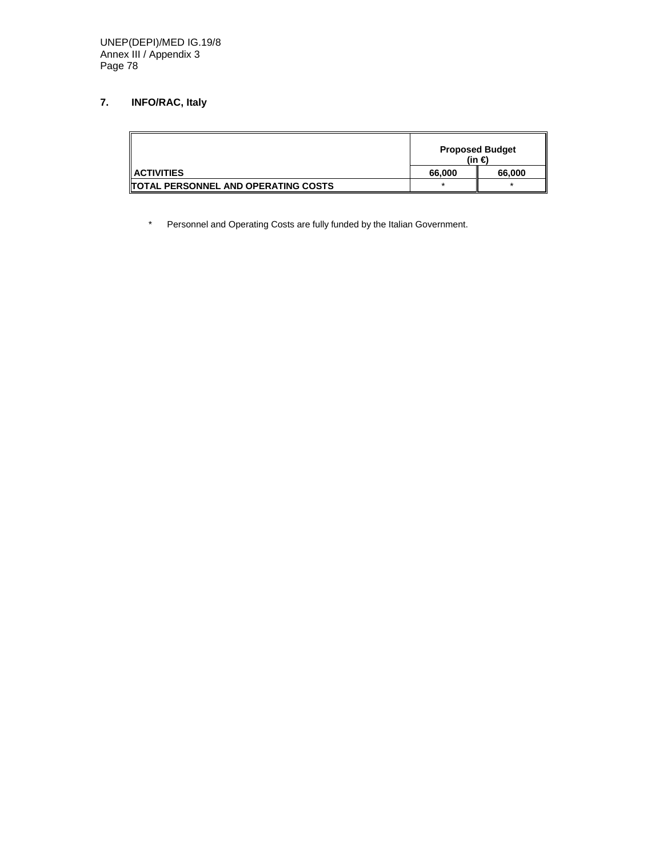# **7. INFO/RAC, Italy**

|                                             | <b>Proposed Budget</b><br>(in € |         |
|---------------------------------------------|---------------------------------|---------|
| $\parallel$ ACTIVITIES                      | 66,000                          | 66.000  |
| <b>ITOTAL PERSONNEL AND OPERATING COSTS</b> | $\star$                         | $\star$ |

\* Personnel and Operating Costs are fully funded by the Italian Government.